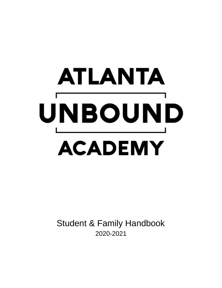# **ATLANTA** UNBOUND **ACADEMY**

Student & Family Handbook 2020-2021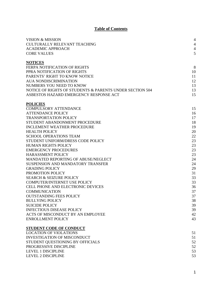# **Table of Contents**

| <b>VISION &amp; MISSION</b><br><b>CULTURALLY RELEVANT TEACHING</b><br><b>ACADEMIC APPROACH</b><br><b>CORE VALUES</b> | $\overline{4}$<br>$\overline{4}$<br>$\overline{4}$<br>5 |
|----------------------------------------------------------------------------------------------------------------------|---------------------------------------------------------|
| <b>NOTICES</b>                                                                                                       |                                                         |
| FERPA NOTIFICATION OF RIGHTS<br>PPRA NOTIFICATION OF RIGHTS                                                          | 8<br>10                                                 |
| PARENTS' RIGHT TO KNOW NOTICE                                                                                        | 11                                                      |
| <b>AUA NONDISCRIMINATION</b>                                                                                         | 12                                                      |
| NUMBERS YOU NEED TO KNOW                                                                                             | 13                                                      |
| NOTICE OF RIGHTS OF STUDENTS & PARENTS UNDER SECTION 504                                                             | 13                                                      |
| ASBESTOS HAZARD EMERGENCY RESPONSE ACT                                                                               | 15                                                      |
| <b>POLICIES</b>                                                                                                      |                                                         |
| <b>COMPULSORY ATTENDANCE</b>                                                                                         | 15                                                      |
| <b>ATTENDANCE POLICY</b>                                                                                             | 16                                                      |
| <b>TRANSPORTATION POLICY</b>                                                                                         | 17                                                      |
| STUDENT ABANDONMENT PROCEDURE                                                                                        | 18                                                      |
| INCLEMENT WEATHER PROCEDURE                                                                                          | 19                                                      |
| <b>HEALTH POLICY</b><br><b>SCHOOL OPERATIONS TEAM</b>                                                                | 20<br>22                                                |
| STUDENT UNIFORM/DRESS CODE POLICY                                                                                    | 23                                                      |
| HUMAN RIGHTS POLICY                                                                                                  | 23                                                      |
| <b>EMERGENCY PROCEDURES</b>                                                                                          | 23                                                      |
| <b>HARASSMENT POLICY</b>                                                                                             | 23                                                      |
| MANDATED REPORTING OF ABUSE/NEGLECT                                                                                  | 24                                                      |
| SUSPENSION AND MANDATORY TRANSFER                                                                                    | 24                                                      |
| <b>GRADING POLICY</b>                                                                                                | 29                                                      |
| PROMOTION POLICY                                                                                                     | 31                                                      |
| <b>SEARCH &amp; SEIZURE POLICY</b>                                                                                   | 33                                                      |
| COMPUTER/INTERNET USE POLICY                                                                                         | 33                                                      |
| CELL PHONE AND ELECTRONIC DEVICES                                                                                    | 36                                                      |
| <b>COMMUNICATION</b>                                                                                                 | 37                                                      |
| <b>OUTSTANDING FEES POLICY</b>                                                                                       | 37                                                      |
| <b>BULLYING POLICY</b><br><b>SUICIDE POLICY</b>                                                                      | 38<br>39                                                |
| <b>INFECTIOUS DISEASE POLICY</b>                                                                                     | 39                                                      |
| ACTS OF MISCONDUCT BY AN EMPLOYEE                                                                                    | 42                                                      |
| <b>ENROLLMENT POLICY</b>                                                                                             | 43                                                      |
| <b>STUDENT CODE OF CONDUCT</b>                                                                                       |                                                         |
| <b>LOCATION OF VIOLATIONS</b>                                                                                        | 51                                                      |
| <b>INVESTIGATION OF MISCONDUCT</b>                                                                                   | 51                                                      |
| STUDENT QUESTIONING BY OFFICIALS                                                                                     | 52                                                      |
| PROGRESSIVE DISCIPLINE                                                                                               | 52                                                      |
| <b>LEVEL 1 DISCIPLINE</b>                                                                                            | 53                                                      |
| LEVEL 2 DISCIPLINE                                                                                                   | 53                                                      |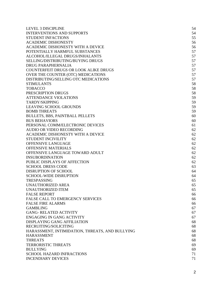| <b>LEVEL 3 DISCIPLINE</b>                       | 54 |
|-------------------------------------------------|----|
| <b>INTERVENTIONS AND SUPPORTS</b>               | 54 |
| <b>STUDENT INFACTIONS</b>                       | 55 |
| <b>ACADEMIC DISHONESTY</b>                      | 56 |
| <b>ACADEMIC DISHONESTY WITH A DEVICE</b>        | 56 |
| POTENTIALLY HARMFUL SUBSTANCES                  | 57 |
| ALCOHOL/ILLEGAL DRUGS/INHALANTS                 | 57 |
| SELLING/DISTRIBUTING/BUYING DRUGS               | 57 |
| <b>DRUG PARAPHERNALIA</b>                       | 57 |
| COUNTERFEIT DRUGS OR LOOK ALIKE DRUGS           | 57 |
| OVER THE COUNTER (OTC) MEDICATIONS              | 57 |
| DISTRIBUTING/SELLING OTC MEDICATIONS            | 57 |
| <b>STIMULANTS</b>                               | 58 |
| <b>TOBACCO</b>                                  | 58 |
| PRESCRIPTION DRUGS                              | 58 |
| <b>ATTENDANCE VIOLATIONS</b>                    | 59 |
| <b>TARDY/SKIPPING</b>                           | 59 |
| <b>LEAVING SCHOOL GROUNDS</b>                   | 59 |
| <b>BOMB THREATS</b>                             | 59 |
| <b>BULLETS, BBS, PAINTBALL PELLETS</b>          | 60 |
| <b>BUS BEHAVIORS</b>                            | 60 |
| PERSONAL COMM/ELECTRONIC DEVICES                | 61 |
| <b>AUDIO OR VIDEO RECORDING</b>                 | 62 |
| ACADEMIC DISHONESTY WITH A DEVICE               | 62 |
| <b>STUDENT INCIVILITY</b>                       | 62 |
| OFFENSIVE LANGUAGE                              | 62 |
| OFFENSIVE MATERIALS                             | 62 |
| OFFENSIVE LANGUAGE TOWARD ADULT                 | 62 |
| <b>INSUBORDINATION</b>                          | 62 |
| PUBLIC DISPLAYS OF AFFECTION                    | 62 |
| <b>SCHOOL DRESS CODE</b>                        | 63 |
| DISRUPTION OF SCHOOL                            | 64 |
| <b>SCHOOL-WIDE DISRUPTION</b>                   | 64 |
| <b>TRESPASSING</b>                              | 65 |
| <b>UNAUTHORIZED AREA</b>                        | 65 |
| UNAUTHORIZED ITEM                               | 65 |
| <b>FALSE REPORT</b>                             | 66 |
| <b>FALSE CALL TO EMERGENCY SERVICES</b>         | 66 |
| <b>FALSE FIRE ALARMS</b>                        | 66 |
| <b>GAMBLING</b>                                 | 67 |
| <b>GANG- RELATED ACTIVITY</b>                   | 67 |
| <b>ENGAGING IN GANG ACTIVITY</b>                | 67 |
| <b>DISPLAYING GANG AFFILIATION</b>              | 68 |
| RECRUITING/SOLICITING                           | 68 |
| HARASSMENT, INTIMIDATION, THREATS, AND BULLYING | 68 |
| <b>HARASSMENT</b>                               | 68 |
| <b>THREATS</b>                                  | 68 |
| <b>TERRORISTIC THREATS</b>                      | 69 |
| <b>BULLYING</b>                                 | 69 |
| <b>SCHOOL HAZARD INFRACTIONS</b>                | 71 |
| <b>INCENDIARY DEVICES</b>                       | 71 |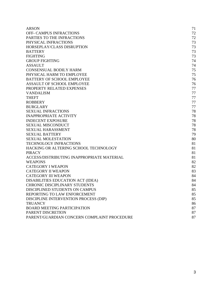| <b>ARSON</b>                                | 71 |
|---------------------------------------------|----|
| OFF- CAMPUS INFRACTIONS                     | 72 |
| PARTIES TO THE INFRACTIONS                  | 72 |
| PHYSICAL INFRACTIONS                        | 73 |
| HORSEPLAY/CLASS DISRUPTION                  | 73 |
| <b>BATTERY</b>                              | 73 |
| <b>FIGHTING</b>                             | 73 |
| <b>GROUP FIGHTING</b>                       | 74 |
| <b>ASSAULT</b>                              | 74 |
| <b>CONSENSUAL BODILY HARM</b>               | 75 |
| PHYSICAL HARM TO EMPLOYEE                   | 75 |
| <b>BATTERY OF SCHOOL EMPLOYEE</b>           | 76 |
| ASSAULT OF SCHOOL EMPLOYEE                  | 76 |
| PROPERTY RELATED EXPENSES                   | 77 |
| <b>VANDALISM</b>                            | 77 |
| <b>THEFT</b>                                | 77 |
| <b>ROBBERY</b>                              | 77 |
| <b>BURGLARY</b>                             | 77 |
| <b>SEXUAL INFRACTIONS</b>                   | 78 |
| <b>INAPPROPRIATE ACTIVITY</b>               | 78 |
| <b>INDECENT EXPOSURE</b>                    | 78 |
| <b>SEXUAL MISCONDUCT</b>                    | 78 |
| <b>SEXUAL HARASSMENT</b>                    | 78 |
| <b>SEXUAL BATTERY</b>                       | 79 |
| <b>SEXUAL MOLESTATION</b>                   | 80 |
| <b>TECHNOLOGY INFRACTIONS</b>               | 81 |
| HACKING OR ALTERING SCHOOL TECHNOLOGY       | 81 |
| <b>PIRACY</b>                               | 81 |
| ACCESS/DISTRIBUTING INAPPROPRIATE MATERIAL  | 81 |
| <b>WEAPONS</b>                              | 82 |
| <b>CATEGORY I WEAPON</b>                    | 82 |
| <b>CATEGORY II WEAPON</b>                   | 83 |
| <b>CATEGORY III WEAPON</b>                  | 84 |
| DISABILITIES EDUCATION ACT (IDEA)           | 84 |
| <b>CHRONIC DISCIPLINARY STUDENTS</b>        | 84 |
| DISCIPLINED STUDENTS ON CAMPUS              | 85 |
| REPORTING TO LAW ENFORCEMENT                | 85 |
| DISCIPLINE INTERVENTION PROCESS (DIP)       | 85 |
| <b>TRUANCY</b>                              | 86 |
| <b>BOARD MEETING PARTICIPATION</b>          | 87 |
| PARENT DISCRETION                           | 87 |
| PARENT/GUARDIAN CONCERN COMPLAINT PROCEDURE | 87 |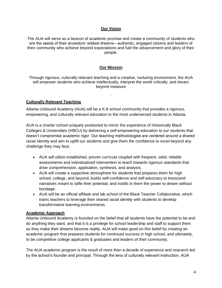#### **Our Vision**

The AUA will serve as a beacon of academic promise and create a community of students who are the seeds of their ancestors' wildest dreams—authentic, engaged citizens and leaders of their community who achieve beyond expectations and fuel the advancement and glory of their people.

# **Our Mission**

Through rigorous, culturally relevant teaching and a creative, nurturing environment, the AUA will empower students who achieve intellectually, interpret the world critically, and dream beyond measure

.

# **Culturally Relevant Teaching**

Atlanta Unbound Academy (AUA) will be a K-8 school community that provides a rigorous, empowering, and culturally relevant education to the most underserved students in Atlanta.

AUA is a charter school uniquely positioned to mirror the experience of Historically Black Colleges & Universities (HBCU) by delivering a self-empowering education to our students that doesn't compromise academic rigor. Our teaching methodologies are centered around a shared racial identity and aim to uplift our students and give them the confidence to excel beyond any challenge they may face.

- AUA will utilize established, proven curricula coupled with frequent, valid, reliable assessments and individualized intervention to teach towards rigorous standards that drive comprehension, application, synthesis, and analysis.
- AUA will create a supportive atmosphere for students that prepares them for high school, college, and beyond, builds self-confidence and self-advocacy to transcend narratives meant to stifle their potential, and instills in them the power to dream without bondage.
- AUA will be an official affiliate and lab school of the Black Teacher Collaborative, which trains teachers to leverage their shared racial identity with students to develop transformative learning environments.

# **Academic Approach**

Atlanta Unbound Academy is founded on the belief that all students have the potential to be and do anything they want, and that it is a privilege for school leadership and staff to support them as they make their dreams become reality. AUA will make good on this belief by creating an academic program that prepares students for continued success in high school, and ultimately, to be competitive college applicants & graduates and leaders of their community.

The AUA academic program is the result of more than a decade of experience and research led by the school's founder and principal. Through the lens of culturally relevant instruction, AUA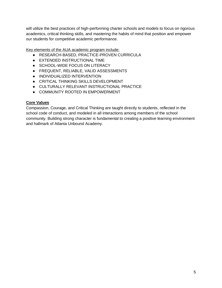will utilize the best practices of high-performing charter schools and models to focus on rigorous academics, critical thinking skills, and mastering the habits of mind that position and empower our students for competitive academic performance.

Key elements of the AUA academic program include:

- RESEARCH-BASED, PRACTICE-PROVEN CURRICULA
- **EXTENDED INSTRUCTIONAL TIME**
- **SCHOOL-WIDE FOCUS ON LITERACY**
- FREQUENT, RELIABLE, VALID ASSESSMENTS
- INDIVIDUALIZED INTERVENTION
- CRITICAL THINKING SKILLS DEVELOPMENT
- CULTURALLY RELEVANT INSTRUCTIONAL PRACTICE
- **COMMUNITY ROOTED IN EMPOWERMENT**

# **Core Values**

Compassion, Courage, and Critical Thinking are taught directly to students, reflected in the school code of conduct, and modeled in all interactions among members of the school community. Building strong character is fundamental to creating a positive learning environment and hallmark of Atlanta Unbound Academy.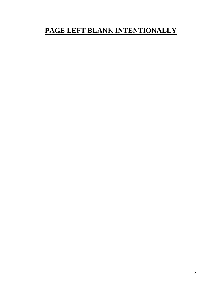# **PAGE LEFT BLANK INTENTIONALLY**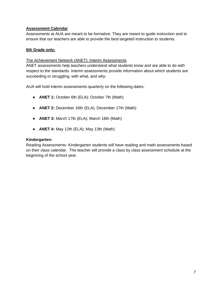# **Assessment Calendar**

Assessments at AUA are meant to be formative. They are meant to guide instruction and to ensure that our teachers are able to provide the best targeted instruction to students.

# **6th Grade only:**

#### The Achievement Network (ANET): Interim Assessments

ANET assessments help teachers understand what students know and are able to do with respect to the standards. Interim assessments provide information about which students are succeeding or struggling, with what, and *why*.

AUA will hold interim assessments quarterly on the following dates:

- **ANET 1:** October 6th (ELA); October 7th (Math)
- **ANET 2:** December 16th (ELA); December 17th (Math)
- **ANET 3:** March 17th (ELA); March 18th (Math)
- **ANET 4:** May 12th (ELA); May 13th (Math)

#### **Kindergarten:**

Reading Assessments- Kindergarten students will have reading and math assessments based on their class calendar. The teacher will provide a class by class assessment schedule at the beginning of the school year.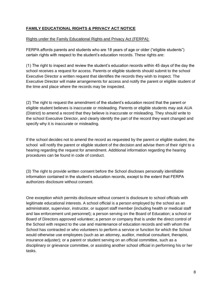# **FAMILY EDUCATIONAL RIGHTS & PRIVACY ACT NOTICE**

# Rights under the Family Educational Rights and Privacy Act (FERPA):

FERPA affords parents and students who are 18 years of age or older ("eligible students") certain rights with respect to the student's education records. These rights are:

(1) The right to inspect and review the student's education records within 45 days of the day the school receives a request for access. Parents or eligible students should submit to the school Executive Director a written request that identifies the records they wish to inspect. The Executive Director will make arrangements for access and notify the parent or eligible student of the time and place where the records may be inspected.

(2) The right to request the amendment of the student's education record that the parent or eligible student believes is inaccurate or misleading. Parents or eligible students may ask AUA (District) to amend a record that they believe is inaccurate or misleading. They should write to the school Executive Director, and clearly identify the part of the record they want changed and specify why it is inaccurate or misleading.

If the school decides not to amend the record as requested by the parent or eligible student, the school will notify the parent or eligible student of the decision and advise them of their right to a hearing regarding the request for amendment. Additional information regarding the hearing procedures can be found in code of conduct.

(3) The right to provide written consent before the School discloses personally identifiable information contained in the student's education records, except to the extent that FERPA authorizes disclosure without consent.

One exception which permits disclosure without consent is disclosure to school officials with legitimate educational interests. A school official is a person employed by the school as an administrator, supervisor, instructor, or support staff member (including health or medical staff and law enforcement unit personnel); a person serving on the Board of Education; a school or Board of Directors approved volunteer; a person or company that is under the direct control of the School with respect to the use and maintenance of education records and with whom the School has contracted or who volunteers to perform a service or function for which the School would otherwise use employees (such as an attorney, auditor, medical consultant, therapist, insurance adjuster); or a parent or student serving on an official committee, such as a disciplinary or grievance committee, or assisting another school official in performing his or her tasks.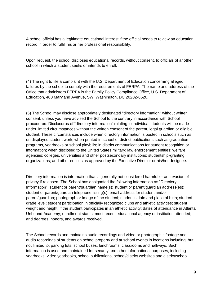A school official has a legitimate educational interest if the official needs to review an education record in order to fulfill his or her professional responsibility.

Upon request, the school discloses educational records, without consent, to officials of another school in which a student seeks or intends to enroll.

(4) The right to file a complaint with the U.S. Department of Education concerning alleged failures by the school to comply with the requirements of FERPA. The name and address of the Office that administers FERPA is the Family Policy Compliance Office, U.S. Department of Education, 400 Maryland Avenue, SW, Washington, DC 20202-8520.

(5) The School may disclose appropriately designated "directory information" without written consent, unless you have advised the School to the contrary in accordance with School procedures. Disclosures of "directory information" relating to individual students will be made under limited circumstances without the written consent of the parent, legal guardian or eligible student. These circumstances include when directory information is posted in schools such as on displayed student work; when printed in school or district publications such as graduation programs, yearbooks or school playbills; in district communications for student recognition or information; when disclosed to the United States military; law enforcement entities; welfare agencies; colleges, universities and other postsecondary institutions; studentship-granting organizations; and other entities as approved by the Executive Director or his/her designee.

Directory information is information that is generally not considered harmful or an invasion of privacy if released. The School has designated the following information as "Directory Information": student or parent/guardian name(s); student or parent/guardian address(es); student or parent/guardian telephone listing(s); email address for student and/or parent/guardian; photograph or image of the student; student's date and place of birth; student grade level; student participation in officially recognized clubs and athletic activities; student weight and height, if the student participates in an athletic activity; dates of attendance in Atlanta Unbound Academy; enrollment status; most recent educational agency or institution attended; and degrees, honors, and awards received.

The School records and maintains audio recordings and video or photographic footage and audio recordings of students on school property and at school events in locations including, but not limited to, parking lots, school buses, lunchrooms, classrooms and hallways. Such information is used and maintained for security and other informational purposes, including yearbooks, video yearbooks, school publications, school/district websites and district/school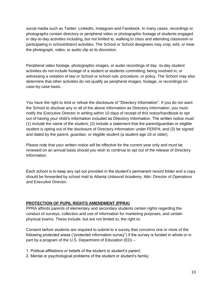social media such as Twitter, LinkedIn, Instagram and Facebook. In many cases, recordings or photographs contain directory or peripheral video or photographic footage of students engaged in day-to-day activities including, but not limited to, walking to class and attending classroom or participating in school/district activities. The School or School designees may crop, edit, or treat the photograph, video, or audio clip at its discretion.

Peripheral video footage, photographic images, or audio recordings of day -to-day student activities do not include footage of a student or students committing, being involved in, or witnessing a violation of law or School or school rule, procedure, or policy. The School may also determine that other activities do not qualify as peripheral images, footage, or recordings on case-by-case basis.

You have the right to limit or refuse the disclosure of "Directory Information". If you do not want the School to disclose any or all of the above information as Directory Information, you must notify the Executive Director in writing within 10 days of receipt of this notice/handbook to opt out of having your child's information included as Directory Information. The written notice must: (1) include the name of the student; (2) include a statement that the parent/guardian or eligible student is opting out of the disclosure of Directory Information under FERPA; and (3) be signed and dated by the parent, guardian, or eligible student (a student age 18 or older).

Please note that your written notice will be effective for the current year only and must be renewed on an annual basis should you wish to continue to opt out of the release of Directory Information.

Each school is to keep any opt out provided in the student's permanent record folder and a copy should be forwarded by school mail to Atlanta Unbound Academy: Attn: Director of Operations and Executive Director.

# **PROTECTION OF PUPIL RIGHTS AMENDMENT (PPRA)**

PPRA affords parents of elementary and secondary students certain rights regarding the conduct of surveys, collection and use of information for marketing purposes, and certain physical exams. These include, but are not limited to, the right to:

Consent before students are required to submit to a survey that concerns one or more of the following protected areas ("protected information survey") if the survey is funded in whole or in part by a program of the U.S. Department of Education (ED) –

- 1. Political affiliations or beliefs of the student or student's parent;
- 2. Mental or psychological problems of the student or student's family;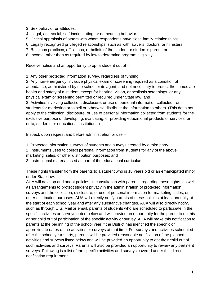3. Sex behavior or attitudes;

- 4. Illegal, anti-social, self-incriminating, or demeaning behavior;
- 5. Critical appraisals of others with whom respondents have close family relationships;
- 6. Legally recognized privileged relationships, such as with lawyers, doctors, or ministers;
- 7. Religious practices, affiliations, or beliefs of the student or student's parent; or
- 8. Income, other than as required by law to determine program eligibility.

Receive notice and an opportunity to opt a student out of –

1. Any other protected information survey, regardless of funding;

2. Any non-emergency, invasive physical exam or screening required as a condition of attendance, administered by the school or its agent, and not necessary to protect the immediate health and safety of a student, except for hearing, vision, or scoliosis screenings, or any physical exam or screening permitted or required under State law; and 3. Activities involving collection, disclosure, or use of personal information collected from students for marketing or to sell or otherwise distribute the information to others. (This does not apply to the collection, disclosure, or use of personal information collected from students for the exclusive purpose of developing, evaluating, or providing educational products or services for, or to, students or educational institutions.)

Inspect, upon request and before administration or use –

- 1. Protected information surveys of students and surveys created by a third party;
- 2. Instruments used to collect personal information from students for any of the above
- marketing, sales, or other distribution purposes; and
- 3. Instructional material used as part of the educational curriculum.

These rights transfer from the parents to a student who is 18 years old or an emancipated minor under State law.

AUA will develop and adopt policies, in consultation with parents, regarding these rights, as well as arrangements to protect student privacy in the administration of protected information surveys and the collection, disclosure, or use of personal information for marketing, sales, or other distribution purposes. AUA will directly notify parents of these policies at least annually at the start of each school year and after any substantive changes. AUA will also directly notify, such as through U.S. Mail or email, parents of students who are scheduled to participate in the specific activities or surveys noted below and will provide an opportunity for the parent to opt his or her child out of participation of the specific activity or survey. AUA will make this notification to parents at the beginning of the school year if the District has identified the specific or approximate dates of the activities or surveys at that time. For surveys and activities scheduled after the school year starts, parents will be provided reasonable notification of the planned activities and surveys listed below and will be provided an opportunity to opt their child out of such activities and surveys. Parents will also be provided an opportunity to review any pertinent surveys. Following is a list of the specific activities and surveys covered under this direct notification requirement: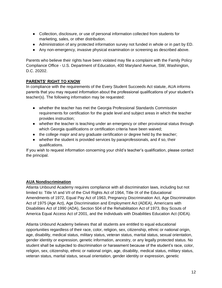- Collection, disclosure, or use of personal information collected from students for marketing, sales, or other distribution.
- Administration of any protected information survey not funded in whole or in part by ED.
- Any non-emergency, invasive physical examination or screening as described above.

Parents who believe their rights have been violated may file a complaint with the Family Policy Compliance Office - U.S. Department of Education, 400 Maryland Avenue, SW, Washington, D.C. 20202.

# **PARENTS' RIGHT TO KNOW**

In compliance with the requirements of the Every Student Succeeds Act statute, AUA informs parents that you may request information about the professional qualifications of your student's teacher(s). The following information may be requested:

- whether the teacher has met the Georgia Professional Standards Commission requirements for certification for the grade level and subject areas in which the teacher provides instruction;
- whether the teacher is teaching under an emergency or other provisional status through which Georgia qualifications or certification criteria have been waived;
- the college major and any graduate certification or degree held by the teacher;
- whether the student is provided services by paraprofessionals, and if so, their qualifications.

If you wish to request information concerning your child's teacher's qualification, please contact the principal.

# **AUA Nondiscrimination**

Atlanta Unbound Academy requires compliance with all discrimination laws, including but not limited to: Title VI and VII of the Civil Rights Act of 1964, Title IX of the Educational Amendments of 1972, Equal Pay Act of 1963, Pregnancy Discrimination Act, Age Discrimination Act of 1975 (Age Act), Age Discrimination and Employment Act (ADEA), Americans with Disabilities Act of 1990 (ADA), Section 504 of the Rehabilitation Act of 1973, Boy Scouts of America Equal Access Act of 2001, and the Individuals with Disabilities Education Act (IDEA).

Atlanta Unbound Academy believes that all students are entitled to equal educational opportunities regardless of their race, color, religion, sex, citizenship, ethnic or national origin, age, disability, medical status, military status, veteran status, marital status, sexual orientation, gender identity or expression, genetic information, ancestry, or any legally protected status. No student shall be subjected to discrimination or harassment because of the student's race, color, religion, sex, citizenship, ethnic or national origin, age, disability, medical status, military status, veteran status, marital status, sexual orientation, gender identity or expression, genetic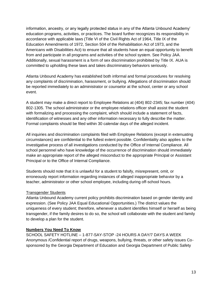information, ancestry, or any legally protected status in any of the Atlanta Unbound Academy' education programs, activities, or practices. The board further recognizes its responsibility in accordance with applicable laws (Title VI of the Civil Rights Act of 1964, Title IX of the Education Amendments of 1972, Section 504 of the Rehabilitation Act of 1973, and the Americans with Disabilities Act) to ensure that all students have an equal opportunity to benefit from and participate in all programs and activities of the school system. See Policy JAA. Additionally, sexual harassment is a form of sex discrimination prohibited by Title IX. AUA is committed to upholding these laws and takes discriminatory behaviors seriously.

Atlanta Unbound Academy has established both informal and formal procedures for resolving any complaints of discrimination, harassment, or bullying. Allegations of discrimination should be reported immediately to an administrator or counselor at the school, center or any school event.

A student may make a direct report to Employee Relations at (404) 802-2345; fax number (404) 802-1305. The school administrator or the employee relations officer shall assist the student with formalizing and processing the complaint, which should include a statement of facts, identification of witnesses and any other information necessary to fully describe the matter. Formal complaints should be filed within 30 calendar days of the alleged incident.

All inquiries and discrimination complaints filed with Employee Relations (except in extenuating circumstances) are confidential to the fullest extent possible. Confidentiality also applies to the investigative process of all investigations conducted by the Office of Internal Compliance. All school personnel who have knowledge of the occurrence of discrimination should immediately make an appropriate report of the alleged misconduct to the appropriate Principal or Assistant Principal or to the Office of Internal Compliance.

Students should note that it is unlawful for a student to falsify, misrepresent, omit, or erroneously report information regarding instances of alleged inappropriate behavior by a teacher, administrator or other school employee, including during off-school hours.

# Transgender Students

Atlanta Unbound Academy current policy prohibits discrimination based on gender identity and expression. (See Policy JAA Equal Educational Opportunities.) The district values the uniqueness of every student; therefore, whenever a student identifies himself or herself as being transgender, if the family desires to do so, the school will collaborate with the student and family to develop a plan for the student.

# **Numbers You Need To Know**

SCHOOL SAFETY HOTLINE – 1-877-SAY-STOP -24 HOURS A DAY/7 DAYS A WEEK Anonymous /Confidential report of drugs, weapons, bullying, threats, or other safety issues Cosponsored by the Georgia Department of Education and Georgia Department of Public Safety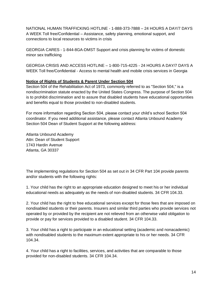NATIONAL HUMAN TRAFFICKING HOTLINE - 1-888-373-7888 – 24 HOURS A DAY/7 DAYS A WEEK Toll free/Confidential – Assistance, safety planning, emotional support, and connections to local resources to victims in crisis

GEORGIA CARES - 1-844-8GA-DMST Support and crisis planning for victims of domestic minor sex trafficking

GEORGIA CRISIS AND ACCESS HOTLINE – 1-800-715-4225 - 24 HOURS A DAY/7 DAYS A WEEK Toll free/Confidential - Access to mental health and mobile crisis services in Georgia

# **Notice of Rights of Students & Parent Under Section 504**

Section 504 of the Rehabilitation Act of 1973, commonly referred to as "Section 504," is a nondiscrimination statute enacted by the United States Congress. The purpose of Section 504 is to prohibit discrimination and to assure that disabled students have educational opportunities and benefits equal to those provided to non-disabled students.

For more information regarding Section 504, please contact your child's school Section 504 coordinator. If you need additional assistance, please contact Atlanta Unbound Academy Section 504 Dean of Student Support at the following address:

Atlanta Unbound Academy Attn: Dean of Student Support 1743 Hardin Avenue Atlanta, GA 30337

The implementing regulations for Section 504 as set out in 34 CFR Part 104 provide parents and/or students with the following rights:

1. Your child has the right to an appropriate education designed to meet his or her individual educational needs as adequately as the needs of non-disabled students. 34 CFR 104.33.

2. Your child has the right to free educational services except for those fees that are imposed on nondisabled students or their parents. Insurers and similar third parties who provide services not operated by or provided by the recipient are not relieved from an otherwise valid obligation to provide or pay for services provided to a disabled student. 34 CFR 104.33.

3. Your child has a right to participate in an educational setting (academic and nonacademic) with nondisabled students to the maximum extent appropriate to his or her needs. 34 CFR 104.34.

4. Your child has a right to facilities, services, and activities that are comparable to those provided for non-disabled students. 34 CFR 104.34.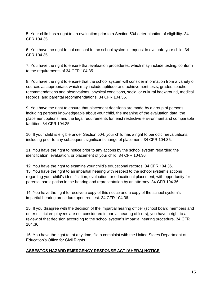5. Your child has a right to an evaluation prior to a Section 504 determination of eligibility. 34 CFR 104.35.

6. You have the right to not consent to the school system's request to evaluate your child. 34 CFR 104.35.

7. You have the right to ensure that evaluation procedures, which may include testing, conform to the requirements of 34 CFR 104.35.

8. You have the right to ensure that the school system will consider information from a variety of sources as appropriate, which may include aptitude and achievement tests, grades, teacher recommendations and observations, physical conditions, social or cultural background, medical records, and parental recommendations. 34 CFR 104.35.

9. You have the right to ensure that placement decisions are made by a group of persons, including persons knowledgeable about your child, the meaning of the evaluation data, the placement options, and the legal requirements for least restrictive environment and comparable facilities. 34 CFR 104.35.

10. If your child is eligible under Section 504, your child has a right to periodic reevaluations, including prior to any subsequent significant change of placement. 34 CFR 104.35.

11. You have the right to notice prior to any actions by the school system regarding the identification, evaluation, or placement of your child. 34 CFR 104.36.

12. You have the right to examine your child's educational records. 34 CFR 104.36. 13. You have the right to an impartial hearing with respect to the school system's actions regarding your child's identification, evaluation, or educational placement, with opportunity for parental participation in the hearing and representation by an attorney. 34 CFR 104.36.

14. You have the right to receive a copy of this notice and a copy of the school system's impartial hearing procedure upon request. 34 CFR 104.36.

15. If you disagree with the decision of the impartial hearing officer (school board members and other district employees are not considered impartial hearing officers), you have a right to a review of that decision according to the school system's impartial hearing procedure. 34 CFR 104.36.

16. You have the right to, at any time, file a complaint with the United States Department of Education's Office for Civil Rights

# **ASBESTOS HAZARD EMERGENCY RESPONSE ACT (AHERA) NOTICE**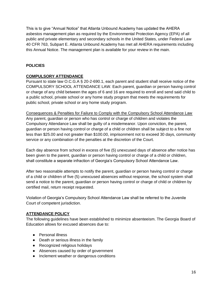This is to give "Annual Notice" that Atlanta Unbound Academy has updated the AHERA asbestos management plan as required by the Environmental Protection Agency (EPA) of all public and private elementary and secondary schools in the United States, under Federal Law 40 CFR 763, Subpart E. Atlanta Unbound Academy has met all AHERA requirements including this Annual Notice. The management plan is available for your review in the main.

# **POLICIES**

# **COMPULSORY ATTENDANCE**

Pursuant to state law O.C.G.A § 20-2-690.1, each parent and student shall receive notice of the COMPULSORY SCHOOL ATTENDANCE LAW. Each parent, guardian or person having control or charge of any child between the ages of 6 and 16 are required to enroll and send said child to a public school, private school or any home study program that meets the requirements for public school, private school or any home study program.

Consequences & Penalties for Failure to Comply with the Compulsory School Attendance Law Any parent, guardian or person who has control or charge of children and violates the Compulsory Attendance Law shall be guilty of a misdemeanor. Upon conviction, the parent, guardian or person having control or charge of a child or children shall be subject to a fine not less than \$25.00 and not greater than \$100.00, imprisonment not to exceed 30 days, community service or any combination of the penalties at the discretion of the Court.

Each day absence from school in excess of five (5) unexcused days of absence after notice has been given to the parent, guardian or person having control or charge of a child or children, shall constitute a separate infraction of Georgia's Compulsory School Attendance Law.

After two reasonable attempts to notify the parent, guardian or person having control or charge of a child or children of five (5) unexcused absences without response, the school system shall send a notice to the parent, guardian or person having control or charge of child or children by certified mail, return receipt requested.

Violation of Georgia's Compulsory School Attendance Law shall be referred to the Juvenile Court of competent jurisdiction.

# **ATTENDANCE POLICY**

The following guidelines have been established to minimize absenteeism. The Georgia Board of Education allows for excused absences due to:

- Personal illness
- Death or serious illness in the family
- Recognized religious holidays
- Absences caused by order of government
- Inclement weather or dangerous conditions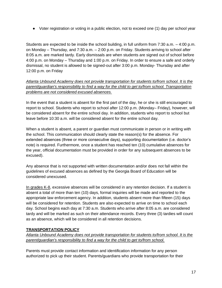• Voter registration or voting in a public election, not to exceed one (1) day per school year

Students are expected to be inside the school building, in full uniform from 7:30 a.m. – 4:00 p.m. on Monday – Thursday, and 7:30 a.m. – 2:00 p.m. on Friday. Students arriving to school after 8:05 a.m. are marked tardy. Early dismissals are when students are signed out of school before 4:00 p.m. on Monday – Thursday and 1:00 p.m. on Friday. In order to ensure a safe and orderly dismissal, no student is allowed to be signed-out after 3:00 p.m. Monday- Thursday and after 12:00 p.m. on Friday

# *Atlanta Unbound Academy does not provide transportation for students to/from school. It is the parent/guardian's responsibility to find a way for the child to get to/from school. Transportation problems are not considered excused absences.*

In the event that a student is absent for the first part of the day, he or she is still encouraged to report to school. Students who report to school after 12:00 p.m. (Monday– Friday), however, will be considered absent for the entire school day. In addition, students who report to school but leave before 10:30 a.m. will be considered absent for the entire school day.

When a student is absent, a parent or guardian must communicate in person or in writing with the school. This communication should clearly state the reason(s) for the absence. For extended absences (three or more consecutive days), supporting documentation (i.e. doctor's note) is required. Furthermore, once a student has reached ten (10) cumulative absences for the year, official documentation must be provided in order for any subsequent absences to be excused).

Any absence that is not supported with written documentation and/or does not fall within the guidelines of excused absences as defined by the Georgia Board of Education will be considered unexcused.

In grades K-8, excessive absences will be considered in any retention decision. If a student is absent a total of more than ten (10) days, formal inquiries will be made and reported to the appropriate law enforcement agency. In addition, students absent more than fifteen (15) days will be considered for retention. Students are also expected to arrive on time to school each day. School begins each day at 7:30 a.m. Students who arrive after 8:05 a.m. are considered tardy and will be marked as such on their attendance records. Every three (3) tardies will count as an absence, which will be considered in all retention decisions.

# **TRANSPORTATION POLICY**

*Atlanta Unbound Academy does not provide transportation for students to/from school. It is the parent/guardian's responsibility to find a way for the child to get to/from school.*

Parents must provide contact information and identification information for any person authorized to pick up their student. Parents/guardians who provide transportation for their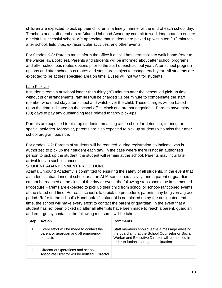children are expected to pick up their children in a timely manner at the end of each school day. Teachers and staff members at Atlanta Unbound Academy commit to work long hours to ensure a helpful, successful school. We appreciate that students are picked up within ten (10) minutes after school, field trips, extracurricular activities, and other events.

For Grades K-8**:** Parents must inform the office if a child has permission to walk home (refer to the walker laws/policies). Parents and students will be informed about after school programs and after school bus routes options prior to the start of each school year. After school program options and after school bus routes and stops are subject to change each year. All students are expected to be at their specified area on time. Buses will not wait for students.

# Late Pick Up

If students remain at school longer than thirty (30) minutes after the scheduled pick-up time without prior arrangements, families will be charged \$1 per minute to compensate the staff member who must stay after school and watch over the child. These charges will be based upon the time indicated on the school office clock and are not negotiable. Parents have thirty (30) days to pay any outstanding fees related to tardy pick-ups.

Parents are expected to pick up students remaining after school for detention, tutoring, or special activities. Moreover, parents are also expected to pick up students who miss their after school program bus ride.

For grades K-2: Parents of students will be required, during registration, to indicate who is authorized to pick up their student each day. In the case where there is not an authorized person to pick up the student, the student will remain at the school. Parents may incur late arrival fees in such instances.

# **STUDENT ABANDONMENT PROCEDURE**

Atlanta Unbound Academy is committed to ensuring the safety of all students. In the event that a student is abandoned at school or at an AUA-sanctioned activity, and a parent or guardian cannot be reached at the close of the day or event, the following steps should be implemented. Procedure Parents are expected to pick up their child from school or school-sanctioned events at the stated end time. Per each school's late pick-up procedure, parents may be given a grace period. Refer to the school's Handbook. If a student is not picked up by the designated end time, the school will make every effort to contact the parent or guardian. In the event that a student has not been picked up after all attempts have been made to reach a parent, guardian and emergency contacts, the following measures will be taken:

| <b>Step</b> | <b>Action</b>                                                                                | <b>Comments</b>                                                                                                                                                                                  |
|-------------|----------------------------------------------------------------------------------------------|--------------------------------------------------------------------------------------------------------------------------------------------------------------------------------------------------|
|             | Every effort will be made to contact the<br>parent or guardian and all emergency<br>contacts | Staff members should leave a message advising<br>the guardian that the School Counselor or Social<br>Worker and Executive Director will be notified in<br>order to further manage the situation. |
| 2           | Director of Operations and school<br>Associate Director will be notified. Director           |                                                                                                                                                                                                  |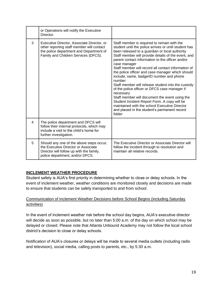|   | or Operations will notify the Executive<br>Director.                                                                                                                       |                                                                                                                                                                                                                                                                                                                                                                                                                                                                                                                                                                                                                                                                                                                                                                                     |
|---|----------------------------------------------------------------------------------------------------------------------------------------------------------------------------|-------------------------------------------------------------------------------------------------------------------------------------------------------------------------------------------------------------------------------------------------------------------------------------------------------------------------------------------------------------------------------------------------------------------------------------------------------------------------------------------------------------------------------------------------------------------------------------------------------------------------------------------------------------------------------------------------------------------------------------------------------------------------------------|
| 3 | Executive Director, Associate Director, or<br>other reporting staff member will contact<br>the police department and Department of<br>Family and Children Services (DFCS). | Staff member is required to remain with the<br>student until the police arrives or until student has<br>been released to a guardian or local authority<br>Staff member will provide details of the event, and<br>parent contact information to the officer and/or<br>case manager<br>Staff member will record all contact information of<br>the police officer and case manager which should<br>include, name, badge/ID number and phone<br>number<br>Staff member will release student into the custody<br>of the police officer or DFCS case manager if<br>necessary<br>Staff member will document the event using the<br>Student Incident Report Form. A copy will be<br>maintained with the school Executive Director<br>and placed in the student's permanent record<br>folder |
| 4 | The police department and DFCS will<br>follow their internal protocols, which may<br>include a visit to the child's home for<br>further investigation.                     |                                                                                                                                                                                                                                                                                                                                                                                                                                                                                                                                                                                                                                                                                                                                                                                     |
| 5 | Should any one of the above steps occur,<br>the Executive Director or Associate<br>Director will follow up with the family,<br>police department, and/or DFCS.             | The Executive Director or Associate Director will<br>follow the incident through to resolution and<br>maintain all relative records.                                                                                                                                                                                                                                                                                                                                                                                                                                                                                                                                                                                                                                                |

# **INCLEMENT WEATHER PROCEDURE**

Student safety is AUA's first priority in determining whether to close or delay schools. In the event of inclement weather, weather conditions are monitored closely and decisions are made to ensure that students can be safely transported to and from school.

# Communication of Inclement Weather Decisions before School Begins (including Saturday activities)

In the event of inclement weather risk before the school day begins, AUA's executive director will decide as soon as possible, but no later than 5:00 a.m. of the day on which school may be delayed or closed. Please note that Atlanta Unbound Academy may not follow the local school district's decision to close or delay schools.

Notification of AUA's closures or delays will be made to several media outlets (including radio and television), social media, calling posts to parents, etc., by 5:30 a.m.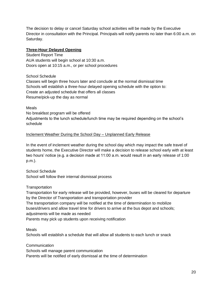The decision to delay or cancel Saturday school activities will be made by the Executive Director in consultation with the Principal. Principals will notify parents no later than 6:00 a.m. on Saturday.

# **Three-Hour Delayed Opening**

Student Report Time AUA students will begin school at 10:30 a.m. Doors open at 10:15 a.m., or per school procedures

School Schedule

Classes will begin three hours later and conclude at the normal dismissal time Schools will establish a three-hour delayed opening schedule with the option to: Create an adjusted schedule that offers all classes Resume/pick-up the day as normal

Meals

No breakfast program will be offered Adjustments to the lunch schedule/lunch time may be required depending on the school's schedule

#### Inclement Weather During the School Day – Unplanned Early Release

In the event of inclement weather during the school day which may impact the safe travel of students home, the Executive Director will make a decision to release school early with at least two hours' notice (e.g. a decision made at 11:00 a.m. would result in an early release of 1:00 p.m.).

School Schedule School will follow their internal dismissal process

#### **Transportation**

Transportation for early release will be provided, however, buses will be cleared for departure by the Director of Transportation and transportation provider The transportation company will be notified at the time of determination to mobilize buses/drivers and allow travel time for drivers to arrive at the bus depot and schools; adjustments will be made as needed Parents may pick up students upon receiving notification

Meals

Schools will establish a schedule that will allow all students to each lunch or snack

**Communication** Schools will manage parent communication Parents will be notified of early dismissal at the time of determination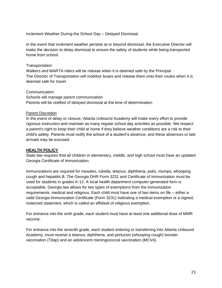#### Inclement Weather During the School Day – Delayed Dismissal

In the event that inclement weather persists at or beyond dismissal, the Executive Director will make the decision to delay dismissal to ensure the safety of students while being transported home from school.

#### **Transportation**

Walkers and MARTA riders will be release when it is deemed safe by the Principal The Director of Transportation will mobilize buses and release them onto their routes when it is deemed safe for travel

**Communication** Schools will manage parent communication Parents will be notified of delayed dismissal at the time of determination

#### Parent Discretion

In the event of delay or closure, Atlanta Unbound Academy will make every effort to provide rigorous instruction and maintain as many regular school day activities as possible. We respect a parent's right to keep their child at home if they believe weather conditions are a risk to their child's safety. Parents must notify the school of a student's absence, and these absences or late arrivals may be excused.

#### **HEALTH POLICY**

State law requires that all children in elementary, middle, and high school must have an updated Georgia Certificate of Immunization.

Immunizations are required for measles, rubella, tetanus, diphtheria, polio, mumps, whooping cough and hepatitis B. The Georgia DHR Form 3231 and Certificate of Immunization must be used for students in grades K-12. A local health department computer-generated form is acceptable. Georgia law allows for two types of exemptions from the immunization requirements: medical and religious. Each child must have one of two items on file – either a valid Georgia Immunization Certificate (Form 3231) indicating a medical exemption or a signed, notarized statement, which is called an affidavit of religious exemption.

For entrance into the sixth grade, each student must have at least one additional dose of MMR vaccine.

For entrance into the seventh grade, each student entering or transferring into Atlanta Unbound Academy, must receive a tetanus, diphtheria, and pertussis (whooping cough) booster vaccination (Tdap) and an adolescent meningococcal vaccination (MCV4).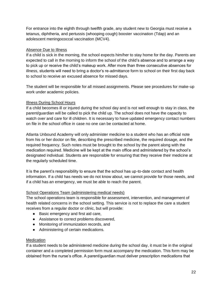For entrance into the eighth through twelfth grade, any student new to Georgia must receive a tetanus, diphtheria, and pertussis (whooping cough) booster vaccination (Tdap) and an adolescent meningococcal vaccination (MCV4).

# Absence Due to Illness

If a child is sick in the morning, the school expects him/her to stay home for the day. Parents are expected to call in the morning to inform the school of the child's absence and to arrange a way to pick up or receive the child's makeup work. After more than three consecutive absences for illness, students will need to bring a doctor's re-admittance form to school on their first day back to school to receive an excused absence for missed days.

The student will be responsible for all missed assignments. Please see procedures for make-up work under academic policies.

# Illness During School Hours

If a child becomes ill or injured during the school day and is not well enough to stay in class, the parent/guardian will be called to pick the child up. The school does not have the capacity to watch over and care for ill children. It is necessary to have updated emergency contact numbers on file in the school office in case no one can be contacted at home.

Atlanta Unbound Academy will only administer medicine to a student who has an official note from his or her doctor on file, describing the prescribed medicine, the required dosage, and the required frequency. Such notes must be brought to the school by the parent along with the medication required. Medicine will be kept at the main office and administered by the school's designated individual. Students are responsible for ensuring that they receive their medicine at the regularly scheduled time.

It is the parent's responsibility to ensure that the school has up-to-date contact and health information. If a child has needs we do not know about, we cannot provide for those needs, and if a child has an emergency, we must be able to reach the parent.

# School Operations Team (administering medical needs)

The school operations team is responsible for assessment, intervention, and management of health related concerns in the school setting. This service is not to replace the care a student receives from a regular doctor or clinic, but will provide:

- Basic emergency and first aid care,
- Assistance to correct problems discovered,
- Monitoring of immunization records, and
- Administering of certain medications.

# Medication

If a student needs to be administered medicine during the school day, it must be in the original container and a completed permission form must accompany the medication. This form may be obtained from the nurse's office. A parent/guardian must deliver prescription medications that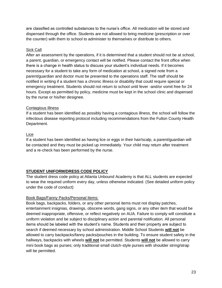are classified as controlled substances to the nurse's office. All medication will be stored and dispensed through the office. Students are not allowed to bring medicine (prescription or over the counter) with them to school to administer to themselves or distribute to others.

# Sick Call

After an assessment by the operations, if it is determined that a student should not be at school, a parent, guardian, or emergency contact will be notified. Please contact the front office when there is a change in health status to discuss your student's individual needs. If it becomes necessary for a student to take any form of medication at school, a signed note from a parent/guardian and doctor must be presented to the operations staff. The staff should be notified in writing if a student has a chronic illness or disability that could require special or emergency treatment. Students should not return to school until fever -and/or vomit free for 24 hours. Except as permitted by policy, medicine must be kept in the school clinic and dispensed by the nurse or his/her designee.

# Contagious Illness

If a student has been identified as possibly having a contagious illness, the school will follow the infectious disease reporting protocol including recommendations from the Fulton County Health Department.

# Lice

If a student has been identified as having lice or eggs in their hair/scalp, a parent/guardian will be contacted and they must be picked up immediately. Your child may return after treatment and a re-check has been performed by the nurse.

# **STUDENT UNIFORM/DRESS CODE POLICY**

The student dress code policy at Atlanta Unbound Academy is that ALL students are expected to wear the required uniform every day, unless otherwise indicated. (See detailed uniform policy under the code of conduct)

# Book Bags/Fanny Packs/Personal Items:

Book bags, backpacks, folders, or any other personal items must not display patches, entertainment insignias, drawings, obscene words, gang signs, or any other item that would be deemed inappropriate, offensive, or reflect negatively on AUA. Failure to comply will constitute a uniform violation and be subject to disciplinary action and parental notification. All personal items should be labeled with the student's name. Students and their property are subject to search if deemed necessary by school administration. Middle School Students **will not** be allowed to carry backpacks/fanny packs/pouches in the building. To ensure student safety in the hallways, backpacks with wheels **will not** be permitted. Students **will not** be allowed to carry mini book bags as purses; only traditional small clutch-style purses with shoulder string/strap will be permitted.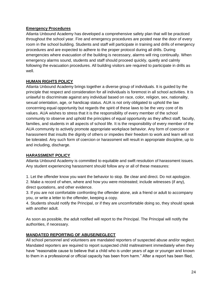# **Emergency Procedures**

Atlanta Unbound Academy has developed a comprehensive safety plan that will be practiced throughout the school year. Fire and emergency procedures are posted near the door of every room in the school building. Students and staff will participate in training and drills of emergency procedures and are expected to adhere to the proper protocol during all drills. During emergencies where evacuation of the building is necessary, alarms will ring continually. When emergency alarms sound, students and staff should proceed quickly, quietly and calmly following the evacuation procedures. All building visitors are required to participate in drills as well.

# **HUMAN RIGHTS POLICY**

Atlanta Unbound Academy brings together a diverse group of individuals. It is guided by the principle that respect and consideration for all individuals is foremost in all school activities. It is unlawful to discriminate against any individual based on race, color, religion, sex, nationality, sexual orientation, age, or handicap status. AUA is not only obligated to uphold the law concerning equal opportunity but regards the spirit of these laws to be the very core of its values. AUA wishes to stress that it is the responsibility of every member of the school community to observe and uphold the principles of equal opportunity as they affect staff, faculty, families, and students in all aspects of school life. It is the responsibility of every member of the AUA community to actively promote appropriate workplace behavior. Any form of coercion or harassment that insults the dignity of others or impedes their freedom to work and learn will not be tolerated. Any such form of coercion or harassment will result in appropriate discipline, up to and including, discharge.

#### **HARASSMENT POLICY**

Atlanta Unbound Academy is committed to equitable and swift resolution of harassment issues. Any student experiencing harassment should follow any or all of these measures:

1. Let the offender know you want the behavior to stop. Be clear and direct. Do not apologize.

2. Make a record of when, where and how you were mistreated; include witnesses (if any), direct quotations, and other evidence.

3. If you are not comfortable confronting the offender alone, ask a friend or adult to accompany you, or write a letter to the offender, keeping a copy.

4. Students should notify the Principal, or if they are uncomfortable doing so, they should speak with another adult.

As soon as possible, the adult notified will report to the Principal. The Principal will notify the authorities, if necessary.

#### **MANDATED REPORTING OF ABUSE/NEGLECT**

All school personnel and volunteers are mandated reporters of suspected abuse and/or neglect. Mandated reporters are required to report suspected child maltreatment immediately when they have "reasonable cause to believe that a child who is under years of age or younger and known to them in a professional or official capacity has been from harm." After a report has been filed,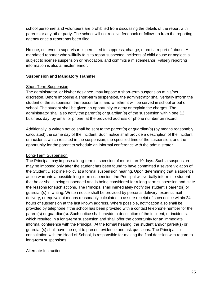school personnel and volunteers are prohibited from discussing the details of the report with parents or any other party. The school will not receive feedback or follow-up from the reporting agency once a report has been filed.

No one, not even a supervisor, is permitted to suppress, change, or edit a report of abuse. A mandated reporter who willfully fails to report suspected incidents of child abuse or neglect is subject to license suspension or revocation, and commits a misdemeanor. Falsely reporting information is also a misdemeanor.

# **Suspension and Mandatory Transfer**

# Short-Term Suspension

The administrator, or his/her designee, may impose a short-term suspension at his/her discretion. Before imposing a short-term suspension, the administrator shall verbally inform the student of the suspension, the reason for it, and whether it will be served in school or out of school. The student shall be given an opportunity to deny or explain the charges. The administrator shall also notify the parent(s) or guardian(s) of the suspension within one (1) business day, by email or phone, at the provided address or phone number on record.

Additionally, a written notice shall be sent to the parent(s) or guardian(s) (by means reasonably calculated) the same day of the incident. Such notice shall provide a description of the incident, or incidents which resulted in the suspension, the specified time of the suspension, and the opportunity for the parent to schedule an informal conference with the administrator.

# Long-Term Suspension

The Principal may impose a long-term suspension of more than 10 days. Such a suspension may be imposed only after the student has been found to have committed a severe violation of the Student Discipline Policy at a formal suspension hearing. Upon determining that a student's action warrants a possible long-term suspension, the Principal will verbally inform the student that he or she is being suspended and is being considered for a long-term suspension and state the reasons for such actions. The Principal shall immediately notify the student's parent(s) or guardian(s) in writing. Written notice shall be provided by personal delivery, express mail delivery, or equivalent means reasonably calculated to assure receipt of such notice within 24 hours of suspension at the last known address. Where possible, notification also shall be provided by telephone if the school has been provided with a contact telephone number for the parent(s) or guardian(s). Such notice shall provide a description of the incident, or incidents, which resulted in a long-term suspension and shall offer the opportunity for an immediate informal conference with the Principal. At the formal hearing, the student and/or parent(s) or guardian(s) shall have the right to present evidence and ask questions. The Principal, in consultation with the Head of School, is responsible for making the final decision with regard to long-term suspensions.

# Alternate Instruction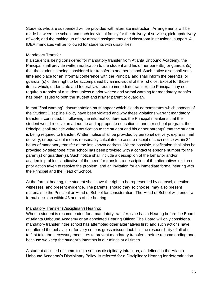Students who are suspended will be provided with alternate instruction. Arrangements will be made between the school and each individual family for the delivery of services, pick-up/delivery of work, and the making up of any missed assignments and classroom instructional support. All IDEA mandates will be followed for students with disabilities.

# Mandatory Transfer

If a student is being considered for mandatory transfer from Atlanta Unbound Academy, the Principal shall provide written notification to the student and his or her parent(s) or guardian(s) that the student is being considered for transfer to another school. Such notice also shall set a time and place for an informal conference with the Principal and shall inform the parent(s) or guardian(s) of their right to be accompanied by an individual of their choice. Except for those items, which, under state and federal law, require immediate transfer, the Principal may not require a transfer of a student unless a prior written and verbal warning for mandatory transfer has been issued to both the student and his/her parent or guardian.

In that "final warning", documentation must appear which clearly demonstrates which aspects of the Student Discipline Policy have been violated and why these violations warrant mandatory transfer if continued. If, following the informal conference, the Principal maintains that the student would receive an adequate and appropriate education in another school program, the Principal shall provide written notification to the student and his or her parent(s) that the student is being required to transfer. Written notice shall be provided by personal delivery, express mail delivery, or equivalent means reasonably calculated to assure receipt of such notice within 24 hours of mandatory transfer at the last known address. Where possible, notification shall also be provided by telephone if the school has been provided with a contact telephone number for the parent(s) or guardian(s). Such notice shall include a description of the behavior and/or academic problems indicative of the need for transfer, a description of the alternatives explored, prior action taken to resolve the problem, and an invitation for an immediate formal hearing with the Principal and the Head of School.

At the formal hearing, the student shall have the right to be represented by counsel, question witnesses, and present evidence. The parents, should they so choose, may also present materials to the Principal or Head of School for consideration. The Head of School will render a formal decision within 48 hours of the hearing.

# Mandatory Transfer (Disciplinary) Hearing:

When a student is recommended for a mandatory transfer, s/he has a Hearing before the Board of Atlanta Unbound Academy or an appointed Hearing Officer. The Board will only consider a mandatory transfer if the school has attempted other alternatives first, and such actions have not altered the behavior or for very serious gross misconduct. It is the responsibility of all of us to first take the necessary measures to prevent mandatory transfers, before recommending one, because we keep the student's interests in our minds at all times.

A student accused of committing a serious disciplinary infraction, as defined in the Atlanta Unbound Academy's Disciplinary Policy, is referred for a Disciplinary Hearing for determination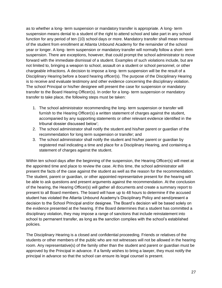as to whether a long- term suspension or mandatory transfer is appropriate. A long- term suspension means denial to a student of the right to attend school and take part in any school function for any period of ten (10) school days or more. Mandatory transfer shall mean removal of the student from enrollment at Atlanta Unbound Academy for the remainder of the school year or longer. A long- term suspension or mandatory transfer will normally follow a short- term suspension. There are exceptions, however, that could prompt the school administrator to move forward with the immediate dismissal of a student. Examples of such violations include, but are not limited to, bringing a weapon to school, assault on a student or school personnel, or other chargeable infractions. A decision to impose a long- term suspension will be the result of a Disciplinary Hearing before a board hearing officer(s). The purpose of the Disciplinary Hearing is to receive and evaluate testimony and other evidence concerning the disciplinary violation. The school Principal or his/her designee will present the case for suspension or mandatory transfer to the Board Hearing Officer(s). In order for a long- term suspension or mandatory transfer to take place, the following steps must be taken:

- 1. The school administrator recommending the long- term suspension or transfer will furnish to the Hearing Officer(s) a written statement of charges against the student, accompanied by any supporting statements or other relevant evidence identified in the tribunal dossier discussed below';
- 2. The school administrator shall notify the student and his/her parent or guardian of the recommendation for long term suspension or transfer; and
- 3. The school administrator shall notify the student and his/her parent or guardian by registered mail indicating a time and place for a Disciplinary Hearing, and containing a statement of charges against the student.

Within ten school days after the beginning of the suspension, the Hearing Officer(s) will meet at the appointed time and place to review the case. At this time, the school administrator will present the facts of the case against the student as well as the reason for the recommendation. The student, parent or guardian, or other appointed representative present for the hearing will be able to ask questions and present arguments against the recommendation. At the conclusion of the hearing, the Hearing Officer(s) will gather all documents and create a summary report to present to all Board members. The board will have up to 48 hours to determine if the accused student has violated the Atlanta Unbound Academy's Disciplinary Policy and send/present a decision to the School Principal and/or designee. The Board's decision will be based solely on the evidence presented at the hearing. If the Board determines that a student has committed a disciplinary violation, they may impose a range of sanctions that include reinstatement into school to permanent transfer, as long as the sanction complies with the school's established policies.

The Disciplinary Hearing is a closed and confidential proceeding. Friends or relatives of the students or other members of the public who are not witnesses will not be allowed in the hearing room. Any representative(s) of the family other than the student and parent or guardian must be approved by the Principal in advance. If a family wishes to bring a lawyer, they must notify the principal in advance so that the school can ensure its legal counsel is present.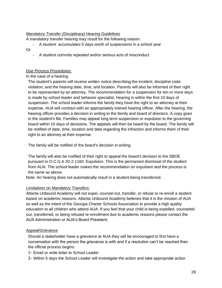# *Mandatory Transfer (Disciplinary) Hearing Guidelines*

A mandatory transfer hearing may result for the following reason:

- A student accumulates 5 days worth of suspensions in a school year Or
	- A student commits repeated and/or serious acts of misconduct

# *Due Process Procedures:*

In the case of a hearing:

The student's parents will receive written notice describing the incident, discipline code violation, and the hearing date, time, and location. Parents will also be informed of their right to be represented by an attorney. The recommendation for a suspension for ten or more days is made by school leader and behavior specialist. Hearing is within the first 10 days of suspension. The school leader informs the family they have the right to an attorney at their expense. AUA will contract with an appropriately trained hearing officer. After the hearing, the hearing officer provides a decision in writing to the family and board of directors. A copy goes in the student's file. Families may appeal long term suspension or expulsion to the governing board within 10 days of decisions. The appeals will then be heard by the board. The family will be notified of date, time, location and data regarding the infraction and informs them of their right to an attorney at their expense.

The family will be notified of the board's decision in writing.

The family will also be notified of their right to appeal the board's decision to the SBOE pursuant to O.C.G.A 20-2-1160. Expulsion- This is the permanent dismissal of the student from AUA. The school leader makes the recommendation on expulsion and the process is the same as above.

Note: An hearing does not automatically result in a student being transferred.

#### *Limitations on Mandatory Transfers:*

Atlanta Unbound Academy will not expel, counsel out, transfer, or refuse to re-enroll a student based on academic reasons. Atlanta Unbound Academy believes that it is the mission of AUA as well as the intent of the Georgia Charter Schools Association to provide a high quality education to all children who attend AUA. If you feel that your child is being expelled, counseled out, transferred, or being refused re-enrollment due to academic reasons please contact the AUA Administration or AUA's Board President.

#### Appeal/Grievance

Should a stakeholder have a grievance at AUA they will be encouraged to first have a conversation with the person the grievance is with and if a resolution can't be reached then the official process begins:

- 1- Email or write letter to School Leader
- 2- Within 5 days the School Leader will investigate the action and take appropriate action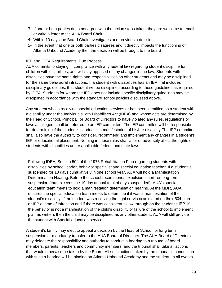- 3- If one or both parties does not agree with the action steps taken, they are welcome to email or write a letter to the AUA Board Chair.
- 4- Within 10 days the Board Chair investigates and provides a decision.
- 5- In the event that one or both parties disagrees and it directly impacts the functioning of Atlanta Unbound Academy then the decision will be brought to the board

#### IEP and IDEA Requirements; Due Process

AUA commits to staying in compliance with any federal law regarding student discipline for children with disabilities, and will stay apprised of any changes in the law. Students with disabilities have the same rights and responsibilities as other students and may be disciplined for the same behavioral infractions. If a student with disabilities has an IEP that includes disciplinary guidelines, that student will be disciplined according to those guidelines as required by IDEA. Students for whom the IEP does not include specific disciplinary guidelines may be disciplined in accordance with the standard school policies discussed above.

Any student who is receiving special education services or has been identified as a student with a disability under the Individuals with Disabilities Act (IDEA) and whose acts are determined by the Head of School, Principal, or Board of Directors to have violated any rules, regulations or laws as alleged, shall be referred to an IEP committee. The IEP committee will be responsible for determining if the student's conduct is a manifestation of his/her disability The IEP committee shall also have the authority to consider, recommend and implement any changes in a student's IEP or educational placement. Nothing in these rules shall alter or adversely affect the rights of students with disabilities under applicable federal and state laws.

Following IDEA, Section 504 of the 1973 Rehabilitation Plan regarding students with disabilities by school leader, behavior specialist and special education teacher. If a student is suspended for 10 days cumulatively in one school year, AUA will hold a Manifestation Determination Hearing. Before the school recommends expulsion, short- or long-term suspension (that exceeds the 10 day annual total of days suspended), AUA's special education team meets to hold a manifestation determination hearing. At the MDR, AUA ensures the special education team meets to determine if it was a manifestation of the student's disability, if the student was receiving the right services as stated on their 504 plan or IEP at time of infraction and if there was consistent follow through on the student's IEP. If the behavior is not a manifestation of the child's disability or failure of the school to implement plan as written, then the child may be disciplined as any other student. AUA will still provide the student with Special education services.

A student's family may elect to appeal a decision by the Head of School for long term suspension or mandatory transfer to the AUA Board of Directors. The AUA Board of Directors may delegate the responsibility and authority to conduct a hearing to a tribunal of board members, parents, teachers and community members, and the tribunal shall take all actions that would otherwise be taken by the Board. All such actions taken by the tribunal in connection with such a hearing will be binding on Atlanta Unbound Academy and the student. In all events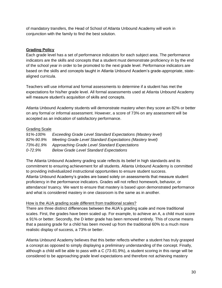of mandatory transfers, the Head of School of Atlanta Unbound Academy will work in conjunction with the family to find the best solution.

# **Grading Policy**

Each grade level has a set of performance indicators for each subject area. The performance indicators are the skills and concepts that a student must demonstrate proficiency in by the end of the school year in order to be promoted to the next grade level. Performance indicators are based on the skills and concepts taught in Atlanta Unbound Academ's grade-appropriate, statealigned curricula.

Teachers will use informal and formal assessments to determine if a student has met the expectations for his/her grade level. All formal assessments used at Atlanta Unbound Academy will measure student's acquisition of skills and concepts.

Atlanta Unbound Academy students will demonstrate mastery when they score an 82% or better on any formal or informal assessment. However, a score of 73% on any assessment will be accepted as an indication of satisfactory performance.

# Grading Scale

| 91%-100%     | <b>Exceeding Grade Level Standard Expectations (Mastery level)</b> |
|--------------|--------------------------------------------------------------------|
| 82%-90.9%    | Meeting Grade Level Standard Expectations (Mastery level)          |
| 73%-81.9%    | Approaching Grade Level Standard Expectations                      |
| $0 - 72.9\%$ | <b>Below Grade Level Standard Expectations</b>                     |

The Atlanta Unbound Academy grading scale reflects its belief in high standards and its commitment to ensuring achievement for all students. Atlanta Unbound Academy is committed to providing individualized instructional opportunities to ensure student success. Atlanta Unbound Academy's grades are based solely on assessments that measure student proficiency in the performance indicators. Grades will not reflect homework, behavior, or attendance/ truancy. We want to ensure that mastery is based upon demonstrated performance and what is considered mastery in one classroom is the same as in another.

# How is the AUA grading scale different from traditional scales?

There are three distinct differences between the AUA's grading scale and more traditional scales. First, the grades have been scaled up. For example, to achieve an A, a child must score a 91% or better. Secondly, the D letter grade has been removed entirely. This of course means that a passing grade for a child has been moved up from the traditional 60% to a much more realistic display of success, a 73% or better.

Atlanta Unbound Academy believes that this better reflects whether a student has truly grasped a concept as opposed to simply displaying a preliminary understanding of the concept. Finally, although a child will be able to pass with a C (73-81.9%), a student scoring in this range will be considered to be approaching grade level expectations and therefore not achieving mastery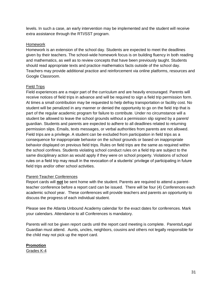levels. In such a case, an early intervention may be implemented and the student will receive extra assistance through the RTI/SST program.

#### Homework

Homework is an extension of the school day. Students are expected to meet the deadlines given by their teachers. The school-wide homework focus is on building fluency in both reading and mathematics, as well as to review concepts that have been previously taught. Students should read appropriate texts and practice mathematics facts outside of the school day. Teachers may provide additional practice and reinforcement via online platforms, resources and Google Classroom.

# Field Trips

Field experiences are a major part of the curriculum and are heavily encouraged. Parents will receive notices of field trips in advance and will be required to sign a field trip permission form. At times a small contribution may be requested to help defray transportation or facility cost. No student will be penalized in any manner or denied the opportunity to go on the field trip that is part of the regular academic program for failure to contribute. Under no circumstance will a student be allowed to leave the school grounds without a permission slip signed by a parent/ guardian. Students and parents are expected to adhere to all deadlines related to returning permission slips. Emails, texts messages, or verbal authorities from parents are not allowed. Field trips are a privilege. A student can be excluded from participation in field trips as a consequence for inappropriate behavior on the school grounds or based on inappropriate behavior displayed on previous field trips. Rules on field trips are the same as required within the school confines. Students violating school conduct rules on a field trip are subject to the same disciplinary action as would apply if they were on school property. Violations of school rules on a field trip may result in the revocation of a students' privilege of participating in future field trips and/or other school activities.

#### Parent-Teacher Conferences

Report cards will **not** be sent home with the student. Parents are required to attend a parentteacher conference before a report card can be issued. There will be four (4) Conferences each academic school year. These conferences will provide teachers and parents an opportunity to discuss the progress of each individual student.

Please see the Atlanta Unbound Academy calendar for the exact dates for conferences. Mark your calendars. Attendance to all Conferences is mandatory.

Parents will not be given report cards until the report card meeting is complete. Parents/Legal Guardian must attend. Aunts, uncles, neighbors, cousins and others not legally responsible for the child may not pick up the report card.

# **Promotion**

Grades K-4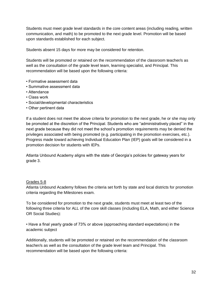Students must meet grade level standards in the core content areas (including reading, written communication, and math) to be promoted to the next grade level. Promotion will be based upon standards established for each subject.

Students absent 15 days for more may be considered for retention.

Students will be promoted or retained on the recommendation of the classroom teacher/s as well as the consultation of the grade level team, learning specialist, and Principal. This recommendation will be based upon the following criteria:

- Formative assessment data
- Summative assessment data
- Attendance
- Class work
- Social/developmental characteristics
- Other pertinent data

If a student does not meet the above criteria for promotion to the next grade, he or she may only be promoted at the discretion of the Principal. Students who are "administratively placed" in the next grade because they did not meet the school's promotion requirements may be denied the privileges associated with being promoted (e.g. participating in the promotion exercises, etc.). Progress made toward achieving Individual Education Plan (IEP) goals will be considered in a promotion decision for students with IEPs.

Atlanta Unbound Academy aligns with the state of Georgia's policies for gateway years for grade 3.

#### Grades 5-8

Atlanta Unbound Academy follows the criteria set forth by state and local districts for promotion criteria regarding the Milestones exam.

To be considered for promotion to the next grade, students must meet at least two of the following three criteria for ALL of the core skill classes (including ELA, Math, and either Science OR Social Studies):

• Have a final yearly grade of 73% or above (approaching standard expectations) in the academic subject

Additionally, students will be promoted or retained on the recommendation of the classroom teacher/s as well as the consultation of the grade level team and Principal. This recommendation will be based upon the following criteria: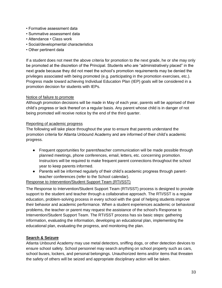- Formative assessment data
- Summative assessment data
- Attendance Class work
- Social/developmental characteristics
- Other pertinent data

If a student does not meet the above criteria for promotion to the next grade, he or she may only be promoted at the discretion of the Principal. Students who are "administratively placed" in the next grade because they did not meet the school's promotion requirements may be denied the privileges associated with being promoted (e.g. participating in the promotion exercises, etc.). Progress made toward achieving Individual Education Plan (IEP) goals will be considered in a promotion decision for students with IEPs.

# Notice of failure to promote

Although promotion decisions will be made in May of each year, parents will be apprised of their child's progress or lack thereof on a regular basis. Any parent whose child is in danger of not being promoted will receive notice by the end of the third quarter.

# Reporting of academic progress

The following will take place throughout the year to ensure that parents understand the promotion criteria for Atlanta Unbound Academy and are informed of their child's academic progress.

- Frequent opportunities for parent/teacher communication will be made possible through planned meetings, phone conferences, email, letters, etc. concerning promotion. Instructors will be required to make frequent parent connections throughout the school year to keep parents informed.
- Parents will be informed regularly of their child's academic progress through parentteacher conferences (refer to the School calendar).

# Response to Intervention/Student Support Team (RTI/SST)

The Response to Intervention/Student Support Team (RTI/SST) process is designed to provide support to the student and teacher through a collaborative approach. The RTI/SST is a regular education, problem-solving process in every school with the goal of helping students improve their behavior and academic performance. When a student experiences academic or behavioral problems, the teacher or parent may request the assistance of the school's Response to Intervention/Student Support Team. The RTI/SST process has six basic steps: gathering information, evaluating the information, developing an educational plan, implementing the educational plan, evaluating the progress, and monitoring the plan.

# **Search & Seizure**

Atlanta Unbound Academy may use metal detectors, sniffing dogs, or other detection devices to ensure school safety. School personnel may search anything on school property such as cars, school buses, lockers, and personal belongings. Unauthorized items and/or items that threaten the safety of others will be seized and appropriate disciplinary action will be taken.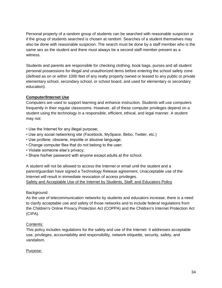Personal property of a random group of students can be searched with reasonable suspicion or if the group of students searched is chosen at random. Searches of a student themselves may also be done with reasonable suspicion. The search must be done by a staff member who is the same sex as the student and there must always be a second staff member present as a witness.

Students and parents are responsible for checking clothing, book bags, purses and all student personal possessions for illegal and unauthorized items before entering the school safety zone (defined as on or within 1000 feet of any realty property owned or leased to any public or private elementary school, secondary school, or school board, and used for elementary or secondary education).

# **Computer/Internet Use**

Computers are used to support learning and enhance instruction. Students will use computers frequently in their regular classrooms. However, all of these computer privileges depend on a student using the technology in a responsible, efficient, ethical, and legal manner. A student may not:

- Use the Internet for any illegal purpose;
- Use any social networking site (Facebook, MySpace, Bebo, Twitter, etc.)
- Use profane, obscene, impolite or abusive language;
- Change computer files that do not belong to the user;
- Violate someone else's privacy;
- Share his/her password with anyone except adults at the school.

A student will not be allowed to access the Internet or email until the student and a parent/guardian have signed a Technology Release agreement. Unacceptable use of the Internet will result in immediate revocation of access privileges. Safety and Acceptable Use of the Internet by Students, Staff, and Educators Policy

#### Background:

As the use of telecommunication networks by students and educators increase, there is a need to clarify acceptable use and safety of those networks and to include federal regulations from the Children's Online Privacy Protection Act (COPPA) and the Children's Internet Protection Act (CIPA).

# Contents:

This policy includes regulations for the safety and use of the Internet. It addresses acceptable use, privileges, accountability and responsibility, network etiquette, security, safety, and vandalism.

#### Purpose: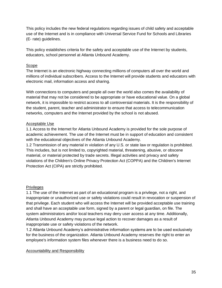This policy includes the new federal regulations regarding issues of child safety and acceptable use of the Internet and is in compliance with Universal Service Fund for Schools and Libraries (E- rate) guidelines.

This policy establishes criteria for the safety and acceptable use of the Internet by students, educators, school personnel at Atlanta Unbound Academy.

# Scope

The Internet is an electronic highway connecting millions of computers all over the world and millions of individual subscribers. Access to the Internet will provide students and educators with electronic mail, information access and sharing.

With connections to computers and people all over the world also comes the availability of material that may not be considered to be appropriate or have educational value. On a global network, it is impossible to restrict access to all controversial materials. It is the responsibility of the student, parent, teacher and administrator to ensure that access to telecommunication networks, computers and the Internet provided by the school is not abused.

# Acceptable Use

1.1 Access to the Internet for Atlanta Unbound Academy is provided for the sole purpose of academic achievement. The use of the Internet must be in support of education and consistent with the educational objectives of the Atlanta Unbound Academy.

1.2 Transmission of any material in violation of any U.S. or state law or regulation is prohibited. This includes, but is not limited to, copyrighted material, threatening, abusive, or obscene material, or material protected by trade secrets. Illegal activities and privacy and safety violations of the Children's Online Privacy Protection Act (COPPA) and the Children's Internet Protection Act (CIPA) are strictly prohibited.

# Privileges

1.1 The use of the Internet as part of an educational program is a privilege, not a right, and inappropriate or unauthorized use or safety violations could result in revocation or suspension of that privilege. Each student who will access the Internet will be provided acceptable use training and shall have an acceptable use form, signed by a parent or legal guardian, on file. The system administrators and/or local teachers may deny user access at any time. Additionally, Atlanta Unbound Academy may pursue legal action to recover damages as a result of inappropriate use or safety violations of the network.

1.2 Atlanta Unbound Academy's administrative information systems are to be used exclusively for the business of the organization. Atlanta Unbound Academy reserves the right to enter an employee's information system files whenever there is a business need to do so.

# Accountability and Responsibility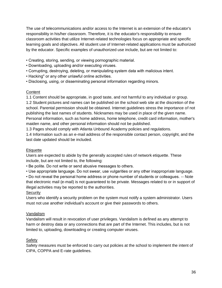The use of telecommunications and/or access to the Internet is an extension of the educator's responsibility in his/her classroom. Therefore, it is the educator's responsibility to ensure classroom activities that utilize Internet-related technologies focus on appropriate and specific learning goals and objectives. All student use of Internet-related applications must be authorized by the educator. Specific examples of unauthorized use include, but are not limited to:

- Creating, storing, sending, or viewing pornographic material.
- Downloading, uploading and/or executing viruses.
- Corrupting, destroying, deleting, or manipulating system data with malicious intent.
- Hacking" or any other unlawful online activities.
- Disclosing, using, or disseminating personal information regarding minors.

## **Content**

1.1 Content should be appropriate, in good taste, and not harmful to any individual or group. 1.2 Student pictures and names can be published on the school web site at the discretion of the school. Parental permission should be obtained. Internet guidelines stress the importance of not publishing the last names of students. Nicknames may be used in place of the given name. Personal information, such as home address, home telephone, credit card information, mother's maiden name, and other personal information should not be published.

1.3 Pages should comply with Atlanta Unbound Academy policies and regulations.

1.4 Information such as an e-mail address of the responsible contact person, copyright, and the last date updated should be included.

## **Etiquette**

Users are expected to abide by the generally accepted rules of network etiquette. These include, but are not limited to, the following:

• Be polite. Do not write or send abusive messages to others.

• Use appropriate language. Do not swear, use vulgarities or any other inappropriate language.

• Do not reveal the personal home address or phone number of students or colleagues. -- Note that electronic mail (e-mail) is not guaranteed to be private. Messages related to or in support of illegal activities may be reported to the authorities.

## **Security**

Users who identify a security problem on the system must notify a system administrator. Users must not use another individual's account or give their passwords to others.

## Vandalism

Vandalism will result in revocation of user privileges. Vandalism is defined as any attempt to harm or destroy data or any connections that are part of the Internet. This includes, but is not limited to, uploading, downloading or creating computer viruses.

## Safety

Safety measures must be enforced to carry out policies at the school to implement the intent of CIPA, COPPA and E-rate guidelines.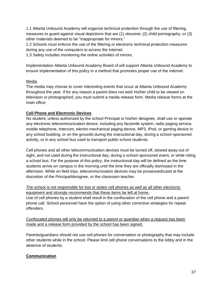1.1 Atlanta Unbound Academy will organize technical protection through the use of filtering, measures to guard against visual depictions that are (1) obscene; (2) child pornography; or (3) other materials deemed to be "inappropriate for minors."

1.2 Schools must enforce the use of the filtering or electronic technical protection measures during any use of the computers to access the Internet.

1.3 Safety includes monitoring the online activities of minors.

Implementation Atlanta Unbound Academy Board of will support Atlanta Unbound Academy to ensure implementation of this policy in a method that promotes proper use of the Internet.

## Media

The media may choose to cover interesting events that occur at Atlanta Unbound Academy throughout the year. If for any reason a parent does not wish his/her child to be viewed on television or photographed, you must submit a media release form. Media release forms at the main office.

## **Cell Phone and Electronic Devices**

No student, unless authorized by the school Principal or his/her designee, shall use or operate any electronic telecommunication device, including any facsimile system, radio paging service, mobile telephone, intercom, electro-mechanical paging device, MP3, IPod, or gaming device in any school building, or on the grounds during the instructional day, during a school-sponsored activity, or in any school bus used to transport public school students.

Cell phones and all other telecommunication devices must be turned off, stowed away out of sight, and not used during the instructional day, during a school-sponsored event, or while riding a school bus. For the purpose of this policy, the instructional day will be defined as the time students arrive on campus in the morning until the time they are officially dismissed in the afternoon. While on field trips, telecommunication devices may be possessed/used at the discretion of the Principal/designee, or the classroom teacher.

The school is not responsible for lost or stolen cell phones as well as all other electronic equipment and strongly recommends that these items be left at home.

Use of cell phones by a student shall result in the confiscation of the cell phone and a parent phone call. School personnel have the option of using other corrective strategies for repeat offenders.

Confiscated phones will only be returned to a parent or guardian when a request has been made and a release form provided by the school has been signed.

Parents/guardians should not use cell phones for conversation or photography that may include other students while in the school. Please limit cell phone conversations to the lobby and in the absence of students.

## **Communication**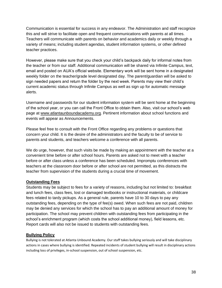Communication is essential for success in any endeavor. The Administration and staff recognize this and will strive to facilitate open and frequent communications with parents at all times. Teachers will communicate with parents on behavior and academics daily or weekly through a variety of means; including student agendas, student information systems, or other defined teacher practices.

However, please make sure that you check your child's backpack daily for informal notes from the teacher or from our staff. Additional communication will be shared via Infinite Campus, text, email and posted on AUA's official website. Elementary work will be sent home in a designated weekly folder on the teacher/grade level designated day. The parent/guardian will be asked to sign needed papers and return the folder by the next week. Parents may view their child's current academic status through Infinite Campus as well as sign up for automatic message alerts.

Username and passwords for our student information system will be sent home at the beginning of the school year, or you can call the Front Office to obtain them. Also, visit our school's web page at [www.atlantaunboundacademy.org.](http://www.atlantaunboundacademy.org/) Pertinent information about school functions and events will appear as Announcements.

Please feel free to consult with the Front Office regarding any problems or questions that concern your child. It is the desire of the administrators and the faculty to be of service to parents and students, and teachers welcome a conference with all parents.

We do urge, however, that such visits be made by making an appointment with the teacher at a convenient time before or after school hours. Parents are asked not to meet with a teacher before or after class unless a conference has been scheduled. Impromptu conferences with teachers at the classroom door before or after school are not permitted, as this distracts the teacher from supervision of the students during a crucial time of movement.

## **Outstanding Fees**

Students may be subject to fees for a variety of reasons, including but not limited to: breakfast and lunch fees, class fees, lost or damaged textbooks or instructional materials, or childcare fees related to tardy pickups. As a general rule, parents have 10 to 30 days to pay any outstanding fees, depending on the type of fee(s) owed. When such fees are not paid, children may be denied any services for which the school has to pay an additional amount of money for participation. The school may prevent children with outstanding fees from participating in the school's enrichment program (which costs the school additional money), field lessons, etc. Report cards will also not be issued to students with outstanding fees.

## **Bullying Policy**

Bullying is not tolerated at Atlanta Unbound Academy. Our staff takes bullying seriously and will take disciplinary actions in cases where bullying is identified. Repeated incidents of student bullying will result in disciplinary actions including loss of privileges, in-school suspension, out of school suspension, etc.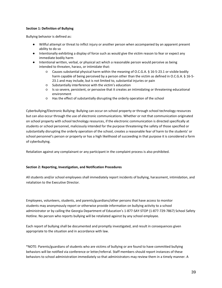#### **Section 1: Definition of Bullying**

Bullying behavior is defined as:

- Willful attempt or threat to inflict injury or another person when accompanied by an apparent present ability to do so
- Intentionally exhibiting a display of force such as would give the victim reason to fear or expect any immediate bodily harm
- Intentional written, verbal, or physical act which a reasonable person would perceive as being intended to threaten, harass, or intimidate that:
	- Causes substantial physical harm within the meaning of O.C.G.A. § 16-5-23.1 or visible bodily harm capable of being perceived by a person other than the victim as defined in O.C.G.A. § 16-5-23.1 and may include, but is not limited to, substantial injuries or pain
	- Substantially interference with the victim's education
	- Is so severe, persistent, or pervasive that it creates an intimidating or threatening educational environment
	- Has the effect of substantially disrupting the orderly operation of the school

Cyberbullying/Electronic Bullying: Bullying can occur on school property or through school technology resources but can also occur through the use of electronic communications. Whether or not that communication originated on school property with school technology resources, if the electronic communication is directed specifically at students or school personnel, maliciously intended for the purpose threatening the safety of those specified or substantially disrupting the orderly operation of the school, creates a reasonable fear of harm to the students' or school personnel's person or property or has a high likelihood of succeeding in that purpose it is considered a form of cyberbullying.

Retaliation against any complainant or any participant in the complaint process is also prohibited.

#### **Section 2: Reporting, Investigation, and Notification Procedures**

All students and/or school employees shall immediately report incidents of bullying, harassment, intimidation, and retaliation to the Executive Director.

Employees, volunteers, students, and parents/guardians/other persons that have access to monitor students may anonymously report or otherwise provide information on bullying activity to a school administrator or by calling the Georgia Department of Education's 1-877-SAY-STOP (1-877-729-7867) School Safety Hotline. No person who reports bullying will be retaliated against by any school employee.

Each report of bullying shall be documented and promptly investigated, and result in consequences given appropriate to the situation and in accordance with law.

\*NOTE: Parents/guardians of students who are victims of bullying or are found to have committed bullying behaviors will be notified via conference or letter/referral. Staff members should report instances of these behaviors to school administration immediately so that administrators may review them in a timely manner. A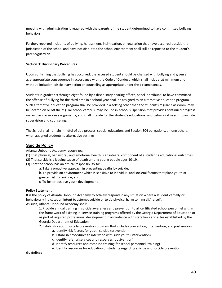meeting with administration is required with the parents of the student determined to have committed bullying behaviors.

Further, reported incidents of bullying, harassment, intimidation, or retaliation that have occurred outside the jurisdiction of the school and have not disrupted the school environment shall still be reported to the student's parent/guardian.

#### **Section 3: Disciplinary Procedures**

Upon confirming that bullying has occurred, the accused student should be charged with bullying and given an age-appropriate consequence in accordance with the Code of Conduct, which shall include, at minimum and without limitation, disciplinary action or counseling as appropriate under the circumstances.

Students in grades six through eight found by a disciplinary hearing officer, panel, or tribunal to have committed the offense of bullying for the third time in a school year shall be assigned to an alternative education program. Such alternative education program shall be provided in a setting other than the student's regular classroom, may be located on or off the regular school campus, may include in-school suspension that provides continued progress on regular classroom assignments, and shall provide for the student's educational and behavioral needs, to include supervision and counseling.

The School shall remain mindful of due process, special education, and Section 504 obligations, among others, when assigned students to alternative settings.

### **Suicide Policy**

Atlanta Unbound Academy recognizes:

(1) That physical, behavioral, and emotional health is an integral component of a student's educational outcomes,

(2) That suicide is a leading cause of death among young people ages 10-19,

(3) That the school has an ethical responsibility to:

a. Take a proactive approach in preventing deaths by suicide,

b. To provide an environment which is sensitive to individual and societal factors that place youth at greater risk for suicide, and

c. To foster positive youth development.

#### **Policy Statement**

It is the policy of Atlanta Unbound Academy to actively respond in any situation where a student verbally or behaviorally indicates an intent to attempt suicide or to do physical harm to himself/herself. As such, Atlanta Unbound Academy shall:

1. Provide annual training in suicide awareness and prevention to all certificated school personnel within the framework of existing in-service training programs offered by the Georgia Department of Education or as part of required professional development in accordance with state laws and rules established by the Georgia Department of Education.

2. Establish a youth suicide prevention program that includes prevention, intervention, and postvention:

- a. Identify risk factors for youth suicide (prevention)
- b. Establish procedures to intervene with such youth (intervention)
- c. Identify referral services and resources (postvention)
- d. Identify resources and establish training for school personnel (training)
- e. Identify resources for education of students regarding suicide and suicide prevention.

#### **Guidelines**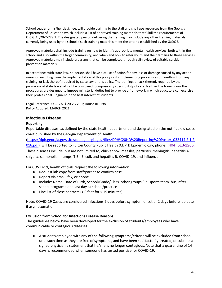School Leader or his/her designee, will provide training to the staff and shall use resources from the Georgia Department of Education which include a list of approved training materials that fulfill the requirements of O.C.G.A.§20-2-779.1. The designated person delivering the training may include any other training materials currently being used by the school if such training materials meet the criteria established by the GaDOE.

Approved materials shall include training on how to identify appropriate mental health services, both within the school and also within the larger community, and when and how to refer youth and their families to those services. Approved materials may include programs that can be completed through self-review of suitable suicide prevention materials.

In accordance with state law, no person shall have a cause of action for any loss or damage caused by any act or omission resulting from the implementation of this policy or its implementing procedures or resulting from any training, or lack thereof, required by state law or this policy. The training, or lack thereof, required by the provisions of state law shall not be construed to impose any specific duty of care. Neither the training nor the procedures are designed to impose ministerial duties but to provide a framework in which educators can exercise their professional judgment in the best interest of students.

Legal Reference: O.C.G.A. § 20-2-779.1; House Bill 198 Policy Adopted: MARCH 2021

### **Infectious Disease**

### **Reporting**

Reportable diseases, as defined by the state health department and designated on the notifiable disease chart published by the Georgia Department of Health

[\(https://dph.georgia.gov/sites/dph.georgia.gov/files/DPH%20ND%20Reporting%20Poster\\_032414.2.1.2](https://dph.georgia.gov/sites/dph.georgia.gov/files/DPH%20ND%20Reporting%20Poster_032414.2.1.2016.pdf) [016.pdf\)](https://dph.georgia.gov/sites/dph.georgia.gov/files/DPH%20ND%20Reporting%20Poster_032414.2.1.2016.pdf), will be reported to Fulton County Public Health (CDPH) Epidemiology, phone: [\(404\) 613-1205](https://www.google.com/search?q=fulton+county+public+health&client=safari&source=hp&ei=2Op1YPGZJdGotQXdgLP4Cw&iflsig=AINFCbYAAAAAYHX46KAyyvUC2eE2cbrNSosGJut0-VD-&gs_ssp=eJwFwbENgCAQAMDY6gg2NNZAEH0cwS185MWEIAUobO9dP_CLyy9ie1MS3TaJCkBaKHDnuqCeT9xERTq0Ia2kAzQEZh-phPxEZp8Sc2OpYLgt8-4I2f_7ixpC&oq=fulton+county+public+&gs_lcp=Cgdnd3Mtd2l6EAEYADILCC4QxwEQrwEQkwIyAggAMgIIADIICC4QxwEQrwEyCAguEMcBEK8BMgIIADIICC4QxwEQrwEyAggAMgIIADICCAA6CAgAELEDEIMBOgsILhCxAxDHARCjAjoFCAAQsQM6BQguELEDOggILhDHARCjAjoFCC4QkwI6AgguOggILhCxAxCTAjoOCC4QsQMQgwEQxwEQrwE6BQgAEMkDUNUDWOUbYMopaAFwAHgBgAHhAYgBzhKSAQYxMy44LjGYAQCgAQGqAQdnd3Mtd2l6&sclient=gws-wiz). These diseases include, but are not limited to, chickenpox, measles, pertussis, meningitis, hepatitis A, shigella, salmonella, mumps, T.B., E. coli, and hepatitis B, COVID-19, and influenza.

For COVID-19, health officials request the following information:

- Request lab copy from staff/parent to confirm case
- Report via email, fax, or phone
- Include: Name, Date of Birth, School/Grade/Class, other groups (i.e. sports team, bus, after school program), and last day at school/practice
- Line list of close contacts (< 6 feet for > 15 minutes)

Note: COVID-19 Cases are considered infections 2 days before symptom onset or 2 days before lab date if asymptomatic

#### **Exclusion from School for Infections Disease Reasons**

The guidelines below have been developed for the exclusion of students/employees who have communicable or contagious diseases.

● A student/employee with any of the following symptoms/criteria will be excluded from school until such time as they are free of symptoms, and have been satisfactorily treated, or submits a signed physician's statement that he/she is no longer contagious. Note that a quarantine of 14 days is recommended when someone has tested positive for COVID-19.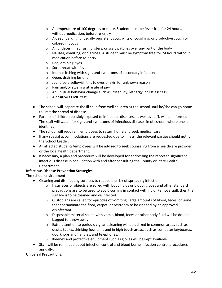- $\circ$  A temperature of 100 degrees or more. Student must be fever free for 24 hours, without medication, before re-entry
- $\circ$  A deep, barking, unusually persistent cough/fits of coughing, or productive cough of colored mucous
- $\circ$  An undetermined rash, blisters, or scaly patches over any part of the body
- $\circ$  Nausea, vomiting, or diarrhea. A student must be symptom free for 24 hours without medication before re-entry
- o Red, draining eyes
- o Sore throat with fever
- o Intense itching with signs and symptoms of secondary infection
- o Open, draining lesions
- o Jaundice-a yellowish tint to eyes or skin for unknown reason
- o Pain and/or swelling at angle of jaw
- o An unusual behavior change such as irritability, lethargy, or listlessness
- o A positive COVID test
- The school will separate the ill child from well children at the school until he/she can go home to limit the spread of disease.
- Parents of children possibly exposed to infectious diseases, as well as staff, will be informed. The staff will watch for signs and symptoms of infectious diseases in classroom where one is identified.
- The school will require ill employees to return home and seek medical care.
- If any special accommodations are requested due to illness, the relevant parties should notify the School Leader.
- All affected students/employees will be advised to seek counseling from a healthcare provider or the local health department.
- If necessary, a plan and procedure will be developed for addressing the reported significant infectious disease in conjunction with and after consulting the County or State Health Department.

### **Infectious Disease Prevention Strategies**

The school environment:

- Cleaning and disinfecting surfaces to reduce the risk of spreading infection.
	- $\circ$  If surfaces or objects are soiled with body fluids or blood, gloves and other standard precautions are to be used to avoid coming in contact with fluid. Remove spill, then the surface is to be cleaned and disinfected.
	- $\circ$  Custodians are called for episodes of vomiting, large amounts of blood, feces, or urine that contaminate the floor, carpet, or restroom to be cleaned by an approved disinfectant.
	- $\circ$  Disposable material soiled with vomit, blood, feces or other body fluid will be double bagged to throw away.
	- $\circ$  Extra attention to periodic vigilant cleaning will be utilized in common areas such as desks, tables, drinking fountains and in high touch areas, such as computer keyboards, doorknobs and handles, and telephones.
	- o Kleenex and protective equipment such as gloves will be kept available.
- Staff will be reminded about infection control and blood borne infection control procedures annually.

Universal Precautions: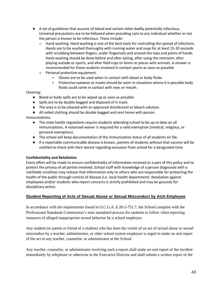- A set of guidelines that assume all blood and certain other bodily potentially infectious. Universal precautions are to be followed when providing care to any individual whether or not the person is known to be infectious. These include:
	- $\circ$  Hand washing: Hand washing is one of the best tools for controlling the spread of infections. Hands are to be washed thoroughly with running water and soap for at least 15-20 seconds with scrubbing between fingers, under fingernails and around the tops and palms of hands. Hand washing should be done before and after eating, after using the restroom, after playing outside or sports, and after field trips to farms or places with animals. A shower is recommended for those students involved in contact sports as soon as possible
	- o Personal protective equipment.
		- Gloves are to be used when in contact with blood or body fluids.
		- Protective eyewear or masks should be worn in situations where it is possible body fluids could come in contact with eyes or mouth.

Cleaning:

- Blood or body spills are to be wiped up as soon as possible.
- Spills are to be double bagged and disposed of in trash.
- The area is to be cleaned with an approved disinfectant or bleach solution.
- All soiled clothing should be double bagged and sent home with person.

Immunizations:

- The state health regulations require students attending school to be up to date on all immunizations. A notarized waiver is required for a valid exemption (medical, religious, or personal exemption).
- The school will keep documentation of the immunization status of all students on file.
- If a reportable communicable disease is known, parents of students without that vaccine will be notified to check with their doctor regarding exclusion from school for a designated time.

### **Confidentiality and Retaliation**

Every effort will be made to ensure confidentiality of information received as a part of this policy and to protect the privacy of all parties involved. School staff with knowledge of a person diagnosed with a notifiable condition may release that information only to others who are responsible for protecting the health of the public through control of disease (i.e. local health department). Retaliation against employees and/or students who report concerns is strictly prohibited and may be grounds for disciplinary action.

## **Student Reporting of Acts of Sexual Abuse or Sexual Misconduct by AUA Employee**

In accordance with the requirements found in O.C.G.A. § 20-2-751.7, the School complies with the Professional Standards Commission's state mandated process for students to follow when reporting instances of alleged inappropriate sexual behavior by a school employee.

Any student (or parent or friend of a student) who has been the victim of an act of sexual abuse or sexual misconduct by a teacher, administrator, or other school system employee is urged to make an oral report of the act to any teacher, counselor, or administrator at the School.

Any teacher, counselor, or administrator receiving such a report shall make an oral report of the incident immediately by telephone or otherwise to the Executive Director and shall submit a written report of the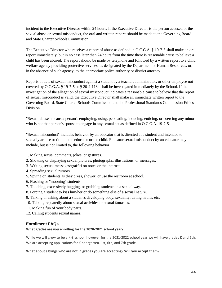incident to the Executive Director within 24 hours. If the Executive Director is the person accused of the sexual abuse or sexual misconduct, the oral and written reports should be made to the Governing Board and State Charter Schools Commission.

The Executive Director who receives a report of abuse as defined in O.C.G.A. § 19-7-5 shall make an oral report immediately, but in no case later than 24 hours from the time there is reasonable cause to believe a child has been abused. The report should be made by telephone and followed by a written report to a child welfare agency providing protective services, as designated by the Department of Human Resources, or, in the absence of such agency, to the appropriate police authority or district attorney.

Reports of acts of sexual misconduct against a student by a teacher, administrator, or other employee not covered by O.C.G.A. § 19-7-5 or § 20-2-1184 shall be investigated immediately by the School. If the investigation of the allegation of sexual misconduct indicates a reasonable cause to believe that the report of sexual misconduct is valid, the Executive Director shall make an immediate written report to the Governing Board, State Charter Schools Commission and the Professional Standards Commission Ethics Division.

"Sexual abuse" means a person's employing, using, persuading, inducing, enticing, or coercing any minor who is not that person's spouse to engage in any sexual act as defined in O.C.G.A. 19-7-5.

"Sexual misconduct" includes behavior by an educator that is directed at a student and intended to sexually arouse or titillate the educator or the child. Educator sexual misconduct by an educator may include, but is not limited to, the following behavior:

- 1. Making sexual comments, jokes, or gestures.
- 2. Showing or displaying sexual pictures, photographs, illustrations, or messages.
- 3. Writing sexual messages/graffiti on notes or the internet.
- 4. Spreading sexual rumors.
- 5. Spying on students as they dress, shower, or use the restroom at school.
- 6. Flashing or "mooning" students.
- 7. Touching, excessively hugging, or grabbing students in a sexual way.
- 8. Forcing a student to kiss him/her or do something else of a sexual nature.
- 9. Talking or asking about a student's developing body, sexuality, dating habits, etc.
- 10. Talking repeatedly about sexual activities or sexual fantasies.
- 11. Making fun of your body parts.
- 12. Calling students sexual names.

### **Enrollment FAQs**

#### **What grades are you enrolling for the 2020-2021 school year?**

While we will grow to be a K-8 school, however for the 2021-2022 school year we will have grades K and 6th. We are accepting applications for Kindergarten, 1st, 6th, and 7th grade.

#### **What about siblings who are not in grades you are accepting? Will you accept them?**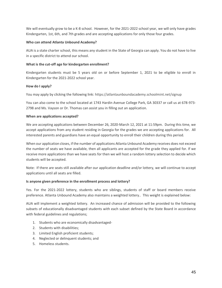We will eventually grow to be a K-8 school. However, for the 2021-2022 school year, we will only have grades Kindergarten, 1st, 6th, and 7th grades and are accepting applications for only those four grades.

#### **Who can attend Atlanta Unbound Academy?**

AUA is a state charter school, this means any student in the State of Georgia can apply. You do not have to live in a specific district to attend our school.

#### **What is the cut-off age for kindergarten enrollment?**

Kindergarten students must be 5 years old on or before September 1, 2021 to be eligible to enroll in Kindergarten for the 2021-2022 school year.

#### **How do I apply?**

You may apply by clicking the following link:<https://atlantaunboundacademy.schoolmint.net/signup>

You can also come to the school located at 1743 Hardin Avenue College Park, GA 30337 or call us at 678-973- 2798 and Ms. Vayson or Dr. Thomas can assist you in filling out an application.

#### **When are applications accepted?**

We are accepting applications between December 26, 2020-March 12, 2021 at 11:59pm. During this time, we accept applications from any student residing in Georgia for the grades we are accepting applications for. All interested parents and guardians have an equal opportunity to enroll their children during this period.

When our application closes, if the number of applications Atlanta Unbound Academy receives does not exceed the number of seats we have available, then all applicants are accepted for the grade they applied for. If we receive more applications than we have seats for then we will host a random lottery selection to decide which students will be accepted.

Note: If there are seats still available after our application deadline and/or lottery, we will continue to accept applications until all seats are filled.

#### **Is anyone given preference in the enrollment process and lottery?**

Yes. For the 2021-2022 lottery, students who are siblings, students of staff or board members receive preference. Atlanta Unbound Academy also maintains a weighted lottery.. This weight is explained below:

AUA will implement a weighted lottery. An increased chance of admission will be provided to the following subsets of educationally disadvantaged students with each subset defined by the State Board in accordance with federal guidelines and regulations;

- 1. Students who are economically disadvantaged-
- 2. Students with disabilities;
- 3. Limited English proficient students;
- 4. Neglected or delinquent students; and
- 5. Homeless students.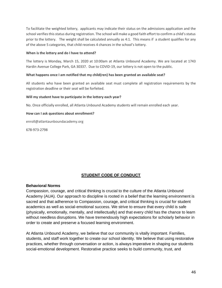To facilitate the weighted lottery, applicants may indicate their status on the admissions application and the school verifies this status during registration. The school will make a good faith effort to confirm a child's status prior to the lottery. The weight shall be calculated annually as 4:1. This means if a student qualifies for any of the above 5 categories, that child receives 4 chances in the school's lottery.

#### **When is the lottery and do I have to attend?**

The lottery is Monday, March 15, 2020 at 10:00am at Atlanta Unbound Academy. We are located at 1743 Hardin Avenue College Park, GA 30337. Due to COVID-19, our lottery is not open to the public.

#### **What happens once I am notified that my child(ren) has been granted an available seat?**

All students who have been granted an available seat must complete all registration requirements by the registration deadline or their seat will be forfeited.

#### **Will my student have to participate in the lottery each year?**

No. Once officially enrolled, all Atlanta Unbound Academy students will remain enrolled each year.

### **How can I ask questions about enrollment?**

enroll@atlantaunboundacademy.org

678-973-2798

## **STUDENT CODE OF CONDUCT**

### **Behavioral Norms**

Compassion, courage, and critical thinking is crucial to the culture of the Atlanta Unbound Academy (AUA). Our approach to discipline is rooted in a belief that the learning environment is sacred and that adherence to Compassion, courage, and critical thinking is crucial for student academics as well as social-emotional success. We strive to ensure that every child is safe (physically, emotionally, mentally, and intellectually) and that every child has the chance to learn without needless disruptions. We have tremendously high expectations for scholarly behavior in order to create and preserve a focused learning environment.

At Atlanta Unbound Academy, we believe that our community is vitally important. Families, students, and staff work together to create our school identity. We believe that using restorative practices, whether through conversation or action, is always imperative in shaping our students social-emotional development. Restorative practice seeks to build community, trust, and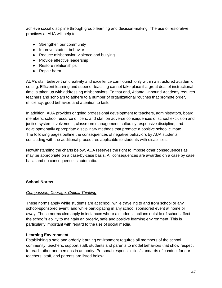achieve social discipline through group learning and decision-making. The use of restorative practices at AUA will help to:

- Strengthen our community
- Improve student behavior
- Reduce misbehavior, violence and bullying
- Provide effective leadership
- Restore relationships
- Repair harm

AUA's staff believe that creativity and excellence can flourish only within a structured academic setting. Efficient learning and superior teaching cannot take place if a great deal of instructional time is taken up with addressing misbehaviors. To that end, Atlanta Unbound Academy requires teachers and scholars to adhere to a number of organizational routines that promote order, efficiency, good behavior, and attention to task.

In addition, AUA provides ongoing professional development to teachers, administrators, board members, school resource officers, and staff on adverse consequences of school exclusion and justice-system involvement, classroom management, culturally responsive discipline, and developmentally appropriate disciplinary methods that promote a positive school climate. The following pages outline the consequences of negative behaviors by AUA students, concluding with the additional procedures applicable to students with disabilities.

Notwithstanding the charts below, AUA reserves the right to impose other consequences as may be appropriate on a case-by-case basis. All consequences are awarded on a case by case basis and no consequence is automatic.

### **School Norms**

### *Compassion, Courage, Critical Thinking*

These norms apply while students are at school, while traveling to and from school or any school-sponsored event, and while participating in any school sponsored event at home or away. These norms also apply in instances where a student's actions outside of school affect the school's ability to maintain an orderly, safe and positive learning environment. This is particularly important with regard to the use of social media.

### **Learning Environment**

Establishing a safe and orderly learning environment requires all members of the school community, teachers, support staff, students and parents to model behaviors that show respect for each other and persons in authority. Personal responsibilities/standards of conduct for our teachers, staff, and parents are listed below: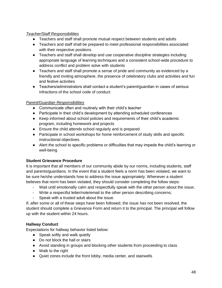## *Teacher/Staff Responsibilities*

- Teachers and staff shall promote mutual respect between students and adults
- Teachers and staff shall be prepared to meet professional responsibilities associated with their respective positions
- Teachers and staff shall develop and use cooperative discipline strategies including appropriate language of learning techniques and a consistent school-wide procedure to address conflict and problem solve with students
- Teachers and staff shall promote a sense of pride and community as evidenced by a friendly and inviting atmosphere, the presence of celebratory clubs and activities and fun and festive activities
- Teachers/administrators shall contact a student's parent/guardian in cases of serious infractions of the school code of conduct

## *Parent/Guardian Responsibilities*

- Communicate often and routinely with their child's teacher
- Participate in their child's development by attending scheduled conferences
- Keep informed about school policies and requirements of their child's academic program, including homework and projects
- Ensure the child attends school regularly and is prepared
- Participate in school workshops for home reinforcement of study skills and specific instructional objectives
- Alert the school to specific problems or difficulties that may impede the child's learning or well-being

## **Student Grievance Procedure**

It is important that all members of our community abide by our norms, including students, staff and parents/guardians. In the event that a student feels a norm has been violated, we want to be sure he/she understands how to address the issue appropriately. Whenever a student believes that norm has been violated, they should consider completing the follow steps:

- Wait until emotionally calm and respectfully speak with the other person about the issue;
- Write a respectful letter/note/email to the other person describing concerns;
- Speak with a trusted adult about the issue.

If, after some or all of these steps have been followed, the issue has not been resolved, the student should complete a Grievance Form and return it to the principal. The principal will follow up with the student within 24 hours.

## **Hallway Conduct**

Expectations for hallway behavior listed below:

- Speak softly and walk quietly
- Do not block the hall or stairs
- Avoid standing in groups and blocking other students from proceeding to class
- Walk to the right
- Quiet zones include the front lobby, media center, and stairwells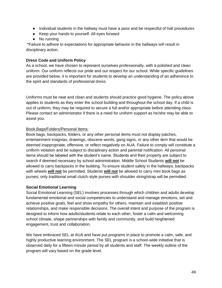- Individual students in the hallway must have a pass and be respectful of hall procedures
- Keep your hands to yourself. All eyes forward
- No running

\*Failure to adhere to expectations for appropriate behavior in the hallways will result in disciplinary action.

### **Dress Code and Uniform Policy**

As a school, we have chosen to represent ourselves professionally, with a polished and clean uniform. Our uniform reflects our pride and our respect for our school. While specific guidelines are provided below, it is important for students to develop an understanding of an adherence to the spirit and standards of professional dress.

Uniforms must be neat and clean and students should practice good hygiene. The policy above applies to students as they enter the school building and throughout the school day. If a child is out of uniform, they may be required to secure a full and/or appropriate before attending class. Please contact an administrator if there is a need for uniform support as he/she may be able to assist you.

### Book Bags/Folders/Personal Items:

Book bags, backpacks, folders, or any other personal items must not display patches, entertainment insignias, drawings, obscene words, gang signs, or any other item that would be deemed inappropriate, offensive, or reflect negatively on AUA. Failure to comply will constitute a uniform violation and be subject to disciplinary action and parental notification. All personal items should be labeled with the student's name. Students and their property are subject to search if deemed necessary by school administration. Middle School Students **will not** be allowed to carry backpacks in the building. To ensure student safety in the hallways, backpacks with wheels **will not** be permitted. Students **will not** be allowed to carry mini book bags as purses; only traditional small clutch-style purses with shoulder string/strap will be permitted.

### **Social Emotional Learning**

Social Emotional Learning (SEL) involves processes through which children and adults develop fundamental emotional and social competencies to understand and manage emotions, set and achieve positive goals, feel and show empathy for others, maintain and establish positive relationships, and make responsible decisions. The overall intent and purpose of the program is designed to inform how adults/students relate to each other, foster a calm and welcoming school climate, shape partnerships with family and community, and build heightened engagement, trust and collaboration.

We have embraced SEL at AUA and have put programs in place to promote a calm, safe, and highly productive learning environment. The SEL program is a school-wide initiative that is observed daily for a fifteen-minute period by all students and staff. The weekly outline of the program will vary based on the grade level.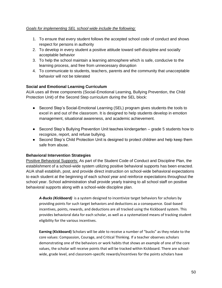### *Goals for implementing SEL school wide include the following:*

- 1. To ensure that every student follows the accepted school code of conduct and shows respect for persons in authority
- 2. To develop in every student a positive attitude toward self-discipline and socially acceptable behavior
- 3. To help the school maintain a learning atmosphere which is safe, conducive to the learning process, and free from unnecessary disruption
- 4. To communicate to students, teachers, parents and the community that unacceptable behavior will not be tolerated

## **Social and Emotional Learning Curriculum**

AUA uses all three components (Social-Emotional Learning, Bullying Prevention, the Child Protection Unit) of the Second Step curriculum during the SEL block:

- Second Step's Social-Emotional Learning (SEL) program gives students the tools to excel in and out of the classroom. It is designed to help students develop in emotion management, situational awareness, and academic achievement.
- Second Step's Bullying Prevention Unit teaches kindergarten grade 5 students how to recognize, report, and refuse bullying.
- Second Step's Child Protection Unit is designed to protect children and help keep them safe from abuse.

## **Behavioral Intervention Strategies**

Positive Behavioral Supports: As part of the Student Code of Conduct and Discipline Plan, the establishment of a school-wide system utilizing positive behavioral supports has been enacted. AUA shall establish, post, and provide direct instruction on school-wide behavioral expectations to each student at the beginning of each school year and reinforce expectations throughout the school year. School administration shall provide yearly training to all school staff on positive behavioral supports along with a school-wide discipline plan.

*A-Bucks (Kickboard)* is a system designed to incentivize target behaviors for scholars by providing points for such target behaviors and deductions as a consequence. Goal-based incentives, points, rewards, and deductions are all tracked using the Kickboard system. This provides behavioral data for each scholar, as well as a systematized means of tracking student eligibility for the various incentives.

**Earning (Kickboard)** Scholars will be able to receive a number of "bucks" as they relate to the core values: Compassion, Courage, and Critical Thinking. If a teacher observes scholars demonstrating one of the behaviors or work habits that shows an example of one of the core values, the scholar will receive points that will be tracked within Kickboard. There are schoolwide, grade level, and classroom-specific rewards/incentives for the points scholars have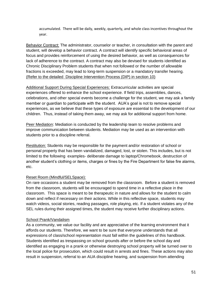accumulated. There will be daily, weekly, quarterly, and whole class incentives throughout the year.

Behavior Contract: The administrator, counselor or teacher, in consultation with the parent and student, will develop a behavior contract. A contract will identify specific behavioral areas of focus and provides reinforcement of using the desired behavior, as well as consequences for lack of adherence to the contract. A contract may also be devised for students identified as Chronic Disciplinary Problem students that when not followed or the number of allowable fractions is exceeded, may lead to long-term suspension or a mandatory transfer hearing. (Refer to the detailed Discipline Intervention Process (DIP) in section 10)

Additional Support During Special Experiences: Extracurricular activities are special experiences offered to enhance the school experience. If field trips, assemblies, dances, celebrations, and other special events become a challenge for the student, we may ask a family member or guardian to participate with the student. AUA's goal is not to remove special experiences, as we believe that these types of exposure are essential to the development of our children. Thus, instead of taking them away, we may ask for additional support from home.

Peer Mediation: Mediation is conducted by the leadership team to resolve problems and improve communication between students. Mediation may be used as an intervention with students prior to a discipline referral.

Restitution: Students may be responsible for the payment and/or restoration of school or personal property that has been vandalized, damaged, lost, or stolen. This includes, but is not limited to the following examples- deliberate damage to laptop/Chromebook, destruction of another student's clothing or items, charges or fines by the Fire Department for false fire alarms, etc.

## Reset Room (Mindful/SELSpace):

On rare occasions a student may be removed from the classroom. Before a student is removed from the classroom, students will be encouraged to spend time in a reflective place in the classroom. This space is meant to be therapeutic in nature and allows for the student to calm down and reflect if necessary on their actions. While in this reflective space, students may watch videos, social stories, reading passages, role playing, etc. If a student violates any of the SEL rules during their assigned times, the student may receive further disciplinary actions.

## School Prank/Vandalism

As a community, we value our facility and are appreciative of the learning environment that it affords our students. Therefore, we want to be sure that everyone understands that all expressions of class/school representation must fall within the guidelines of this handbook. Students identified as trespassing on school grounds after or before the school day and identified as engaging in a prank or otherwise destroying school property will be turned over to the local police for prosecution, which could result in arrests and fines. These actions may also result in suspension, referral to an AUA discipline hearing, and suspension from attending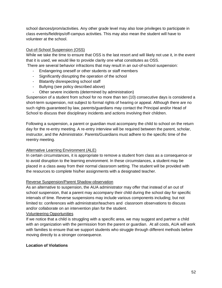school dances/prom/activities. Any other grade level may also lose privileges to participate in class events/fieldtrips/off-campus activities. This may also mean the student will have to volunteer at the school.

## Out-of-School Suspension (OSS)

While we take the time to ensure that OSS is the last resort and will likely not use it, in the event that it is used, we would like to provide clarity one what constitutes as OSS.

- There are several behavior infractions that may result in an out-of-school suspension:
	- Endangering oneself or other students or staff members
	- Significantly disrupting the operation of the school
	- Blatantly disrespecting school staff
	- Bullying (see policy described above)
	- Other severe incidents (determined by administration)

Suspension of a student from school for no more than ten (10) consecutive days is considered a short-term suspension, not subject to formal rights of hearing or appeal. Although there are no such rights guaranteed by law, parents/guardians may contact the Principal and/or Head of School to discuss their disciplinary incidents and actions involving their children.

Following a suspension, a parent or guardian must accompany the child to school on the return day for the re-entry meeting. A re-entry interview will be required between the parent, scholar, instructor, and the Administrator. Parents/Guardians must adhere to the specific time of the reentry meeting.

## Alternative Learning Environment (ALE)

In certain circumstances, it is appropriate to remove a student from class as a consequence or to avoid disruption to the learning environment. In these circumstances, a student may be placed in a class away from their normal classroom setting. The student will be provided with the resources to complete his/her assignments with a designated teacher.

## Reverse Suspension/Parent Shadow-observation

As an alternative to suspension, the AUA administrator may offer that instead of an out of school suspension, that a parent may accompany their child during the school day for specific intervals of time. Reverse suspensions may include various components including; but not limited to: conferences with administrator/teachers and classroom observations to discuss and/or collaborate on an intervention plan for the student.

## Volunteering Opportunities

If we notice that a child is struggling with a specific area, we may suggest and partner a child with an organization with the permission from the parent or guardian. At all costs, AUA will work with families to ensure that we support students who struggle through different methods before moving directly to a stronger consequence.

### **Location of Violations**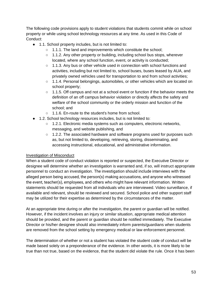The following code provisions apply to student violations that students commit while on school property or while using school technology resources at any time. As used in this Code of Conduct:

- 1.1. School property includes, but is not limited to:
	- 1.1.1. The land and improvements which constitute the school;
	- 1.1.2. Any other property or building, including school bus stops, wherever located, where any school function, event, or activity is conducted;
	- 1.1.3. Any bus or other vehicle used in connection with school functions and activities, including but not limited to, school buses, buses leased by AUA, and privately owned vehicles used for transportation to and from school activities;
	- 1.1.4. Personal belongings, automobiles, or other vehicles which are located on school property;
	- $\circ$  1.1.5. Off campus and not at a school event or function if the behavior meets the definition of an off campus behavior violation or directly affects the safety and welfare of the school community or the orderly mission and function of the school; and
	- 1.1.6. En-route to the student's home from school.
- 1.2. School technology resources includes, but is not limited to:
	- 1.2.1. Electronic media systems such as computers, electronic networks, messaging, and website publishing, and
	- $\circ$  1.2.2. The associated hardware and software programs used for purposes such as, but not limited to, developing, retrieving, storing, disseminating, and accessing instructional, educational, and administrative information.

## Investigation of Misconduct

When a student code of conduct violation is reported or suspected, the Executive Director or designee will determine whether an investigation is warranted and, if so, will instruct appropriate personnel to conduct an investigation. The investigation should include interviews with the alleged person being accused, the person(s) making accusations, and anyone who witnessed the event, teacher(s), employees, and others who might have relevant information. Written statements should be requested from all individuals who are interviewed. Video surveillance, if available and relevant, should be reviewed and secured. School police and other support staff may be utilized for their expertise as determined by the circumstances of the matter.

At an appropriate time during or after the investigation, the parent or guardian will be notified. However, if the incident involves an injury or similar situation, appropriate medical attention should be provided, and the parent or guardian should be notified immediately. The Executive Director or his/her designee should also immediately inform parents/guardians when students are removed from the school setting by emergency medical or law enforcement personnel.

The determination of whether or not a student has violated the student code of conduct will be made based solely on a preponderance of the evidence. In other words, it is more likely to be true than not true, based on the evidence, that the student did violate the rule. Once it has been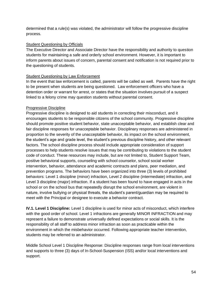determined that a rule(s) was violated, the administrator will follow the progressive discipline process.

### Student Questioning by Officials

The Executive Director and Associate Director have the responsibility and authority to question students for maintaining a safe and orderly school environment. However, it is important to inform parents about issues of concern, parental consent and notification is not required prior to the questioning of students.

## Student Questioning by Law Enforcement

In the event that law enforcement is called, parents will be called as well. Parents have the right to be present when students are being questioned. Law enforcement officers who have a detention order or warrant for arrest, or states that the situation involves pursuit of a suspect linked to a felony crime may question students without parental consent.

### Progressive Discipline

Progressive discipline is designed to aid students in correcting their misconduct, and it encourages students to be responsible citizens of the school community. Progressive discipline should promote positive student behavior, state unacceptable behavior, and establish clear and fair discipline responses for unacceptable behavior. Disciplinary responses are administered in proportion to the severity of the unacceptable behavior, its impact on the school environment, the student's age and grade level, the student's previous discipline history, and other relevant factors. The school discipline process should include appropriate consideration of support processes to help students resolve issues that may be contributing to violations to the student code of conduct. These resources may include, but are not limited to, Student Support Team, positive behavioral supports, counseling with school counselor, school social worker intervention, behavior, attendance and academic contracts and plans, peer mediation, and prevention programs. The behaviors have been organized into three (3) levels of prohibited behaviors: Level 1 discipline (minor) infraction, Level 2 discipline (intermediate) infraction, and Level 3 discipline (major) infraction. If a student has been found to have engaged in acts in the school or on the school bus that repeatedly disrupt the school environment, are violent in nature, involve bullying or physical threats, the student's parent/guardian may be required to meet with the Principal or designee to execute a behavior contract.

**IV.1. Level 1 Discipline:** Level 1 discipline is used for minor acts of misconduct, which interfere with the good order of school. Level 1 infractions are generally MINOR INFRACTION and may represent a failure to demonstrate universally defined expectations or social skills. It is the responsibility of all staff to address minor infraction as soon as practicable within the environment in which the misbehavior occurred. Following appropriate teacher intervention, students may be referred to an administrator.

Middle School Level 1 Discipline Response: Discipline responses range from local interventions and supports to three (3) days of In-School-Suspension (ISS) and/or local interventions and support.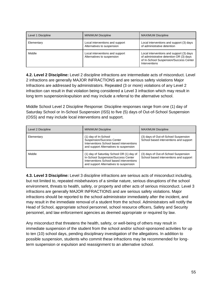| Level 1 Discipline | <b>MINIMUM Discipline</b>                                     | <b>MAXIMUM Discipline</b>                                                                                                                      |
|--------------------|---------------------------------------------------------------|------------------------------------------------------------------------------------------------------------------------------------------------|
| Elementary         | Local interventions and support<br>Alternatives to suspension | Local interventions and support (3) days<br>of administrative detention                                                                        |
| Middle             | Local interventions and support<br>Alternatives to suspension | Local interventions and support (3) days<br>of administrative detention OR (3) days<br>of In-School Suspension/Success Center<br>Interventions |

**4.2. Level 2 Discipline:** Level 2 discipline infractions are intermediate acts of misconduct. Level 2 infractions are generally MAJOR INFRACTIONS and are serious safety violations Major Infractions are addressed by administrators. Repeated (3 or more) violations of any Level 2 infraction can result in that violation being considered a Level 3 infraction which may result in long term suspension/expulsion and may include a referral to the alternative school.

Middle School Level 2 Discipline Response: Discipline responses range from one (1) day of Saturday School or In-School Suspension (ISS) to five (5) days of Out-of-School Suspension (OSS) and may include local interventions and support.

| Level 2 Discipline | <b>MINIMUM Discipline</b>                                                                                                                                             | <b>MAXIMUM Discipline</b>                                                      |
|--------------------|-----------------------------------------------------------------------------------------------------------------------------------------------------------------------|--------------------------------------------------------------------------------|
| Elementary         | (1) day of In-School<br><b>Suspension/Success Center</b><br>Interventions School based interventions<br>and support Alternatives to suspension                        | (3) days of Out-of-School Suspension<br>School based interventions and support |
| Middle             | (1) day of Saturday School OR (1) day of<br>In-School Suspension/Success Center<br>Interventions School based interventions<br>and support Alternatives to suspension | (3) days of Out-of-School Suspension<br>School based interventions and support |

**4.3. Level 3 Discipline:** Level 3 discipline infractions are serious acts of misconduct including, but not limited to, repeated misbehaviors of a similar nature, serious disruptions of the school environment, threats to health, safety, or property and other acts of serious misconduct. Level 3 infractions are generally MAJOR INFRACTIONS and are serious safety violations. Major infractions should be reported to the school administrator immediately after the incident, and may result in the immediate removal of a student from the school. Administrators will notify the Head of School, appropriate school personnel, school resource officers, Safety and Security personnel, and law enforcement agencies as deemed appropriate or required by law.

Any misconduct that threatens the health, safety, or well-being of others may result in immediate suspension of the student from the school and/or school-sponsored activities for up to ten (10) school days, pending disciplinary investigation of the allegations. In addition to possible suspension, students who commit these infractions may be recommended for longterm suspension or expulsion and reassignment to an alternative school.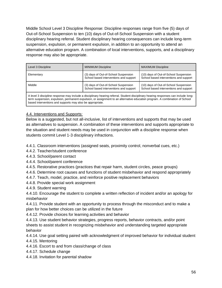Middle School Level 3 Discipline Response: Discipline responses range from five (5) days of Out-of-School Suspension to ten (10) days of Out-of-School Suspension with a student disciplinary hearing referral. Student disciplinary hearing consequences can include long-term suspension, expulsion, or permanent expulsion, in addition to an opportunity to attend an alternative education program. A combination of local interventions, supports, and a disciplinary response may also be appropriate.

| Level 3 Discipline                                                                                                                                                                                                                                     | <b>MINIMUM Discipline</b>                                                      | <b>MAXIMUM Discipline</b>                                                       |  |
|--------------------------------------------------------------------------------------------------------------------------------------------------------------------------------------------------------------------------------------------------------|--------------------------------------------------------------------------------|---------------------------------------------------------------------------------|--|
| Elementary                                                                                                                                                                                                                                             | (3) days of Out-of-School Suspension<br>School based interventions and support | (10) days of Out-of-School Suspension<br>School based interventions and support |  |
| Middle                                                                                                                                                                                                                                                 | (3) days of Out-of-School Suspension<br>School based interventions and support | (10) days of Out-of-School Suspension<br>School based interventions and support |  |
| A level 3 discipline response may include a disciplinary hearing referral. Student disciplinary hearing responses can include long-<br>acon chiacocho analistica aconocida inalista ca columnia in columnistica dinostrationi aconocidad international |                                                                                |                                                                                 |  |

term suspension, expulsion, permanent expulsion, or assignment to an alternative education program. A combination of School based interventions and supports may also be appropriate.

## 4.4. Interventions and Supports:

Below is a suggested, but not all-inclusive, list of interventions and supports that may be used as alternatives to suspension. A combination of these interventions and supports appropriate to the situation and student needs may be used in conjunction with a discipline response when students commit Level 1-3 disciplinary infractions.

- 4.4.1. Classroom interventions (assigned seats, proximity control, nonverbal cues, etc.)
- 4.4.2. Teacher/student conference
- 4.4.3. School/parent contact
- 4.4.4. School/parent conference
- 4.4.5. Restorative practices (practices that repair harm, student circles, peace groups)
- 4.4.6. Determine root causes and functions of student misbehavior and respond appropriately
- 4.4.7. Teach, model, practice, and reinforce positive replacement behaviors
- 4.4.8. Provide special work assignment
- 4.4.9. Student warning

4.4.10. Encourage the student to complete a written reflection of incident and/or an apology for misbehavior

4.4.11. Provide student with an opportunity to process through the misconduct and to make a plan for how better choices can be utilized in the future

4.4.12. Provide choices for learning activities and behavior

4.4.13. Use student behavior strategies, progress reports, behavior contracts, and/or point sheets to assist student in recognizing misbehavior and understanding targeted appropriate behavior

4.4.14. Use goal setting paired with acknowledgment of improved behavior for individual student

- 4.4.15. Mentoring
- 4.4.16. Escort to and from class/change of class
- 4.4.17. Schedule change
- 4.4.18. Invitation for parental shadow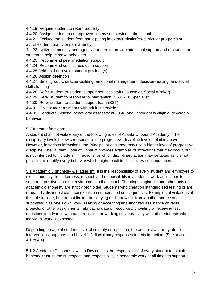4.4.19. Require student to return property

4.4.20. Assign student to an approved supervised service to the school

4.4.21. Exclude the student from participating in extracurricular/co-curricular programs or activities (temporarily or permanently)

4.4.22. Utilize community and agency partners to provide additional support and resources to student to help improve behaviors

4.4.23. Recommend peer mediation support

4.4.24. Recommend conflict resolution support

4.4.25. Withhold or revoke student privilege(s)

4.4.26. Assign detention

4.4.27. Small group character-building, emotional management, decision-making, and social skills training

4.4.28. Refer student-to-student support services staff (Counselor, Social Worker)

4.4.29. Refer student to response to intervention (SST/RTI) Specialist

4.4.30. Refer student-to-student support team (SST)

4.4.31. Give student a timeout with adult supervision

4.4.32. Conduct functional behavioral assessment (FBA) and, if student is eligible, develop a behavior

### 5. Student Infractions:

A student shall not violate any of the following rules of Atlanta Unbound Academy . The disciplinary levels below correspond to the progressive discipline levels detailed above. However, in serious infractions, the Principal or designee may use a higher level of progressive discipline. The Student Code of Conduct provides examples of infractions that may occur, but it is not intended to include all infractions for which disciplinary action may be taken as it is not possible to identify every behavior which might result in disciplinary consequences.

5.1 Academic Dishonesty & Plagiarism: It is the responsibility of every student and employee to exhibit honesty, trust, fairness, respect, and responsibility in academic work at all times to support a positive learning environment in the school. Cheating, plagiarism and other acts of academic dishonesty are strictly prohibited. Students who cheat on standardized testing or are repeatedly dishonest can face expulsion or increased consequences. Examples of violations of this rule include, but are not limited to: copying or "borrowing" from another source and submitting it as one's own work; seeking or accepting unauthorized assistance on tests, projects, or other assignments; fabricating data or resources; providing or receiving test questions in advance without permission; or working collaboratively with other students when individual work is expected.

Depending on age of student, level of severity or repetition, the administrator may utilize interventions, supports, and Level 1-3 disciplinary responses for this infraction. (See sections 4.1 to 4.4).

5.1.2 Academic Dishonesty with a Device: It is the responsibility of every student to exhibit honesty, trust, fairness, respect, and responsibility in academic work at all times to support a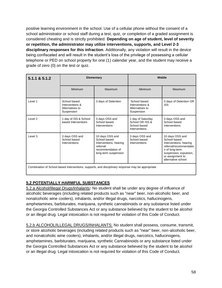positive learning environment in the school. Use of a cellular phone without the consent of a school administrator or school staff during a test, quiz, or completion of a graded assignment is considered cheating and is strictly prohibited. **Depending on age of student, level of severity or repetition, the administrator may utilize interventions, supports, and Level 2-3 disciplinary responses for this infraction**. Additionally, any violation will result in the device being confiscated and will result in the student's loss of the privilege of possessing a cellular telephone or PED on school property for one (1) calendar year, and the student may receive a grade of zero (0) on the test or quiz.

| 5.1.1 & 5.1.2                                                                                     | <b>Elementary</b>                                                |                                                                                                                     |                                                                       | <b>Middle</b>                                                                                                                                                             |
|---------------------------------------------------------------------------------------------------|------------------------------------------------------------------|---------------------------------------------------------------------------------------------------------------------|-----------------------------------------------------------------------|---------------------------------------------------------------------------------------------------------------------------------------------------------------------------|
|                                                                                                   | Minimum                                                          | Maximum                                                                                                             | Minimum                                                               | Maximum                                                                                                                                                                   |
| Level 1                                                                                           | School based<br>Interventions &<br>Alternatives to<br>Suspension | 3 days of Detention                                                                                                 | School based<br>Interventions &<br>Alternatives to<br>Suspension      | 3 days of Detention OR<br><b>ISS</b>                                                                                                                                      |
| Level <sub>2</sub>                                                                                | 1 day of ISS & School<br>based Interventions                     | 3 days OSS and<br>School based<br>Interventions                                                                     | 1 day of Saturday<br>School OR ISS &<br>School based<br>Interventions | 3 days OSS and<br>School based<br>Interventions                                                                                                                           |
| Level 3                                                                                           | 3 days OSS and<br>School based<br>Interventions                  | 10 days OSS and<br>School based<br>Interventions; hearing<br>referral/<br>recommendation of<br>long-term suspension | 3 days OSS and<br>School based<br>Interventions                       | 10 days OSS and<br>School based<br>Interventions; hearing<br>referral/recommendatio<br>n of long-term<br>suspension, expulsion,<br>or assignment to<br>alternative school |
| Combination of School based interventions, supports, and disciplinary response may be appropriate |                                                                  |                                                                                                                     |                                                                       |                                                                                                                                                                           |

## **5.2 POTENTIALLY HARMFUL SUBSTANCES**

5.2.a Alcohol/Illegal Drugs/Inhalants**:** No student shall be under any degree of influence of alcoholic beverages (including related products such as "near" beer, non-alcoholic beer, and nonalcoholic wine coolers), inhalants, and/or illegal drugs, narcotics, hallucinogens, amphetamines, barbiturates, marijuana, synthetic cannabinoids or any substance listed under the Georgia Controlled Substances Act or any substance believed by the student to be alcohol or an illegal drug. Legal intoxication is not required for violation of this Code of Conduct.

5.2.b ALCOHOL/ILLEGAL DRUGS/INHALANTS: No student shall possess, consume, transmit, or store alcoholic beverages (including related products such as "near" beer, non-alcoholic beer, and nonalcoholic wine coolers), inhalants, and/or illegal drugs, narcotics, hallucinogens, amphetamines, barbiturates, marijuana, synthetic Cannabinoids or any substance listed under the Georgia Controlled Substances Act or any substance believed by the student to be alcohol or an illegal drug. Legal intoxication is not required for violation of this Code of Conduct.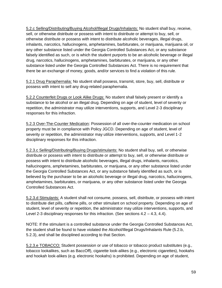5.2.c Selling/Distributing/Buying Alcohol/Illegal Drugs/Inhalants: No student shall buy, receive, sell, or otherwise distribute or possess with intent to distribute or attempt to buy, sell, or otherwise distribute or possess with intent to distribute alcoholic beverages, illegal drugs, inhalants, narcotics, hallucinogens, amphetamines, barbiturates, or marijuana, marijuana oil, or any other substance listed under the Georgia Controlled Substances Act, or any substance falsely identified as such, or is which the student purports to be an alcoholic beverage or illegal drug, narcotics, hallucinogens, amphetamines, barbiturates, or marijuana, or any other substance listed under the Georgia Controlled Substances Act. There is no requirement that there be an exchange of money, goods, and/or services to find a violation of this rule.

5.2.1 Drug Paraphernalia: No student shall possess, transmit, store, buy, sell, distribute or possess with intent to sell any drug-related paraphernalia.

5.2.2 Counterfeit Drugs or Look Alike Drugs: No student shall falsely present or identify a substance to be alcohol or an illegal drug. Depending on age of student, level of severity or repetition, the administrator may utilize interventions, supports, and Level 2-3 disciplinary responses for this infraction.

5.2.3 Over-The-Counter Medication: Possession of all over-the-counter medication on school property must be in compliance with Policy JGCD. Depending on age of student, level of severity or repetition, the administrator may utilize interventions, supports, and Level 1-2 disciplinary responses for this infraction.

5.2.3.c Selling/Distributing/Buying Drugs/stimulants: No student shall buy, sell, or otherwise distribute or possess with intent to distribute or attempt to buy, sell, or otherwise distribute or possess with intent to distribute alcoholic beverages, illegal drugs, inhalants, narcotics, hallucinogens, amphetamines, barbiturates, or marijuana, or any other substance listed under the Georgia Controlled Substances Act, or any substance falsely identified as such, or is believed by the purchaser to be an alcoholic beverage or illegal drug, narcotics, hallucinogens, amphetamines, barbiturates, or marijuana, or any other substance listed under the Georgia Controlled Substances Act.

5.2.3.d Stimulants: A student shall not consume, possess, sell, distribute, or possess with intent to distribute diet pills, caffeine pills, or other stimulant on school property. Depending on age of student, level of severity or repetition, the administrator may utilize interventions, supports, and Level 2-3 disciplinary responses for this infraction. (See sections 4.2 – 4.3, 4.4).

NOTE: If the stimulant is a controlled substance under the Georgia Controlled Substances Act, the student shall be found to have violated the Alcohol/Illegal Drugs/Inhalants Rule (5.2.b, 5.2.3), and shall be disciplined according to that Section.

5.2.3.e TOBACCO: Student possession or use of tobacco or tobacco product substitutes (e.g., tobacco lookalikes, such as BaccOff), cigarette look-alikes (e.g., electronic cigarettes), hookahs and hookah look-alikes (e.g. electronic hookahs) is prohibited. Depending on age of student,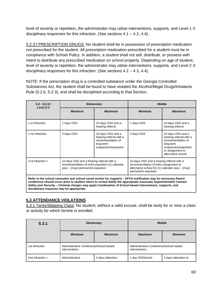level of severity or repetition, the administrator may utilize interventions, supports, and Level 1-2 disciplinary responses for this infraction. (See sections  $4.1 - 4.2, 4.4$ ).

5.2.3.f PRESCRIPTION DRUGS: No student shall be in possession of prescription medication not prescribed for the student. All prescription medication prescribed for a student must be in compliance with School Policy. In addition, a student shall not sell, distribute, or possess with intent to distribute any prescribed medication on school property. Depending on age of student, level of severity or repetition, the administrator may utilize interventions, supports, and Level 2-3 disciplinary responses for this infraction. (See sections 4.2 – 4.3, 4.4).

NOTE: If the prescription drug is a controlled substance under the Georgia Controlled Substances Act, the student shall be found to have violated the Alcohol/Illegal Drugs/Inhalants Rule (5.2.b, 5.2.3), and shall be disciplined according to that Section.

| $5.2 - 5.2.3$ .f<br>Level 2-3                                                                                                                                                                                                                                                                                                                                                                 | <b>Elementary</b>                                                                                                                                                                                                                                                                                      |                                                                                                        | <b>Middle</b>  |                                                                                                                                                   |
|-----------------------------------------------------------------------------------------------------------------------------------------------------------------------------------------------------------------------------------------------------------------------------------------------------------------------------------------------------------------------------------------------|--------------------------------------------------------------------------------------------------------------------------------------------------------------------------------------------------------------------------------------------------------------------------------------------------------|--------------------------------------------------------------------------------------------------------|----------------|---------------------------------------------------------------------------------------------------------------------------------------------------|
|                                                                                                                                                                                                                                                                                                                                                                                               | <b>Minimum</b>                                                                                                                                                                                                                                                                                         | <b>Maximum</b>                                                                                         | <b>Minimum</b> | <b>Maximum</b>                                                                                                                                    |
| 1 st infraction                                                                                                                                                                                                                                                                                                                                                                               | 1 days OSS                                                                                                                                                                                                                                                                                             | 10 days OSS and a<br>hearing referral                                                                  | 1 days OSS     | 10 days OSS and a<br>hearing referral                                                                                                             |
| 2 nd infraction                                                                                                                                                                                                                                                                                                                                                                               | 3 days OSS                                                                                                                                                                                                                                                                                             | 10 days OSS and a<br>hearing referral with a<br>recommendation of<br>long-term<br>suspension/expulsion | 3 days OSS     | 10 days OSS and a<br>hearing referral with a<br>recommendation of<br>long term<br>suspension/expulsion,<br>or assignment to<br>alternative school |
| 3 rd infraction $+$                                                                                                                                                                                                                                                                                                                                                                           | 10 days OSS and a hearing referral with a<br>10 days OSS and a hearing referral with a<br>recommendation of (min) expulsion (1) calendar<br>recommendation of (min) assignment to<br>$year - (max)$ permanent expulsion<br>alternative school for $(1)$ calendar year $-$ (max)<br>permanent expulsion |                                                                                                        |                |                                                                                                                                                   |
| Refer to the school counselor and school social worker for supports - DFCS notification may be necessary Parent<br>conference should occur prior to student return to school Notify the appropriate Associate Superintendent Contact<br>Safety and Security – Criminal charges may apply Combination of School based interventions, supports, and<br>disciplinary response may be appropriate |                                                                                                                                                                                                                                                                                                        |                                                                                                        |                |                                                                                                                                                   |

## **5.3 ATTENDANCE VIOLATIONS**

5.3.1 Tardy/Skipping Class: No student, without a valid excuse, shall be tardy for or miss a class or activity for which he/she is enrolled.

| 5.3.1              | <b>Elementary</b>                                       |                  | <b>Middle</b>                                           |                     |
|--------------------|---------------------------------------------------------|------------------|---------------------------------------------------------|---------------------|
|                    | <b>Minimum</b>                                          | <b>Maximum</b>   | <b>Maximum</b>                                          | <b>Minimum</b>      |
| 1st infraction     | Administrative Conference/School based<br>interventions |                  | Administrative Conference/School based<br>interventions |                     |
| 2nd infraction $+$ | Administrative                                          | 3 days detention | day ISS/School                                          | 3 days detention or |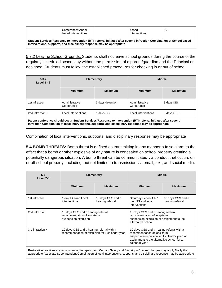|                                                                                                                                                                                                 | Conference/School<br>based interventions |  | based<br>interventions | <b>ISS</b> |
|-------------------------------------------------------------------------------------------------------------------------------------------------------------------------------------------------|------------------------------------------|--|------------------------|------------|
| Student Services/Response to Intervention (RTI) referral initiated after second infraction Combination of School based<br>interventions, supports, and disciplinary response may be appropriate |                                          |  |                        |            |

5.3.2 Leaving School Grounds: Students shall not leave school grounds during the course of the regularly scheduled school day without the permission of a parent/guardian and the Principal or designee. Students must follow the established procedures for checking in or out of school

| 5.3.2<br>Level $1 - 2$                                                                                                                                                                                                  | Elementary                   |                  | <b>Middle</b>                |                |
|-------------------------------------------------------------------------------------------------------------------------------------------------------------------------------------------------------------------------|------------------------------|------------------|------------------------------|----------------|
|                                                                                                                                                                                                                         | <b>Minimum</b>               | <b>Maximum</b>   | <b>Minimum</b>               | <b>Maximum</b> |
| 1st infraction                                                                                                                                                                                                          | Administrative<br>Conference | 3 days detention | Administrative<br>Conference | 3 days ISS     |
| 2nd infraction $+$                                                                                                                                                                                                      | Local interventions          | 1 days OSS       | Local interventions          | 3 days OSS     |
| Parent conference should occur Student Services/Response to Intervention (RTI) referral initiated after second<br>infraction Combination of local interventions, supports, and disciplinary response may be appropriate |                              |                  |                              |                |

Combination of local interventions, supports, and disciplinary response may be appropriate

**5.4 BOMB THREATS:** Bomb threat is defined as transmitting in any manner a false alarm to the effect that a bomb or other explosive of any nature is concealed on school property creating a potentially dangerous situation. A bomb threat can be communicated via conduct that occurs on or off school property, including, but not limited to transmission via email, text, and social media.

| 5.4<br>Level 2-3                                                                                                                                                                                                                                            | <b>Elementary</b>                                                                                                                                                                                                                                                                       |                                       | <b>Middle</b>                                                                                                                        |                                       |
|-------------------------------------------------------------------------------------------------------------------------------------------------------------------------------------------------------------------------------------------------------------|-----------------------------------------------------------------------------------------------------------------------------------------------------------------------------------------------------------------------------------------------------------------------------------------|---------------------------------------|--------------------------------------------------------------------------------------------------------------------------------------|---------------------------------------|
|                                                                                                                                                                                                                                                             | <b>Minimum</b>                                                                                                                                                                                                                                                                          | <b>Maximum</b>                        | <b>Minimum</b>                                                                                                                       | <b>Maximum</b>                        |
| 1st infraction                                                                                                                                                                                                                                              | 1 day ISS and Local<br>interventions                                                                                                                                                                                                                                                    | 10 days OSS and a<br>hearing referral | Saturday School OR 1<br>day ISS and local<br>interventions                                                                           | 10 days OSS and a<br>hearing referral |
| 2nd infraction                                                                                                                                                                                                                                              | 10 days OSS and a hearing referral<br>recommendation of long-term<br>suspension/expulsion                                                                                                                                                                                               |                                       | 10 days OSS and a hearing referral<br>recommendation of long-term<br>suspension/expulsion or assignment to the<br>alternative school |                                       |
| 3rd infraction $+$                                                                                                                                                                                                                                          | 10 days OSS and a hearing referral with a<br>10 days OSS and a hearing referral with a<br>recommendation of expulsion for 1 calendar year<br>recommendation of long-term<br>suspension/expulsion for 1 calendar year, or<br>assignment to the alternative school for 1<br>calendar year |                                       |                                                                                                                                      |                                       |
| Restorative practices are recommended to repair harm Contact Safety and Security – Criminal charges may apply Notify the<br>appropriate Associate Superintendent Combination of local interventions, supports, and disciplinary response may be appropriate |                                                                                                                                                                                                                                                                                         |                                       |                                                                                                                                      |                                       |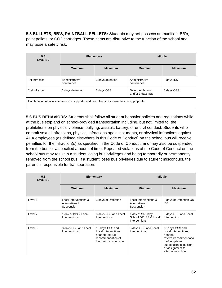**5.5 BULLETS, BB'S, PAINTBALL PELLETS:** Students may not possess ammunition, BB's, paint pellets, or CO2 cartridges. These items are disruptive to the function of the school and may pose a safety risk.

| 5.5<br>Level 1-2                                                                           | Elementary                   |                  | <b>Middle</b>                        |                |
|--------------------------------------------------------------------------------------------|------------------------------|------------------|--------------------------------------|----------------|
|                                                                                            | <b>Minimum</b>               | <b>Maximum</b>   | <b>Minimum</b>                       | <b>Maximum</b> |
| 1st infraction                                                                             | Administrative<br>conference | 3 days detention | Administrative<br>conference         | 3 days ISS     |
| 2nd infraction                                                                             | 3 days detention             | 3 days OSS       | Saturday School<br>and/or 3 days ISS | 5 days OSS     |
| Combination of local interventions, supports, and disciplinary response may be appropriate |                              |                  |                                      |                |

**5.6 BUS BEHAVIORS:** Students shall follow all student behavior policies and regulations while at the bus stop and on school-provided transportation including, but not limited to, the prohibitions on physical violence, bullying, assault, battery, or uncivil conduct. Students who commit sexual infractions, physical infractions against students, or physical infractions against AUA employees (as defined elsewhere in this Code of Conduct) on the school bus will receive penalties for the infraction(s) as specified in the Code of Conduct, and may also be suspended from the bus for a specified amount of time. Repeated violations of the Code of Conduct on the school bus may result in a student losing bus privileges and being temporarily or permanently removed from the school bus. If a student loses bus privileges due to student misconduct, the parent is responsible for transportation.

| 5.6<br>Level 1-3 | <b>Elementary</b>                                      |                                                                                                           |                                                             | <b>Middle</b>                                                                                                                                                       |
|------------------|--------------------------------------------------------|-----------------------------------------------------------------------------------------------------------|-------------------------------------------------------------|---------------------------------------------------------------------------------------------------------------------------------------------------------------------|
|                  | <b>Minimum</b>                                         | <b>Maximum</b>                                                                                            | <b>Minimum</b>                                              | <b>Maximum</b>                                                                                                                                                      |
| Level 1          | Local Interventions &<br>Alternatives to<br>Suspension | 3 days of Detention                                                                                       | Local Interventions &<br>Alternatives to<br>Suspension      | 3 days of Detention OR<br><b>ISS</b>                                                                                                                                |
| Level 2          | 1 day of ISS & Local<br>Interventions                  | 3 days OSS and Local<br>Interventions                                                                     | 1 day of Saturday<br>School OR ISS & Local<br>Interventions | 3 days OSS and Local<br>Intervention                                                                                                                                |
| Level 3          | 3 days OSS and Local<br>Interventions                  | 10 days OSS and<br>Local Interventions;<br>hearing referral/<br>recommendation of<br>long-term suspension | 3 days OSS and Local<br>Interventions                       | 10 days OSS and<br>Local Interventions:<br>hearing<br>referral/recommendatio<br>n of long-term<br>suspension, expulsion,<br>or assignment to<br>alternative school. |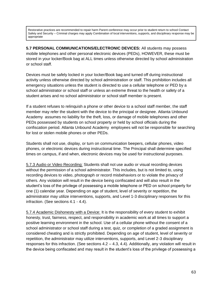Restorative practices are recommended to repair harm Parent conference may occur prior to student return to school Contact Safety and Security – Criminal charges may apply Combination of local interventions, supports, and disciplinary response may be appropriate

**5.7 PERSONAL COMMUNICATIONS/ELECTRONIC DEVICES:** All students may possess mobile telephones and other personal electronic devices (PEDs), HOWEVER, these must be stored in your locker/Book bag at ALL times unless otherwise directed by school administration or school staff.

Devices must be safely locked in your locker/Book bag and turned off during instructional activity unless otherwise directed by school administration or staff. This prohibition includes all emergency situations unless the student is directed to use a cellular telephone or PED by a school administrator or school staff or unless an extreme threat to the health or safety of a student arises and no school administrator or school staff member is present.

If a student refuses to relinquish a phone or other device to a school staff member, the staff member may refer the student with the device to the principal or designee. Atlanta Unbound Academy assumes no liability for the theft, loss, or damage of mobile telephones and other PEDs possessed by students on school property or held by school officials during the confiscation period. Atlanta Unbound Academy employees will not be responsible for searching for lost or stolen mobile phones or other PEDs.

Students shall not use, display, or turn on communication beepers, cellular phones, video phones, or electronic devices during instructional time. The Principal shall determine specified times on campus, if and when, electronic devices may be used for instructional purposes.

5.7.3 Audio or Video Recording: Students shall not use audio or visual recording devices without the permission of a school administrator. This includes, but is not limited to, using recording devices to video, photograph or record misbehaviors or to violate the privacy of others. Any violation will result in the device being confiscated and will also result in the student's loss of the privilege of possessing a mobile telephone or PED on school property for one (1) calendar year. Depending on age of student, level of severity or repetition, the administrator may utilize interventions, supports, and Level 1-3 disciplinary responses for this infraction. (See sections 4.1 - 4.4).

5.7.4 Academic Dishonesty with a Device: It is the responsibility of every student to exhibit honesty, trust, fairness, respect, and responsibility in academic work at all times to support a positive learning environment in the school. Use of a cellular phone without the consent of a school administrator or school staff during a test, quiz, or completion of a graded assignment is considered cheating and is strictly prohibited. Depending on age of student, level of severity or repetition, the administrator may utilize interventions, supports, and Level 2-3 disciplinary responses for this infraction. (See sections 4.2 – 4.3, 4.4). Additionally, any violation will result in the device being confiscated and may result in the student's loss of the privilege of possessing a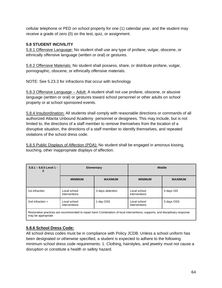cellular telephone or PED on school property for one (1) calendar year, and the student may receive a grade of zero (0) on the test, quiz, or assignment.

## **5.8 STUDENT INCIVILITY**

5.8.1 Offensive Language: No student shall use any type of profane, vulgar, obscene, or ethnically offensive language (written or oral) or gestures.

5.8.2 Offensive Materials: No student shall possess, share, or distribute profane, vulgar, pornographic, obscene, or ethnically offensive materials.

NOTE: See 5.23.3 for infractions that occur with technology

5.8.3 Offensive Language – Adult: A student shall not use profane, obscene, or abusive language (written or oral) or gestures toward school personnel or other adults on school property or at school sponsored events.

5.8.4 Insubordination: All students shall comply with reasonable directions or commands of all authorized Atlanta Unbound Academy personnel or designees. This may include, but is not limited to, the directions of a staff member to remove themselves from the location of a disruptive situation, the directions of a staff member to identify themselves, and repeated violations of the school dress code.

5.8.5 Public Displays of Affection (PDA): No student shall be engaged in amorous kissing, touching, other inappropriate displays of affection.

| $5.8.1 - 5.8.5$ Level 1 -                                                                                                                          | Elementary                    |                  | <b>Middle</b>                 |                |
|----------------------------------------------------------------------------------------------------------------------------------------------------|-------------------------------|------------------|-------------------------------|----------------|
|                                                                                                                                                    | <b>MINIMUM</b>                | <b>MAXIMUM</b>   | <b>MINIMUM</b>                | <b>MAXIMUM</b> |
| 1st infraction                                                                                                                                     | Local school<br>interventions | 3 days detention | Local school<br>interventions | 3 days ISS     |
| 2nd infraction $+$                                                                                                                                 | Local school<br>interventions | 1 day OSS        | Local school<br>interventions | 3 days OSS     |
| Restorative practices are recommended to repair harm Combination of local interventions, supports, and disciplinary response<br>may be appropriate |                               |                  |                               |                |

## **5.8.6 School Dress Code:**

All school dress codes must be in compliance with Policy JCDB. Unless a school uniform has been designated or otherwise specified, a student is expected to adhere to the following minimum school dress code requirements: 1. Clothing, hairstyles, and jewelry must not cause a disruption or constitute a health or safety hazard.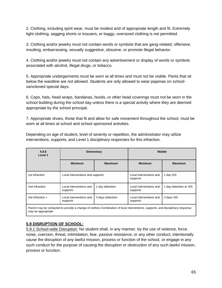2. Clothing, including spirit wear, must be modest and of appropriate length and fit. Extremely tight clothing, sagging shorts or trousers, or baggy, oversized clothing is not permitted.

3. Clothing and/or jewelry must not contain words or symbols that are gang-related, offensive, insulting, embarrassing, sexually suggestive, obscene, or promote illegal behavior.

4. Clothing and/or jewelry must not contain any advertisement or display of words or symbols associated with alcohol, illegal drugs, or tobacco.

5. Appropriate undergarments must be worn at all times and must not be visible. Pants that sit below the waistline are not allowed. Students are only allowed to wear pajamas on schoolsanctioned special days.

6. Caps, hats, head wraps, bandanas, hoods, or other head coverings must not be worn in the school building during the school day unless there is a special activity where they are deemed appropriate by the school principal.

7. Appropriate shoes, those that fit and allow for safe movement throughout the school, must be worn at all times at school and school sponsored activities.

| 5.8.6<br>Level 1                                                                                                                                     | Elementary                                              |                 | <b>Middle</b>                       |                        |
|------------------------------------------------------------------------------------------------------------------------------------------------------|---------------------------------------------------------|-----------------|-------------------------------------|------------------------|
|                                                                                                                                                      | <b>Minimum</b>                                          | <b>Maximum</b>  | <b>Minimum</b>                      | <b>Maximum</b>         |
| 1st infraction                                                                                                                                       | Local interventions and supports                        |                 | Local interventions and<br>supports | 1 day ISS              |
| 2nd infraction                                                                                                                                       | Local interventions and<br>supports                     | 1 day detention | Local interventions and<br>supports | 1 day detention or ISS |
| 3rd infraction $+$                                                                                                                                   | Local interventions and<br>3 days detention<br>supports |                 | Local interventions and<br>supports | 3 days ISS             |
| Parent may be contacted to provide a change of clothes Combination of local interventions, supports, and disciplinary response<br>may be appropriate |                                                         |                 |                                     |                        |

Depending on age of student, level of severity or repetition, the administrator may utilize interventions, supports, and Level 1 disciplinary responses for this infraction.

## **5.9 DISRUPTION OF SCHOOL:**

5.9.1 School-wide Disruption: No student shall, in any manner, by the use of violence, force, noise, coercion, threat, intimidation, fear, passive resistance, or any other conduct, intentionally cause the disruption of any lawful mission, process or function of the school, or engage in any such conduct for the purpose of causing the disruption or obstruction of any such lawful mission, process or function.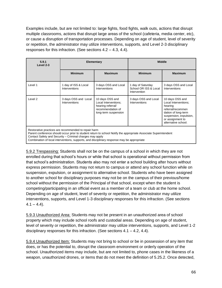Examples include, but are not limited to: large fights, food fights, walk outs, actions that disrupt multiple classrooms, actions that disrupt large areas of the school (cafeteria, media center, etc), or cause a disruption of transportation processes. Depending on age of student, level of severity or repetition, the administrator may utilize interventions, supports, and Level 2-3 disciplinary responses for this infraction. (See sections 4.2 – 4.3, 4.4).

| 5.9.1<br>Level 2-3                                                                                                                                                                                                                                                                                                                 | <b>Elementary</b>                     |                                                                                                           | <b>Middle</b>                                              |                                                                                                                                                                     |
|------------------------------------------------------------------------------------------------------------------------------------------------------------------------------------------------------------------------------------------------------------------------------------------------------------------------------------|---------------------------------------|-----------------------------------------------------------------------------------------------------------|------------------------------------------------------------|---------------------------------------------------------------------------------------------------------------------------------------------------------------------|
|                                                                                                                                                                                                                                                                                                                                    | <b>Minimum</b>                        | <b>Maximum</b>                                                                                            | <b>Minimum</b>                                             | <b>Maximum</b>                                                                                                                                                      |
| Level 1                                                                                                                                                                                                                                                                                                                            | 1 day of ISS & Local<br>Interventions | 3 days OSS and Local<br>Interventions                                                                     | 1 day of Saturday<br>School OR ISS & Local<br>Intervention | 3 days OSS and Local<br>Interventions                                                                                                                               |
| Level <sub>2</sub>                                                                                                                                                                                                                                                                                                                 | 3 days OSS and Local<br>Interventions | 10 days OSS and<br>Local Interventions:<br>hearing referral/<br>recommendation of<br>long-term suspension | 3 days OSS and Local<br>Interventions                      | 10 days OSS and<br>Local Interventions:<br>hearing<br>referral/recommen<br>dation of long-term<br>suspension, expulsion,<br>or assignment to<br>alternative school. |
| Restorative practices are recommended to repair harm<br>Parent conference should occur prior to student return to school Notify the appropriate Associate Superintendent<br>Contact Safety and Security - Criminal charges may apply<br>Combination of local interventions, supports, and disciplinary response may be appropriate |                                       |                                                                                                           |                                                            |                                                                                                                                                                     |

5.9.2 Trespassing: Students shall not be on the campus of a school in which they are not enrolled during that school's hours or while that school is operational without permission from that school's administration. Students also may not enter a school building after hours without express permission. Students may not return to campus or attend any school function while on suspension, expulsion, or assignment to alternative school. Students who have been assigned to another school for disciplinary purposes may not be on the campus of their previous/home school without the permission of the Principal of that school, except when the student is competing/participating in an official event as a member of a team or club at the home school. Depending on age of student, level of severity or repetition, the administrator may utilize interventions, supports, and Level 1-3 disciplinary responses for this infraction. (See sections  $4.1 - 4.4$ ).

5.9.3 Unauthorized Area: Students may not be present in an unauthorized area of school property which may include school roofs and custodial areas. Depending on age of student, level of severity or repetition, the administrator may utilize interventions, supports, and Level 1-2 disciplinary responses for this infraction. (See sections  $4.1 - 4.2$ ,  $4.4$ ).

5.9.4 Unauthorized Item: Students may not bring to school or be in possession of any item that does, or has the potential to, disrupt the classroom environment or orderly operation of the school. Unauthorized items may include, but are not limited to, phone cases in the likeness of a weapon, unauthorized drones, or items that do not meet the definition of 5.25.2. Once detected,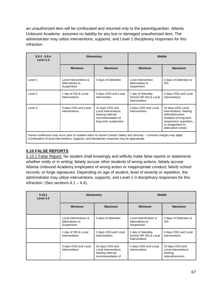an unauthorized item will be confiscated and returned only to the parent/guardian. Atlanta Unbound Academy assumes no liability for any lost or damaged unauthorized item. The administrator may utilize interventions, supports, and Level 1 disciplinary responses for this infraction.

| $5.9.2 - 5.9.4$<br>Level 1-3                                                                                                                                                                                         | <b>Elementary</b>                                      |                                                                                                           |                                                             | <b>Middle</b>                                                                                                                                                |
|----------------------------------------------------------------------------------------------------------------------------------------------------------------------------------------------------------------------|--------------------------------------------------------|-----------------------------------------------------------------------------------------------------------|-------------------------------------------------------------|--------------------------------------------------------------------------------------------------------------------------------------------------------------|
|                                                                                                                                                                                                                      | <b>Minimum</b>                                         | <b>Maximum</b>                                                                                            | <b>Minimum</b>                                              | <b>Maximum</b>                                                                                                                                               |
| Level 1                                                                                                                                                                                                              | Local Interventions &<br>Alternatives to<br>Suspension | 3 days of Detention                                                                                       | Local Intervention<br>Alternatives to<br>Suspension         | 3 days of Detention or<br><b>ISS</b>                                                                                                                         |
| Level 2                                                                                                                                                                                                              | 1 day of ISS & Local<br>Interventions                  | 3 days OSS and Local<br>Intervention                                                                      | 1 day of Saturday<br>School OR ISS & Local<br>Interventions | 3 days OSS and Local<br>Interventions                                                                                                                        |
| Level 3                                                                                                                                                                                                              | 3 days OSS and Local<br>Interventions                  | 10 days OSS and<br>Local Interventions:<br>hearing referral/<br>recommendation of<br>long-term suspension | 3 days OSS and Local<br>Interventions                       | 10 days OSS Local<br>Interventions; hearing<br>referral/recomm<br>endation of long-term<br>suspension, expulsion,<br>or assignment to<br>alternative school. |
| Parent conference may occur prior to student return to school Contact Safety and Security – Criminal charges may apply<br>Combination of local interventions, supports, and disciplinary response may be appropriate |                                                        |                                                                                                           |                                                             |                                                                                                                                                              |

# **5.10 FALSE REPORTS**

5.10.1 False Report: No student shall knowingly and willfully make false reports or statements whether orally or in writing; falsely accuse other students of wrong actions; falsely accuse Atlanta Unbound Academy employees of wrong action or inappropriate conduct; falsify school records; or forge signatures. Depending on age of student, level of severity or repetition, the administrator may utilize interventions, supports, and Level 1-3 disciplinary responses for this infraction. (See sections  $4.1 - 4.4$ ).

| 5.10.1<br>Level 1-3 | <b>Elementary</b>                                      |                                                                                   | <b>Middle</b>                                               |                                                                       |
|---------------------|--------------------------------------------------------|-----------------------------------------------------------------------------------|-------------------------------------------------------------|-----------------------------------------------------------------------|
|                     | <b>Minimum</b>                                         | <b>Maximum</b>                                                                    | <b>Minimum</b>                                              | <b>Maximum</b>                                                        |
|                     | Local Interventions &<br>Alternatives to<br>Suspension | 3 days of detention                                                               | Local Interventions &<br>Alternatives to<br>Suspension      | 3 days of Detention or<br><b>ISS</b>                                  |
|                     | 1 day of ISS & Local<br>Interventions                  | 3 days OSS and Local<br>Interventions                                             | 1 day of Saturday<br>School OR ISS & Local<br>Interventions | 3 days OSS and Local<br>Interventions                                 |
|                     | 3 days OSS and Local<br>Interventions                  | 10 days OSS and<br>Local Interventions:<br>hearing referral/<br>recommendation of | 3 days OSS and Local<br>Interventions                       | 10 days OSS and<br>Local Interventions;<br>hearing<br>referral/recomm |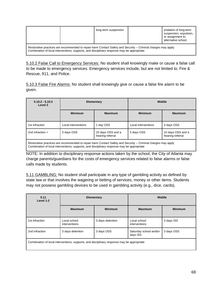|                                                                                                                                                                                                             |  | long-term suspension |  | endation of long-term<br>suspension, expulsion,<br>or assignment to<br>alternative school. |
|-------------------------------------------------------------------------------------------------------------------------------------------------------------------------------------------------------------|--|----------------------|--|--------------------------------------------------------------------------------------------|
| Restorative practices are recommended to repair harm Contact Safety and Security – Criminal charges may apply<br>Combination of local interventions, supports, and disciplinary response may be appropriate |  |                      |  |                                                                                            |

5.10.2 False Call to Emergency Services: No student shall knowingly make or cause a false call to be made to emergency services. Emergency services include, but are not limited to, Fire & Rescue, 911, and Police.

5.10.3 False Fire Alarms: No student shall knowingly give or cause a false fire alarm to be given.

| $5.10.2 - 5.10.3$<br>Level <sub>2</sub>                                                                                                                                                                     | Elementary          |                                       | <b>Middle</b>       |                                       |
|-------------------------------------------------------------------------------------------------------------------------------------------------------------------------------------------------------------|---------------------|---------------------------------------|---------------------|---------------------------------------|
|                                                                                                                                                                                                             | <b>Minimum</b>      | <b>Maximum</b>                        | <b>Minimum</b>      | <b>Maximum</b>                        |
| 1st infraction                                                                                                                                                                                              | Local interventions | day OSS                               | Local interventions | 3 days OSS                            |
| 2nd infraction $+$                                                                                                                                                                                          | 3 days OSS          | 10 days OSS and a<br>hearing referral | 5 days OSS          | 10 days OSS and a<br>hearing referral |
| Restorative practices are recommended to repair harm Contact Safety and Security – Criminal charges may apply<br>Combination of local interventions, supports, and disciplinary response may be appropriate |                     |                                       |                     |                                       |

NOTE: In addition to disciplinary response actions taken by the school, the City of Atlanta may charge parents/guardians for the costs of emergency services related to false alarms or false calls made by students.

5.11 GAMBLING: No student shall participate in any type of gambling activity as defined by state law or that involves the wagering or betting of services, money or other items. Students may not possess gambling devices to be used in gambling activity (e.g., dice, cards).

| 5.11<br>Level 1-2                                                                          | Elementary                    |                  | <b>Middle</b>                      |                |
|--------------------------------------------------------------------------------------------|-------------------------------|------------------|------------------------------------|----------------|
|                                                                                            | <b>Maximum</b>                | <b>Minimum</b>   | <b>Maximum</b>                     | <b>Minimum</b> |
| 1st infraction                                                                             | Local school<br>interventions | 3 days detention | Local school<br>interventions      | 3 days ISS     |
| 2nd infraction                                                                             | 3 days detention              | 3 days OSS       | Saturday school and/or<br>days ISS | 3 days OSS     |
| Combination of local interventions, supports, and disciplinary response may be appropriate |                               |                  |                                    |                |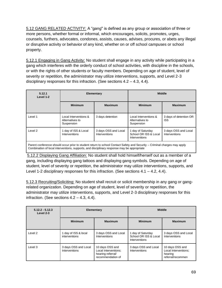5.12 GANG RELATED ACTIVITY: A "gang" is defined as any group or association of three or more persons, whether formal or informal, which encourages, solicits, promotes, urges, counsels, furthers, advocates, condones, assists, causes, advises, procures, or abets any illegal or disruptive activity or behavior of any kind, whether on or off school campuses or school property.

5.12.1 Engaging in Gang Activity: No student shall engage in any activity while participating in a gang which interferes with the orderly conduct of school activities, with discipline in the schools, or with the rights of other students or faculty members. Depending on age of student, level of severity or repetition, the administrator may utilize interventions, supports, and Level 2-3 disciplinary responses for this infraction. (See sections 4.2 – 4.3, 4.4).

| 5.12.1<br>Level 1-2                                                                                                                                                                                                     | Elementary                                             |                                       | <b>Middle</b>                                               |                                       |
|-------------------------------------------------------------------------------------------------------------------------------------------------------------------------------------------------------------------------|--------------------------------------------------------|---------------------------------------|-------------------------------------------------------------|---------------------------------------|
|                                                                                                                                                                                                                         | <b>Minimum</b>                                         | <b>Maximum</b>                        | <b>Minimum</b>                                              | <b>Maximum</b>                        |
| Level 1                                                                                                                                                                                                                 | Local Interventions &<br>Alternatives to<br>Suspension | 3 days detention                      | Local Interventions &<br>Alternatives to<br>Suspension      | 3 days of detention OR<br>ISS.        |
| Level 2                                                                                                                                                                                                                 | 1 day of ISS & Local<br>Interventions                  | 3 days OSS and Local<br>Interventions | 1 day of Saturday<br>School OR ISS & Local<br>Interventions | 3 days OSS and Local<br>Interventions |
| Parent conference should occur prior to student return to school Contact Safety and Security – Criminal charges may apply<br>Combination of local interventions, supports, and disciplinary response may be appropriate |                                                        |                                       |                                                             |                                       |

5.12.2 Displaying Gang Affiliation: No student shall hold himself/herself out as a member of a gang, including displaying gang tattoos and displaying gang symbols. Depending on age of student, level of severity or repetition, the administrator may utilize interventions, supports, and Level 1-2 disciplinary responses for this infraction. (See sections 4.1 – 4.2, 4.4).

5.12.3 Recruiting/Soliciting: No student shall recruit or solicit membership in any gang or gangrelated organization. Depending on age of student, level of severity or repetition, the administrator may utilize interventions, supports, and Level 2-3 disciplinary responses for this infraction. (See sections 4.2 – 4.3, 4.4).

| $5.12.2 - 5.12.3$<br>Level 2-3 | Elementary                            |                                                                                   | <b>Middle</b>                                               |                                                                         |
|--------------------------------|---------------------------------------|-----------------------------------------------------------------------------------|-------------------------------------------------------------|-------------------------------------------------------------------------|
|                                | <b>Minimum</b>                        | <b>Maximum</b>                                                                    | <b>Minimum</b>                                              | <b>Maximum</b>                                                          |
| Level 2                        | 1 day of ISS & local<br>interventions | 3 days OSS and Local<br>Interventions                                             | 1 day of Saturday<br>School OR ISS & Local<br>Interventions | 3 days OSS and Local<br>Interventions                                   |
| Level 3                        | 3 days OSS and Local<br>Interventions | 10 days OSS and<br>Local Interventions:<br>hearing referral/<br>recommendation of | 3 days OSS and Local<br>Interventions                       | 10 days OSS and<br>Local Interventions:<br>hearing<br>referral/recommen |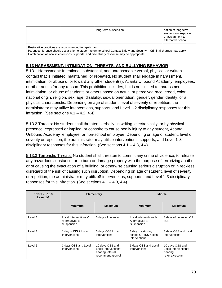|                                                                                                                                                                                   |  | long-term suspension |  | dation of long-term<br>suspension, expulsion,<br>or assignment to<br>alternative school |
|-----------------------------------------------------------------------------------------------------------------------------------------------------------------------------------|--|----------------------|--|-----------------------------------------------------------------------------------------|
| Restorative practices are recommended to repair harm<br>Parent conference should occur prior to student return to school Contact Safety and Security – Criminal charges may apply |  |                      |  |                                                                                         |

## **5.13 HARASSMENT, INTIMIDATION, THREATS, AND BULLYING BEHAVIOR**

Combination of local interventions, supports, and disciplinary response may be appropriate

5.13.1 Harassment: Intentional, substantial, and unreasonable verbal, physical or written contact that is initiated, maintained, or repeated. No student shall engage in harassment, intimidation, or abuse of or toward any other student(s), Atlanta Unbound Academy employees, or other adults for any reason. This prohibition includes, but is not limited to, harassment, intimidation, or abuse of students or others based on actual or perceived race, creed, color, national origin, religion, sex, age, disability, sexual orientation, gender, gender identity, or a physical characteristic. Depending on age of student, level of severity or repetition, the administrator may utilize interventions, supports, and Level 1-2 disciplinary responses for this infraction. (See sections  $4.1 - 4.2, 4.4$ ).

5.13.2 Threats: No student shall threaten, verbally, in writing, electronically, or by physical presence, expressed or implied, or conspire to cause bodily injury to any student, Atlanta Unbound Academy employee, or non-school employee. Depending on age of student, level of severity or repetition, the administrator may utilize interventions, supports, and Level 1-3 disciplinary responses for this infraction. (See sections  $4.1 - 4.3, 4.4$ ).

5.13.3 Terroristic Threats: No student shall threaten to commit any crime of violence, to release any hazardous substance, or to burn or damage property with the purpose of terrorizing another or of causing the evacuation of a building, or otherwise causing serious disruption or in reckless disregard of the risk of causing such disruption. Depending on age of student, level of severity or repetition, the administrator may utilize8 interventions, supports, and Level 1-3 disciplinary responses for this infraction. (See sections 4.1 – 4.3, 4.4).

| $5.13.1 - 5.13.3$<br>Level 1-3 | Elementary                                             |                                                                                   | <b>Middle</b>                                               |                                                                       |
|--------------------------------|--------------------------------------------------------|-----------------------------------------------------------------------------------|-------------------------------------------------------------|-----------------------------------------------------------------------|
|                                | <b>Minimum</b>                                         | <b>Maximum</b>                                                                    | <b>Minimum</b>                                              | <b>Maximum</b>                                                        |
| Level 1                        | Local Interventions &<br>Alternatives to<br>Suspension | 3 days of detention                                                               | Local interventions &<br>Alternatives to<br>Suspension      | 3 days of detention OR<br><b>ISS</b>                                  |
| Level 2                        | 1 day of ISS & Local<br>Interventions                  | 3 days OSS Local<br>interventions                                                 | 1 day of saturday<br>school OR ISS & local<br>interventions | 3 days OSS and local<br>interventions                                 |
| Level 3                        | 3 days OSS and Local<br>Interventions                  | 10 days OSS and<br>Local Interventions:<br>hearing referral/<br>recommendation of | 3 days OSS and Local<br>Interventions                       | 10 days OSS and<br>Local Interventions;<br>hearing<br>referral/recomm |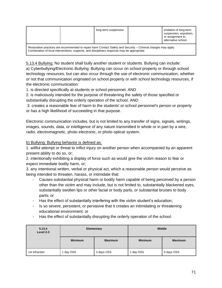|                                                                                                                                                                                                             |  | long-term suspension |  | endation of long-term<br>suspension, expulsion,<br>or assignment to<br>alternative school. |
|-------------------------------------------------------------------------------------------------------------------------------------------------------------------------------------------------------------|--|----------------------|--|--------------------------------------------------------------------------------------------|
| Restorative practices are recommended to repair harm Contact Safety and Security – Criminal charges may apply<br>Combination of local interventions, supports, and disciplinary response may be appropriate |  |                      |  |                                                                                            |

5.13.4 Bullying: No student shall bully another student or students. Bullying can include:

a) Cyberbullying/Electronic Bullying: Bullying can occur on school property or through school technology resources, but can also occur through the use of electronic communication, whether or not that communication originated on school property or with school technology resources, if the electronic communication:

1. is directed specifically at students or school personnel, AND

2. is maliciously intended for the purpose of threatening the safety of those specified or substantially disrupting the orderly operation of the school, AND

3. creates a reasonable fear of harm to the students' or school personnel's person or property or has a high likelihood of succeeding in that purpose.

Electronic communication includes, but is not limited to any transfer of signs, signals, writings, images, sounds, data, or intelligence of any nature transmitted in whole or in part by a wire, radio, electromagnetic, photo electronic, or photo optical system.

b) Bullying: Bullying behavior is defined as:

1. willful attempt or threat to inflict injury on another person when accompanied by an apparent present ability to do so, or;

2. intentionally exhibiting a display of force such as would give the victim reason to fear or expect immediate bodily harm, or;

3. any intentional written, verbal or physical act, which a reasonable person would perceive as being intended to threaten, harass, or intimidate that:

- Causes substantial physical harm or bodily harm capable of being perceived by a person other than the victim and may include, but is not limited to, substantially blackened eyes, substantially swollen lips or other facial or body parts, or substantial bruises to body parts; or
- Has the effect of substantially interfering with the victim student's education;
- Is so severe, persistent, or pervasive that it creates an intimidating or threatening educational environment; or
- Has the effect of substantially disrupting the orderly operation of the school.

| 5.13.4<br>Level 2-3 | <b>Elementary</b> |                | <b>Middle</b>  |                |
|---------------------|-------------------|----------------|----------------|----------------|
|                     | <b>Minimum</b>    | <b>Maximum</b> | <b>Minimum</b> | <b>Maximum</b> |
| 1st infraction      | day OSS           | 3 days OSS     | 1 day OSS      | 5 days OSS     |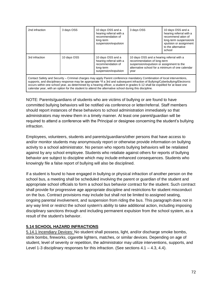| 2nd infraction                                                                                                                                                                                                                                                                                                                                                                                                                                                                                          | 3 days OSS  | 10 days OSS and a<br>hearing referral with a<br>recommendation of<br>long-term<br>suspension/expulsion | 3 days OSS                                                                                                                                                                        | 10 days OSS and a<br>hearing referral with a<br>recommend ation of<br>long-term suspension/e<br>xpulsion or assignment<br>to the alternative<br>school |
|---------------------------------------------------------------------------------------------------------------------------------------------------------------------------------------------------------------------------------------------------------------------------------------------------------------------------------------------------------------------------------------------------------------------------------------------------------------------------------------------------------|-------------|--------------------------------------------------------------------------------------------------------|-----------------------------------------------------------------------------------------------------------------------------------------------------------------------------------|--------------------------------------------------------------------------------------------------------------------------------------------------------|
| 3rd infraction                                                                                                                                                                                                                                                                                                                                                                                                                                                                                          | 10 days OSS | 10 days OSS and a<br>hearing referral with a<br>recommendation of<br>long-term<br>suspension/expulsion | 10 days OSS and a hearing referral with a<br>recommendation of long-term<br>suspension/expulsion or assignment to the<br>alternative school for a minimum of one calendar<br>year |                                                                                                                                                        |
| Contact Safety and Security - Criminal charges may apply Parent conference mandatory Combination of local interventions,<br>supports, and disciplinary response may be appropriate *If a 3rd and subsequent infraction of Bullying/Cyberbullying/Electronic<br>occurs within one school year, as determined by a hearing officer, a student in grades 6-12 shall be expelled for at least one<br>calendar year, with an option for the student to attend the alternative school during this discipline. |             |                                                                                                        |                                                                                                                                                                                   |                                                                                                                                                        |

NOTE: Parents/guardians of students who are victims of bullying or are found to have committed bullying behaviors will be notified via conference or letter/referral. Staff members should report instances of these behaviors to school administration immediately so that administrators may review them in a timely manner. At least one parent/guardian will be required to attend a conference with the Principal or designee concerning the student's bullying infraction.

Employees, volunteers, students and parents/guardians/other persons that have access to and/or monitor students may anonymously report or otherwise provide information on bullying activity to a school administrator. No person who reports bullying behaviors will be retaliated against by any school employee. Students who retaliate against others for reports of bullying behavior are subject to discipline which may include enhanced consequences. Students who knowingly file a false report of bullying will also be disciplined.

If a student is found to have engaged in bullying or physical infraction of another person on the school bus, a meeting shall be scheduled involving the parent or guardian of the student and appropriate school officials to form a school bus behavior contract for the student. Such contract shall provide for progressive age appropriate discipline and restrictions for student misconduct on the bus. Contract provisions may include but shall not be limited to assigned seating, ongoing parental involvement, and suspension from riding the bus. This paragraph does not in any way limit or restrict the school system's ability to take additional action, including imposing disciplinary sanctions through and including permanent expulsion from the school system, as a result of the student's behavior.

# **5.14 SCHOOL HAZARD INFRACTIONS**

5.14.1 Incendiary Devices: No student shall possess, light, and/or discharge smoke bombs, stink bombs, fireworks, cigarette lighters, matches, or similar devices. Depending on age of student, level of severity or repetition, the administrator may utilize interventions, supports, and Level 1-3 disciplinary responses for this infraction. (See sections  $4.1 - 4.3, 4.4$ ).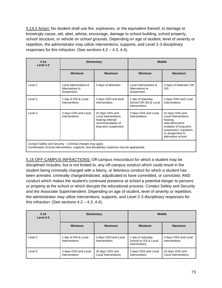5.14.2 Arson: No student shall use fire, explosives, or the equivalent thereof, to damage or knowingly cause, aid, abet, advise, encourage, damage to school building, school property, school structure, or vehicle on school grounds. Depending on age of student, level of severity or repetition, the administrator may utilize interventions, supports, and Level 2-3 disciplinary responses for this infraction. (See sections 4.2 – 4.3, 4.4).

| 5.14<br>Level 1-3                                                                                                                                      | <b>Elementary</b>                                      |                                                                                                           |                                                             | <b>Middle</b>                                                                                                                                                       |
|--------------------------------------------------------------------------------------------------------------------------------------------------------|--------------------------------------------------------|-----------------------------------------------------------------------------------------------------------|-------------------------------------------------------------|---------------------------------------------------------------------------------------------------------------------------------------------------------------------|
|                                                                                                                                                        | <b>Minimum</b>                                         | <b>Maximum</b>                                                                                            | <b>Minimum</b>                                              | <b>Maximum</b>                                                                                                                                                      |
| Level 1                                                                                                                                                | Local Interventions &<br>Alternatives to<br>Suspension | 3 days of detention                                                                                       | Local Interventions &<br>Alternatives to<br>Suspension      | 3 days of Detention OR<br><b>ISS</b>                                                                                                                                |
| Level 2                                                                                                                                                | 1 day of ISS & Local<br>Interventions                  | 3 days OSS and local<br>interventions                                                                     | 1 day of Saturday<br>School OR ISS & Local<br>Interventions | 3 days OSS and Local<br>Interventions                                                                                                                               |
| Level 3                                                                                                                                                | 3 days OSS and Local<br>Interventions                  | 10 days OSS and<br>Local Interventions;<br>hearing referral/<br>recommendation of<br>long-term suspension | 3 days OSS and Local<br>Interventions                       | 10 days OSS and<br>Local Interventions;<br>hearing<br>referral/recomm<br>endation of long-term<br>suspension, expulsion,<br>or assignment to<br>alternative school. |
| Contact Safety and Security – Criminal charges may apply<br>Combination of local interventions, supports, and disciplinary response may be appropriate |                                                        |                                                                                                           |                                                             |                                                                                                                                                                     |

5.15 OFF-CAMPUS INFRACTIONS: Off-campus misconduct for which a student may be disciplined includes, but is not limited to, any off-campus conduct which could result in the student being criminally charged with a felony, or felonious conduct for which a student has been arrested, criminally charged/indicted, adjudicated to have committed, or convicted; AND conduct which makes the student's continued presence at school a potential danger to persons or property at the school or which disrupts the educational process. Contact Safety and Security and the Associate Superintendent. Depending on age of student, level of severity or repetition, the administrator may utilize interventions, supports, and Level 2-3 disciplinary responses for this infraction. (See sections  $4.2 - 4.3, 4.4$ ).

| 5.15<br>Level 2-3 | Elementary                            |                                         | <b>Middle</b>                                               |                                         |
|-------------------|---------------------------------------|-----------------------------------------|-------------------------------------------------------------|-----------------------------------------|
|                   | <b>Minimum</b>                        | <b>Maximum</b>                          | <b>Minimum</b>                                              | <b>Maximum</b>                          |
| Level 2           | 1 day of ISS & Local<br>Interventions | 3 days OSS and Local<br>Interventions   | 1 day of Saturday<br>School or ISS & Local<br>Interventions | 3 days OSS and Local<br>Interventions   |
| Level 3           | 3 days OSS and Local<br>Interventions | 10 days OSS and<br>Local Interventions: | 3 days OSS and Local<br>Interventions                       | 10 days OSS and<br>Local Interventions; |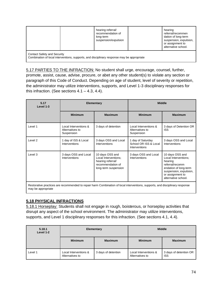|                                                                                                                                  |  | hearing referral/<br>recommendation of<br>long-term<br>suspension/expulsion |  | hearing<br>referral/recommen<br>dation of long-term<br>suspension, expulsion,<br>or assignment to<br>alternative school. |
|----------------------------------------------------------------------------------------------------------------------------------|--|-----------------------------------------------------------------------------|--|--------------------------------------------------------------------------------------------------------------------------|
| <b>Contact Safety and Security</b><br>Combination of local interventions, supports, and disciplinary response may be appropriate |  |                                                                             |  |                                                                                                                          |

5.17 PARTIES TO THE INFRACTION: No student shall urge, encourage, counsel, further, promote, assist, cause, advise, procure, or abet any other student(s) to violate any section or paragraph of this Code of Conduct. Depending on age of student, level of severity or repetition, the administrator may utilize interventions, supports, and Level 1-3 disciplinary responses for this infraction. (See sections  $4.1 - 4.3, 4.4$ ).

| 5.17<br>Level 1-3  | <b>Elementary</b>                                      |                                                                                                           | <b>Middle</b>                                               |                                                                                                                                                                     |
|--------------------|--------------------------------------------------------|-----------------------------------------------------------------------------------------------------------|-------------------------------------------------------------|---------------------------------------------------------------------------------------------------------------------------------------------------------------------|
|                    | <b>Minimum</b>                                         | <b>Maximum</b>                                                                                            | <b>Minimum</b>                                              | <b>Maximum</b>                                                                                                                                                      |
| Level 1            | Local Interventions &<br>Alternatives to<br>Suspension | 3 days of detention                                                                                       | Local Interventions &<br>Alternatives to<br>Suspension      | 3 days of Detention OR<br><b>ISS</b>                                                                                                                                |
| Level <sub>2</sub> | 1 day of ISS & Local<br><b>Interventions</b>           | 3 days OSS and Local<br><b>Interventions</b>                                                              | 1 day of Saturday<br>School OR ISS & Local<br>Interventions | 3 days OSS and Local<br><b>Interventions</b>                                                                                                                        |
| Level 3            | 3 days OSS and Local<br>Interventions                  | 10 days OSS and<br>Local Interventions:<br>hearing referral/<br>recommendation of<br>long-term suspension | 3 days OSS and Local<br>Interventions                       | 10 days OSS and<br>Local Interventions;<br>hearing<br>referral/recomm<br>endation of long-term<br>suspension, expulsion,<br>or assignment to<br>alternative school. |

Restorative practices are recommended to repair harm Combination of local interventions, supports, and disciplinary response may be appropriate

## **5.18 PHYSICAL INFRACTIONS**

5.18.1 Horseplay: Students shall not engage in rough, boisterous, or horseplay activities that disrupt any aspect of the school environment. The administrator may utilize interventions, supports, and Level 1 disciplinary responses for this infraction. (See sections 4.1, 4.4).

| 5.18.1<br>Level 1-2 | Elementary                               |                     | <b>Middle</b>                            |                                      |
|---------------------|------------------------------------------|---------------------|------------------------------------------|--------------------------------------|
|                     | <b>Minimum</b>                           | <b>Maximum</b>      | <b>Minimum</b>                           | <b>Maximum</b>                       |
| Level 1             | Local Interventions &<br>Alternatives to | 3 days of detention | Local Interventions &<br>Alternatives to | 3 days of detention OR<br><b>ISS</b> |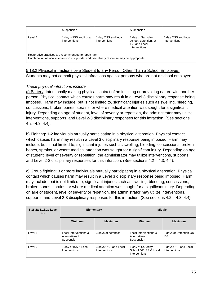|                                                                                                                                                    | Suspension                            |                                    | Suspension                                                                          |                                      |  |
|----------------------------------------------------------------------------------------------------------------------------------------------------|---------------------------------------|------------------------------------|-------------------------------------------------------------------------------------|--------------------------------------|--|
| Level 2                                                                                                                                            | day of ISS and Local<br>interventions | day OSS and local<br>interventions | 1 day of Saturday<br>school, detention, or<br><b>ISS and Local</b><br>interventions | 1 day OSS and local<br>interventions |  |
| Restorative practices are recommended to repair harm<br>Combination of local interventions, supports, and disciplinary response may be appropriate |                                       |                                    |                                                                                     |                                      |  |

# 5.18.2 Physical infractions by a Student to any Person Other Than a School Employee:

Students may not commit physical infractions against persons who are not a school employee.

## *These physical infractions include:*

a) Battery: Intentionally making physical contact of an insulting or provoking nature with another person. Physical contact which causes harm may result in a Level 3 disciplinary response being imposed. Harm may include, but is not limited to, significant injuries such as swelling, bleeding, concussions, broken bones, sprains, or where medical attention was sought for a significant injury. Depending on age of student, level of severity or repetition, the administrator may utilize interventions, supports, and Level 2-3 disciplinary responses for this infraction. (See sections  $4.2 - 4.3, 4.4$ ).

b) Fighting: 1-2 individuals mutually participating in a physical altercation. Physical contact which causes harm may result in a Level 3 disciplinary response being imposed. Harm may include, but is not limited to, significant injuries such as swelling, bleeding, concussions, broken bones, sprains, or where medical attention was sought for a significant injury. Depending on age of student, level of severity or repetition, the administrator may utilize interventions, supports, and Level 2-3 disciplinary responses for this infraction. (See sections  $4.2 - 4.3$ ,  $4.4$ ).

c) Group fighting: 3 or more individuals mutually participating in a physical altercation. Physical contact which causes harm may result in a Level 3 disciplinary response being imposed. Harm may include, but is not limited to, significant injuries such as swelling, bleeding, concussions, broken bones, sprains, or where medical attention was sought for a significant injury. Depending on age of student, level of severity or repetition, the administrator may utilize interventions, supports, and Level 2-3 disciplinary responses for this infraction. (See sections  $4.2 - 4.3$ ,  $4.4$ ).

| 5.18.2a-5.18.2c Level<br>$1 - 3$ | Elementary                                             |                                       | <b>Middle</b>                                               |                                       |
|----------------------------------|--------------------------------------------------------|---------------------------------------|-------------------------------------------------------------|---------------------------------------|
|                                  | <b>Minimum</b>                                         | <b>Maximum</b>                        | <b>Minimum</b>                                              | <b>Maximum</b>                        |
| Level 1                          | Local Interventions &<br>Alternatives to<br>Suspension | 3 days of detention                   | Local Interventions &<br>Alternatives to<br>Suspension      | 3 days of Detention OR<br><b>ISS</b>  |
| Level 2                          | 1 day of ISS & Local<br>Interventions                  | 3 days OSS and Local<br>Interventions | 1 day of Saturday<br>School OR ISS & Local<br>Interventions | 3 days OSS and Local<br>Interventions |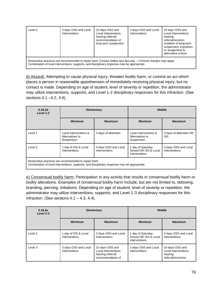| Level 2                                                                                                                                                                                                     | 3 days OSS and Local<br>Interventions | 10 days OSS and<br>Local Interventions:<br>hearing referral/<br>recommendation of<br>long-term suspension | 3 days OSS and Local<br>Interventions | 10 days OSS and<br>Local Interventions:<br>hearing<br>referral/recomm<br>endation of long-term<br>suspension, expulsion,<br>or assignment to<br>alternative school. |
|-------------------------------------------------------------------------------------------------------------------------------------------------------------------------------------------------------------|---------------------------------------|-----------------------------------------------------------------------------------------------------------|---------------------------------------|---------------------------------------------------------------------------------------------------------------------------------------------------------------------|
| Restorative practices are recommended to repair harm Contact Safety and Security – Criminal charges may apply<br>Combination of local interventions, supports, and disciplinary response may be appropriate |                                       |                                                                                                           |                                       |                                                                                                                                                                     |

d) Assault: Attempting to cause physical injury, threaten bodily harm, or commit an act which places a person in reasonable apprehension of immediately receiving physical injury, but no contact is made. Depending on age of student, level of severity or repetition, the administrator may utilize interventions, supports, and Level 1-2 disciplinary responses for this infraction. (See sections 4.1 –4.2, 4.4).

| 5.18.2d<br>Level 1-2                                                                                                                               | Elementary                                             |                                       | <b>Middle</b>                                               |                                       |
|----------------------------------------------------------------------------------------------------------------------------------------------------|--------------------------------------------------------|---------------------------------------|-------------------------------------------------------------|---------------------------------------|
|                                                                                                                                                    | <b>Minimum</b>                                         | <b>Maximum</b>                        | <b>Minimum</b>                                              | <b>Maximum</b>                        |
| Level 1                                                                                                                                            | Local Interventions &<br>Alternatives to<br>Suspension | 3 days of detention                   | Local Interventions &<br>Alternatives to<br>Suspension      | 3 days of detention OR<br><b>ISS</b>  |
| Level 2                                                                                                                                            | 1 day of ISS & Local<br>Interventions                  | 3 days OSS and Local<br>Interventions | 1 day of Saturday<br>School OR ISS & Local<br>Interventions | 3 days OSS and Local<br>Interventions |
| Restorative practices are recommended to repair harm<br>Combination of local interventions, supports, and disciplinary response may be appropriate |                                                        |                                       |                                                             |                                       |

e) Consensual bodily harm: Participation in any activity that results in consensual bodily harm or bodily alterations. Examples of consensual bodily harm include, but are not limited to, tattooing, branding, piercing, initiations. Depending on age of student, level of severity or repetition, the administrator may utilize interventions, supports, and Level 1-3 disciplinary responses for this infraction. (See sections  $4.1 - 4.3, 4.4$ ).

| 5.18.2e<br>Level 2-3 | Elementary                            |                                                                                   | <b>Middle</b>                                               |                                                                        |
|----------------------|---------------------------------------|-----------------------------------------------------------------------------------|-------------------------------------------------------------|------------------------------------------------------------------------|
|                      | <b>Minimum</b>                        | <b>Maximum</b>                                                                    | <b>Minimum</b>                                              | <b>Maximum</b>                                                         |
| Level <sub>2</sub>   | 1 day of ISS & Local<br>Interventions | 3 days OSS and Local<br>Interventions                                             | 1 day of Saturday<br>School OR ISS & Local<br>Interventions | 3 days OSS and Local<br>Interventions                                  |
| Level 3              | 3 days OSS and Local<br>Interventions | 10 days OSS and<br>Local Interventions:<br>hearing referral/<br>recommendation of | 3 days OSS and Local<br>Interventions                       | 10 days OSS and<br>Local Interventions:<br>hearing<br>referral/recomme |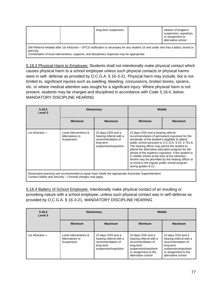|                                                                                                                                                                                                                                               |  | long-term suspension |  | ndation of longterm<br>suspension, expulsion,<br>or assignment to<br>alternative school |
|-----------------------------------------------------------------------------------------------------------------------------------------------------------------------------------------------------------------------------------------------|--|----------------------|--|-----------------------------------------------------------------------------------------|
| SW Referral initiated after 1st infraction – DFCS notification is necessary for any student 16 and under who has a tattoo, brand or<br>piercing<br>Combination of local interventions, supports, and disciplinary response may be appropriate |  |                      |  |                                                                                         |

5.18.3 Physical Harm to Employee: Students shall not intentionally make physical contact which causes physical harm to a school employee unless such physical contacts or physical harms were in self- defense as provided by O.C.G.A. § 16-3-21. Physical harm may include, but is not limited to, significant injuries such as swelling, bleeding, concussions, broken bones, sprains, etc. or where medical attention was sought for a significant injury. Where physical harm is not present, students may be charged and disciplined in accordance with Code 5.18.4, below. MANDATORY DISCIPLINE HEARING

| 5.18.3<br>Level 3                                                                                                                                                | <b>Elementary</b>                                      |                                                                                                        | <b>Middle</b>                                                                                                                                                                                                                                                                                                                                                                                                                                                                                                                             |                |
|------------------------------------------------------------------------------------------------------------------------------------------------------------------|--------------------------------------------------------|--------------------------------------------------------------------------------------------------------|-------------------------------------------------------------------------------------------------------------------------------------------------------------------------------------------------------------------------------------------------------------------------------------------------------------------------------------------------------------------------------------------------------------------------------------------------------------------------------------------------------------------------------------------|----------------|
|                                                                                                                                                                  | <b>Minimum</b>                                         | <b>Maximum</b>                                                                                         | <b>Minimum</b>                                                                                                                                                                                                                                                                                                                                                                                                                                                                                                                            | <b>Maximum</b> |
| 1st infraction $+$                                                                                                                                               | Local Interventions &<br>Alternatives to<br>Suspension | 10 days OSS and a<br>hearing referral with a<br>recommendation of<br>long term<br>suspension/expulsion | 10 days OSS and a hearing referral<br>recommendation of permanent expulsion for the<br>remainder of the student's eligibility to attend<br>public school pursuant to O.C.G.A. § 20-2-751.6.<br>The hearing officer may permit the student to<br>attend the alternative education program for the<br>period of the student's expulsion. If the student is<br>in middle school at the time of the infraction,<br>he/she may be permitted by the hearing officer to<br>re enroll in the regular public school program<br>during grades 9-12. |                |
| Restorative practices are recommended to repair harm Notify the appropriate Associate Superintendent<br>Contact Safety and Security – Criminal charges may apply |                                                        |                                                                                                        |                                                                                                                                                                                                                                                                                                                                                                                                                                                                                                                                           |                |

5.18.4 Battery of School Employee: Intentionally make physical contact of an insulting or provoking nature with a school employee, unless such physical contact was in self-defense as provided by O.C.G.A. § 16-3-21. MANDATORY DISCIPLINE HEARING

| 5.18.4<br>Level 3  | Elementary                                             |                                                                                                        | <b>Middle</b>                                                                                                                                        |                                                                                                                                                      |
|--------------------|--------------------------------------------------------|--------------------------------------------------------------------------------------------------------|------------------------------------------------------------------------------------------------------------------------------------------------------|------------------------------------------------------------------------------------------------------------------------------------------------------|
|                    | <b>Minimum</b>                                         | <b>Maximum</b>                                                                                         | <b>Minimum</b>                                                                                                                                       | <b>Maximum</b>                                                                                                                                       |
| 1st infraction $+$ | Local Interventions &<br>Alternatives to<br>Suspension | 10 days OSS and a<br>hearing referral with a<br>recommendation of<br>long-term<br>suspension/expulsion | 10 days OSS and a<br>hearing referral with a<br>recommendation of<br>long-term<br>suspension/expulsion<br>or assignment to the<br>alternative school | 10 days OSS and a<br>hearing referral with a<br>recommendation of<br>long term<br>suspension/expulsion<br>or assignment to the<br>alternative school |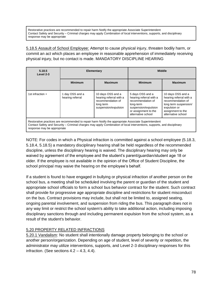Restorative practices are recommended to repair harm Notify the appropriate Associate Superintendent Contact Safety and Security – Criminal charges may apply Combination of local interventions, supports, and disciplinary response may be appropriate

5.18.5 Assault of School Employee: Attempt to cause physical injury, threaten bodily harm, or commit an act which places an employee in reasonable apprehension of immediately receiving physical injury, but no contact is made. MANDATORY DISCIPLINE HEARING

| 5.18.5<br>Level 2-3                                                                                                                                                                                                                                            | Elementary                          |                                                                                                        | <b>Middle</b>                                                                                                                                       |                                                                                                                                                       |
|----------------------------------------------------------------------------------------------------------------------------------------------------------------------------------------------------------------------------------------------------------------|-------------------------------------|--------------------------------------------------------------------------------------------------------|-----------------------------------------------------------------------------------------------------------------------------------------------------|-------------------------------------------------------------------------------------------------------------------------------------------------------|
|                                                                                                                                                                                                                                                                | <b>Minimum</b>                      | <b>Maximum</b>                                                                                         | <b>Minimum</b>                                                                                                                                      | <b>Maximum</b>                                                                                                                                        |
| 1st infraction $+$                                                                                                                                                                                                                                             | 1 day OSS and a<br>hearing referral | 10 days OSS and a<br>hearing referral with a<br>recommendation of<br>long term<br>suspension/expulsion | 5 days OSS and a<br>hearing referral with a<br>recommendation of<br>long-term<br>suspension/expulsion<br>or assignment to the<br>alternative school | 10 days OSS and a<br>hearing referral with a<br>recommendation of<br>long term suspension/<br>expulsion or<br>assignment to the<br>alternative school |
| Restorative practices are recommended to repair harm Notify the appropriate Associate Superintendent<br>Contact Safety and Security - Criminal charges may apply Combination of local interventions, supports, and disciplinary<br>response may be appropriate |                                     |                                                                                                        |                                                                                                                                                     |                                                                                                                                                       |

NOTE: For codes in which a Physical infraction is committed against a school employee (5.18.3, 5.18.4, 5.18.5) a mandatory disciplinary hearing shall be held regardless of the recommended discipline, unless the disciplinary hearing is waived. The disciplinary hearing may only be waived by agreement of the employee and the student's parent/guardian/student age 18 or older. If the employee is not available in the opinion of the Office of Student Discipline, the school principal may waive the hearing on the employee's behalf.

If a student is found to have engaged in bullying or physical infraction of another person on the school bus, a meeting shall be scheduled involving the parent or guardian of the student and appropriate school officials to form a school bus behavior contract for the student. Such contract shall provide for progressive age appropriate discipline and restrictions for student misconduct on the bus. Contract provisions may include, but shall not be limited to, assigned seating, ongoing parental involvement, and suspension from riding the bus. This paragraph does not in any way limit or restrict the school system's ability to take additional action, including imposing disciplinary sanctions through and including permanent expulsion from the school system, as a result of the student's behavior.

## 5.20 PROPERTY RELATED INFRACTIONS

5.20.1 Vandalism: No student shall intentionally damage property belonging to the school or another person/organization. Depending on age of student, level of severity or repetition, the administrator may utilize interventions, supports, and Level 2-3 disciplinary responses for this infraction. (See sections 4.2 – 4.3, 4.4).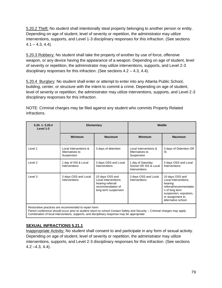5.20.2 Theft: No student shall intentionally steal property belonging to another person or entity. Depending on age of student, level of severity or repetition, the administrator may utilize interventions, supports, and Level 1-3 disciplinary responses for this infraction. (See sections  $4.1 - 4.3, 4.4$ .

5.20.3 Robbery: No student shall take the property of another by use of force, offensive weapon, or any device having the appearance of a weapon. Depending on age of student, level of severity or repetition, the administrator may utilize interventions, supports, and Level 2-3 disciplinary responses for this infraction. (See sections 4.2 – 4.3, 4.4).

5.20.4 Burglary: No student shall enter or attempt to enter into any Atlanta Public School, building, center, or structure with the intent to commit a crime. Depending on age of student, level of severity or repetition, the administrator may utilize interventions, supports, and Level 2-3 disciplinary responses for this infraction.

NOTE: Criminal charges may be filed against any student who commits Property Related infractions.

| $5.20.1 - 5.20.4$<br>Level 1-3                                                                                                                                                                                                                                                  | <b>Elementary</b>                                      |                                                                                                           |                                                             | <b>Middle</b>                                                                                                                                                       |
|---------------------------------------------------------------------------------------------------------------------------------------------------------------------------------------------------------------------------------------------------------------------------------|--------------------------------------------------------|-----------------------------------------------------------------------------------------------------------|-------------------------------------------------------------|---------------------------------------------------------------------------------------------------------------------------------------------------------------------|
|                                                                                                                                                                                                                                                                                 | <b>Minimum</b>                                         | <b>Maximum</b>                                                                                            | <b>Minimum</b>                                              | <b>Maximum</b>                                                                                                                                                      |
| Level 1                                                                                                                                                                                                                                                                         | Local Interventions &<br>Alternatives to<br>Suspension | 3 days of detention                                                                                       | Local Interventions &<br>Alternatives to<br>Suspension      | 3 days of Detention OR<br>IS                                                                                                                                        |
| Level 2                                                                                                                                                                                                                                                                         | 1 day of ISS & Local<br>Interventions                  | 3 days OSS and Local<br>Interventions                                                                     | 1 day of Saturday<br>School OR ISS & Local<br>Interventions | 3 days OSS and Local<br>Interventions                                                                                                                               |
| Level 3                                                                                                                                                                                                                                                                         | 3 days OSS and Local<br>Interventions                  | 10 days OSS and<br>Local Interventions;<br>hearing referral/<br>recommendation of<br>long-term suspension | 3 days OSS and Local<br>Interventions                       | 10 days OSS and<br>Local Interventions;<br>hearing<br>referral/recommendatio<br>n of long term<br>suspension, expulsion,<br>or assignment to<br>alternative school. |
| Restorative practices are recommended to repair harm<br>Parent conference should occur prior to student return to school Contact Safety and Security – Criminal charges may apply<br>Combination of local interventions, supports, and disciplinary response may be appropriate |                                                        |                                                                                                           |                                                             |                                                                                                                                                                     |

## **SEXUAL INFRACTIONS 5.21.1**

Inappropriate Activity: No student shall consent to and participate in any form of sexual activity. Depending on age of student, level of severity or repetition, the administrator may utilize interventions, supports, and Level 2-3 disciplinary responses for this infraction. (See sections  $4.2 - 4.3, 4.4$ .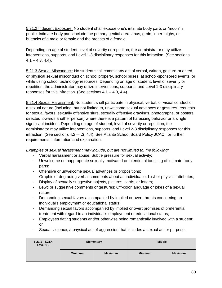5.21.2 Indecent Exposure: No student shall expose one's intimate body parts or "moon" in public. Intimate body parts include the primary genital area, anus, groin, inner thighs, or buttocks of a male or female and the breasts of a female.

Depending on age of student, level of severity or repetition, the administrator may utilize interventions, supports, and Level 1-3 disciplinary responses for this infraction. (See sections  $4.1 - 4.3, 4.4$ ).

5.21.3 Sexual Misconduct: No student shall commit any act of verbal, written, gesture-oriented, or physical sexual misconduct on school property, school buses, at school-sponsored events, or while using school technology resources. Depending on age of student, level of severity or repetition, the administrator may utilize interventions, supports, and Level 1-3 disciplinary responses for this infraction. (See sections  $4.1 - 4.3, 4.4$ ).

5.21.4 Sexual Harassment: No student shall participate in physical, verbal, or visual conduct of a sexual nature (including, but not limited to, unwelcome sexual advances or gestures, requests for sexual favors, sexually offensive slurs, sexually offensive drawings, photographs, or posters directed towards another person) where there is a pattern of harassing behavior or a single significant incident. Depending on age of student, level of severity or repetition, the administrator may utilize interventions, supports, and Level 2-3 disciplinary responses for this infraction. (See sections 4.2 –4.3, 4.4). See Atlanta School Board Policy JCAC, for further requirements, information and explanation.

*Examples of sexual harassment may include, but are not limited to, the following:* 

- Verbal harassment or abuse; Subtle pressure for sexual activity;
- Unwelcome or inappropriate sexually motivated or intentional touching of intimate body parts;
- Offensive or unwelcome sexual advances or propositions;
- Graphic or degrading verbal comments about an individual or his/her physical attributes;
- Display of sexually suggestive objects, pictures, cards, or letters;
- Lewd or suggestive comments or gestures; Off-color language or jokes of a sexual nature;
- Demanding sexual favors accompanied by implied or overt threats concerning an individual's employment or educational status;
- Demanding sexual favors accompanied by implied or overt promises of preferential treatment with regard to an individual's employment or educational status;
- Employees dating students and/or otherwise being romantically involved with a student; or
- Sexual violence, a physical act of aggression that includes a sexual act or purpose.

| $5.21.1 - 5.21.4$<br>Level 1-3 | Elementary     |                | <b>Middle</b>  |                |
|--------------------------------|----------------|----------------|----------------|----------------|
|                                | <b>Minimum</b> | <b>Maximum</b> | <b>Minimum</b> | <b>Maximum</b> |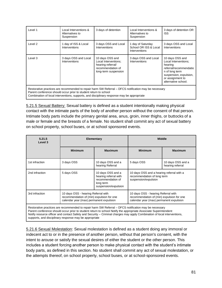| Level 1                                                                                                                                                                                                                                                                 | Local Interventions &<br>Alternatives to<br>Suspension | 3 days of detention                                                                                       | Local Interventions &<br>Alternatives to<br>Suspension      | 3 days of detention OR<br><b>ISS</b>                                                                                                                                |
|-------------------------------------------------------------------------------------------------------------------------------------------------------------------------------------------------------------------------------------------------------------------------|--------------------------------------------------------|-----------------------------------------------------------------------------------------------------------|-------------------------------------------------------------|---------------------------------------------------------------------------------------------------------------------------------------------------------------------|
| Level <sub>2</sub>                                                                                                                                                                                                                                                      | 1 day of ISS & Local<br>Interventions                  | 3 days OSS and Local<br>Interventions                                                                     | 1 day of Saturday<br>School OR ISS & Local<br>Interventions | 3 days OSS and Local<br>Interventions                                                                                                                               |
| Level 3                                                                                                                                                                                                                                                                 | 3 days OSS and Local<br>Interventions                  | 10 days OSS and<br>Local Interventions;<br>hearing referral/<br>recommendation of<br>long-term suspension | 3 days OSS and Local<br>Interventions                       | 10 days OSS and<br>Local Interventions:<br>hearing<br>referral/recommendatio<br>n of long term<br>suspension, expulsion,<br>or assignment to<br>alternative school. |
| Restorative practices are recommended to repair harm SW Referral – DFCS notification may be necessary<br>Parent conference should occur prior to student return to school<br>Combination of local interventions, supports, and disciplinary response may be appropriate |                                                        |                                                                                                           |                                                             |                                                                                                                                                                     |

5.21.5 Sexual Battery: Sexual battery is defined as a student intentionally making physical contact with the intimate parts of the body of another person without the consent of that person. Intimate body parts include the primary genital area, anus, groin, inner thighs, or buttocks of a male or female and the breasts of a female. No student shall commit any act of sexual battery on school property, school buses, or at school sponsored events.

| 5.21.5<br>Level 3                                                                                                                                                                                                                                                                                                                                     | <b>Elementary</b>                                                                                                                                                                                                                                          |                                                                                                      |                                                                                                  | <b>Middle</b>                         |
|-------------------------------------------------------------------------------------------------------------------------------------------------------------------------------------------------------------------------------------------------------------------------------------------------------------------------------------------------------|------------------------------------------------------------------------------------------------------------------------------------------------------------------------------------------------------------------------------------------------------------|------------------------------------------------------------------------------------------------------|--------------------------------------------------------------------------------------------------|---------------------------------------|
|                                                                                                                                                                                                                                                                                                                                                       | <b>Minimum</b>                                                                                                                                                                                                                                             | <b>Maximum</b>                                                                                       | <b>Minimum</b>                                                                                   | <b>Maximum</b>                        |
| 1st infraction                                                                                                                                                                                                                                                                                                                                        | 3 days OSS                                                                                                                                                                                                                                                 | 10 days OSS and a<br>hearing Referral                                                                | 5 days OSS                                                                                       | 10 days OSS and a<br>hearing referral |
| 2nd infraction                                                                                                                                                                                                                                                                                                                                        | 5 days OSS                                                                                                                                                                                                                                                 | 10 days OSS and a<br>hearing referral with<br>recommendation of<br>long term<br>suspension/expulsion | 10 days OSS and a hearing referral with a<br>recommendation of long term<br>suspension/expulsion |                                       |
| 3rd infraction                                                                                                                                                                                                                                                                                                                                        | 10 days OSS - hearing Referral with<br>10 days OSS - hearing Referral with<br>recommendation of (min) expulsion for one<br>recommendation of (min) expulsion for one<br>calendar year (max) permanent expulsion<br>calendar year (max) permanent expulsion |                                                                                                      |                                                                                                  |                                       |
| Restorative practices are recommended to repair harm SW Referral – DFCS notification may be necessary<br>Parent conference should occur prior to student return to school Notify the appropriate Associate Superintendent<br>Notify resource officer and contact Safety and Security – Criminal charges may apply Combination of local interventions, |                                                                                                                                                                                                                                                            |                                                                                                      |                                                                                                  |                                       |

supports, and disciplinary response may be appropriate

5.21.6 Sexual Molestation: Sexual molestation is defined as a student doing any immoral or indecent act to or in the presence of another person, without that person's consent, with the intent to arouse or satisfy the sexual desires of either the student or the other person. This includes a student forcing another person to make physical contact with the student's intimate body parts, as defined in this section. No student shall commit any act of sexual molestation, or the attempts thereof, on school property, school buses, or at school-sponsored events.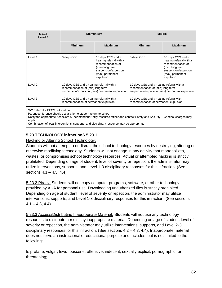| 5.21.6<br>Level 3                                                                                                                                                                                                                              | <b>Elementary</b>                                                                  |                                                                                                                                              |                                                                                  | <b>Middle</b>                                                                                                                                |
|------------------------------------------------------------------------------------------------------------------------------------------------------------------------------------------------------------------------------------------------|------------------------------------------------------------------------------------|----------------------------------------------------------------------------------------------------------------------------------------------|----------------------------------------------------------------------------------|----------------------------------------------------------------------------------------------------------------------------------------------|
|                                                                                                                                                                                                                                                | <b>Minimum</b>                                                                     | <b>Maximum</b>                                                                                                                               | <b>Minimum</b>                                                                   | <b>Maximum</b>                                                                                                                               |
| Level 1                                                                                                                                                                                                                                        | 3 days OSS                                                                         | 10 days OSS and a<br>hearing referral with a<br>recommendation of<br>(min) long term<br>suspension/expulsion<br>(max) permanent<br>expulsion | 8 days OSS                                                                       | 10 days OSS and a<br>hearing referral with a<br>recommendation of<br>(min) long term<br>suspension/expulsion<br>(max) permanent<br>expulsion |
| Level 2                                                                                                                                                                                                                                        | 10 days OSS and a hearing referral with a<br>recommendation of (min) long term     | suspension/expulsion (max) permanent expulsion                                                                                               | 10 days OSS and a hearing referral with a<br>recommendation of (min) long term   | suspension/expulsion (max) permanent expulsion                                                                                               |
| Level 3                                                                                                                                                                                                                                        | 10 days OSS and a hearing referral with a<br>recommendation of permanent expulsion |                                                                                                                                              | 10 days OSS and a hearing referral with<br>recommendation of permanent expulsion |                                                                                                                                              |
| SW Referral - DFCS notification<br>Parent conference should occur prior to student return to school<br>Notify the appropriate Associate Superintendent Notify resource officer and contact Safety and Security – Criminal charges may<br>apply |                                                                                    |                                                                                                                                              |                                                                                  |                                                                                                                                              |

Combination of local interventions, supports, and disciplinary response may be appropriate

# **5.23 TECHNOLOGY infractionS 5.23.1**

#### Hacking or Altering School Technology:

Students will not attempt to or disrupt the school technology resources by destroying, altering or otherwise modifying technology. Students will not engage in any activity that monopolizes, wastes, or compromises school technology resources. Actual or attempted hacking is strictly prohibited. Depending on age of student, level of severity or repetition, the administrator may utilize interventions, supports, and Level 1-3 disciplinary responses for this infraction. (See sections  $4.1 - 4.3, 4.4$ ).

5.23.2 Piracy: Students will not copy computer programs, software, or other technology provided by AUA for personal use. Downloading unauthorized files is strictly prohibited. Depending on age of student, level of severity or repetition, the administrator may utilize interventions, supports, and Level 1-3 disciplinary responses for this infraction. (See sections  $4.1 - 4.3, 4.4$ ).

5.23.3 Access/Distributing Inappropriate Material: Students will not use any technology resources to distribute nor display inappropriate material. Depending on age of student, level of severity or repetition, the administrator may utilize interventions, supports, and Level 2-3 disciplinary responses for this infraction. (See sections  $4.2 - 4.3$ ,  $4.4$ ). Inappropriate material does not serve an instructional or educational purpose and includes, but is not limited to the following:

Is profane, vulgar, lewd, obscene, offensive, indecent, sexually explicit, pornographic, or threatening;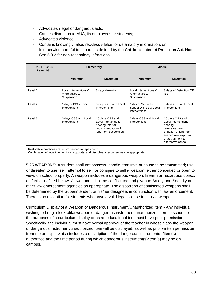- Advocates illegal or dangerous acts;
- Causes disruption to AUA, its employees or students;
- Advocates violence;
- Contains knowingly false, recklessly false, or defamatory information; or
- Is otherwise harmful to minors as defined by the Children's Internet Protection Act. Note: See 5.8.2 for non-technology infractions

| $5.23.1 - 5.23.3$<br>Level 1-3                                                                                                                     | <b>Elementary</b>                                      |                                                                                                           |                                                             | <b>Middle</b>                                                                                                                                                       |  |
|----------------------------------------------------------------------------------------------------------------------------------------------------|--------------------------------------------------------|-----------------------------------------------------------------------------------------------------------|-------------------------------------------------------------|---------------------------------------------------------------------------------------------------------------------------------------------------------------------|--|
|                                                                                                                                                    | <b>Minimum</b>                                         | <b>Maximum</b>                                                                                            | <b>Minimum</b>                                              | <b>Maximum</b>                                                                                                                                                      |  |
| Level 1                                                                                                                                            | Local Interventions &<br>Alternatives to<br>Suspension | 3 days detention                                                                                          | Local Interventions &<br>Alternatives to<br>Suspension      | 3 days of Detention OR<br><b>ISS</b>                                                                                                                                |  |
| Level <sub>2</sub>                                                                                                                                 | 1 day of ISS & Local<br>Interventions                  | 3 days OSS and Local<br>Interventions                                                                     | 1 day of Saturday<br>School OR ISS & Local<br>Interventions | 3 days OSS and Local<br>Interventions                                                                                                                               |  |
| Level 3                                                                                                                                            | 3 days OSS and Local<br>Interventions                  | 10 days OSS and<br>Local Interventions;<br>hearing referral/<br>recommendation of<br>long-term suspension | 3 days OSS and Local<br>Interventions                       | 10 days OSS and<br>Local Interventions;<br>hearing<br>referral/recomm<br>endation of long-term<br>suspension, expulsion,<br>or assignment to<br>alternative school. |  |
| Restorative practices are recommended to repair harm<br>Combination of local interventions, supports, and disciplinary response may be appropriate |                                                        |                                                                                                           |                                                             |                                                                                                                                                                     |  |

5.25 WEAPONS: A student shall not possess, handle, transmit, or cause to be transmitted; use or threaten to use; sell, attempt to sell, or conspire to sell a weapon, either concealed or open to view, on school property. A weapon includes a dangerous weapon, firearm or hazardous object, as further defined below. All weapons shall be confiscated and given to Safety and Security or other law enforcement agencies as appropriate. The disposition of confiscated weapons shall be determined by the Superintendent or his/her designee, in conjunction with law enforcement. There is no exception for students who have a valid legal license to carry a weapon.

Curriculum Display of a Weapon or Dangerous Instrument/Unauthorized Item - Any individual wishing to bring a look-alike weapon or dangerous instrument/unauthorized item to school for the purposes of a curriculum display or as an educational tool must have prior permission. Specifically, the individual must have verbal approval of the teacher in whose class the weapon or dangerous instrument/unauthorized item will be displayed, as well as prior written permission from the principal which includes a description of the dangerous instrument(s)/item(s) authorized and the time period during which dangerous instrument(s)/item(s) may be on campus.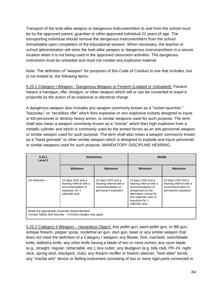Transport of the look-alike weapon or dangerous instrument/item to and from the school must be by the approved parent, guardian or other approved individual 21 years of age. The transporting individual should remove the dangerous instrument/item from the school immediately upon completion of the educational session. When necessary, the teacher or school administration will store the look-alike weapon or dangerous instrument/item in a secure location when it is not being used in the approved classroom activities. The dangerous instrument must be unloaded and must not contain any explosive material.

Note: The definition of "weapon" for purposes of this Code of Conduct is one that includes, but is not limited to, the following items:

5.25.1 Category I Weapon - Dangerous Weapon or Firearm (Loaded or Unloaded): Firearm means a handgun, rifle, shotgun, or other weapon which will or can be converted to expel a projectile by the action of an explosive or electrical charge.

A dangerous weapon also includes any weapon commonly known as a "rocket launcher," "bazooka," or "recoilless rifle" which fires explosive or non-explosive rockets designed to injure or kill personnel or destroy heavy armor, or similar weapons used for such purpose. The term shall also mean a weapon commonly known as a "mortar" which fires high explosive from a metallic cylinder and which is commonly used by the armed forces as an anti personnel weapon or similar weapon used for such purpose. The term shall also mean a weapon commonly known as a "hand grenade" or other similar weapon which is designed to explode and injure personnel or similar weapons used for such purpose. MANDATORY DISCIPLINE HEARING.

| 5.25.1<br>Level 3                               | <b>Elementary</b>                                                                                     |                                                                                          | <b>Middle</b>                                                                                                                                                                |                                                                                           |
|-------------------------------------------------|-------------------------------------------------------------------------------------------------------|------------------------------------------------------------------------------------------|------------------------------------------------------------------------------------------------------------------------------------------------------------------------------|-------------------------------------------------------------------------------------------|
|                                                 | <b>Minimum</b>                                                                                        | <b>Maximum</b>                                                                           | <b>Minimum</b>                                                                                                                                                               | <b>Maximum</b>                                                                            |
| 1st infraction $+$                              | 10 days OSS and a<br>hearing referral with a<br>recommendation of<br>expulsion for 1<br>calendar year | 10 days OSS and a<br>hearing referral with a<br>recommendation of<br>permanent expulsion | 10 days OSS and a<br>hearing referral with a<br>recommendation of<br>assignment to the<br>alternative school for<br>one calendar year or<br>expulsion for 1<br>calendar year | 10 days OSS and a<br>hearing referral with a<br>recommend ation of<br>permanent expulsion |
| Notify the appropriate Associate Superintendent |                                                                                                       |                                                                                          |                                                                                                                                                                              |                                                                                           |

Contact Safety and Security – Criminal charges may apply

5.25.2 Category II Weapon – Hazardous Object: Any pellet gun, paint pellet gun, or BB gun, antique firearm, pepper spray, nonlethal air gun, stun gun, taser or any similar weapon that does not meet the definition of a Category I weapon; any Bowie, Dirk, machete, switchblade knife, ballistics knife, any other knife having a blade of two or more inches; any razor blade (e.g., straight, regular, retractable, etc.); box cutter; any bludgeon (e.g. billy club, PR-24, night stick, spring stick, blackjack, club); any firearm muffler or firearm silencer; "look-alike" bomb; any "martial arts" device or flailing instrument consisting of two or more rigid parts connected in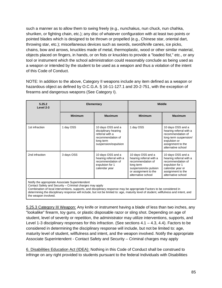such a manner as to allow them to swing freely (e.g., nunchakus, nun chuck, nun chahka, shuriken, or fighting chain, etc.); any disc of whatever configuration with at least two points or pointed blades which is designed to be thrown or propelled (e.g., Chinese star, oriental dart, throwing star, etc.); miscellaneous devices such as swords, sword/knife canes, ice picks, chains, bow and arrows, knuckles made of metal, thermoplastic, wood or other similar material, objects placed on fingers, in hands, or on fists or knuckles to provide a "loaded fist," etc., or any tool or instrument which the school administration could reasonably conclude as being used as a weapon or intended by the student to be used as a weapon and thus a violation of the intent of this Code of Conduct.

NOTE: In addition to the above, Category II weapons include any item defined as a weapon or hazardous object as defined by O.C.G.A. § 16-11-127.1 and 20-2-751, with the exception of firearms and dangerous weapons (See Category I).

| 5.25.2<br>Level 2-3 | <b>Elementary</b> |                                                                                                                        | <b>Middle</b>                                                                                                                                         |                                                                                                                                                       |
|---------------------|-------------------|------------------------------------------------------------------------------------------------------------------------|-------------------------------------------------------------------------------------------------------------------------------------------------------|-------------------------------------------------------------------------------------------------------------------------------------------------------|
|                     | <b>Minimum</b>    | <b>Maximum</b>                                                                                                         | <b>Minimum</b>                                                                                                                                        | <b>Maximum</b>                                                                                                                                        |
| 1st infraction      | 1 day OSS         | 10 days OSS and a<br>disciplinary hearing<br>referral with a<br>recommendation of<br>long term<br>suspension/expulsion | 1 day OSS                                                                                                                                             | 10 days OSS and a<br>hearing referral with a<br>recommendation of<br>long-term suspension/<br>expulsion or<br>assignment to the<br>alternative school |
| 2nd infraction      | 3 days OSS        | 10 days OSS and a<br>hearing referral with a<br>recommendation of<br>expulsion for 1<br>calendar year                  | 10 days OSS and a<br>hearing referral with a<br>recommendation of<br>long term<br>suspension/ex pulsion<br>or assignment to the<br>alternative school | 10 days OSS and a<br>hearing referral with a<br>recommendation of<br>expulsion for 1<br>calendar year or<br>assignment to the<br>alternative school   |

Notify the appropriate Associate Superintendent

Contact Safety and Security – Criminal charges may apply

Combination of local interventions, supports, and disciplinary response may be appropriate Factors to be considered in determining the disciplinary response will include, but not be limited to: age, maturity level of student, willfulness and intent, and the weapon involved.

5.25.3 Category III Weapon: Any knife or instrument having a blade of less than two inches, any "lookalike" firearm, toy guns, or plastic disposable razor or sling shot. Depending on age of student, level of severity or repetition, the administrator may utilize interventions, supports, and Level 1-3 disciplinary responses for this infraction. (See sections  $4.1 - 4.3$ ,  $4.4$ ). Factors to be considered in determining the disciplinary response will include, but not be limited to: age, maturity level of student, willfulness and intent, and the weapon involved. Notify the appropriate Associate Superintendent - Contact Safety and Security – Criminal charges may apply

6. Disabilities Education Act (IDEA): Nothing in this Code of Conduct shall be construed to infringe on any right provided to students pursuant to the federal Individuals with Disabilities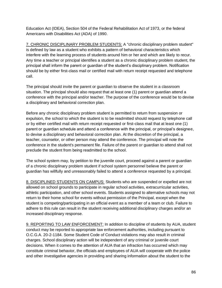Education Act (IDEA), Section 504 of the Federal Rehabilitation Act of 1973, or the federal Americans with Disabilities Act (ADA) of 1990.

7. CHRONIC DISCIPLINARY PROBLEM STUDENTS: A "chronic disciplinary problem student" is defined by law as a student who exhibits a pattern of behavioral characteristics which interfere with the learning process of students around him or her and which are likely to recur. Any time a teacher or principal identifies a student as a chronic disciplinary problem student, the principal shall inform the parent or guardian of the student's disciplinary problem. Notification should be by either first-class mail or certified mail with return receipt requested and telephone call.

The principal should invite the parent or guardian to observe the student in a classroom situation. The principal should also request that at least one (1) parent or guardian attend a conference with the principal and/or teacher. The purpose of the conference would be to devise a disciplinary and behavioral correction plan.

Before any chronic disciplinary problem student is permitted to return from suspension or expulsion, the school to which the student is to be readmitted should request by telephone call or by either certified mail with return receipt requested or first-class mail that at least one (1) parent or guardian schedule and attend a conference with the principal, or principal's designee, to devise a disciplinary and behavioral correction plan. At the discretion of the principal, a teacher, counselor, or other person may attend the conference. The principal will note the conference in the student's permanent file. Failure of the parent or guardian to attend shall not preclude the student from being readmitted to the school.

The school system may, by petition to the juvenile court, proceed against a parent or guardian of a chronic disciplinary problem student if school system personnel believe the parent or guardian has willfully and unreasonably failed to attend a conference requested by a principal.

8. DISCIPLINED STUDENTS ON CAMPUS: Students who are suspended or expelled are not allowed on school grounds to participate in regular school activities, extracurricular activities, athletic participation, and other school events. Students assigned to alternative schools may not return to their home school for events without permission of the Principal, except when the student is competing/participating in an official event as a member of a team or club. Failure to adhere to this rule can result in the student receiving additional disciplinary charges and/or an increased disciplinary response.

9. REPORTING TO LAW ENFORCEMENT: In addition to discipline of students by AUA, student conduct may be reported to appropriate law enforcement authorities, including pursuant to O.C.G.A. 20-2-1184. Some Student Code of Conduct violations may also result in criminal charges. School disciplinary action will be independent of any criminal or juvenile court decisions. When it comes to the attention of AUA that an infraction has occurred which may constitute criminal behavior, the officials and employees of AUA will cooperate with the police and other investigative agencies in providing and sharing information about the student to the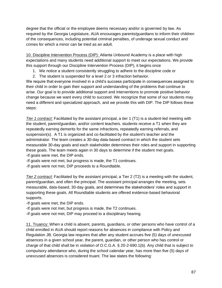degree that the official or the employee deems necessary and/or is governed by law. As required by the Georgia Legislature, AUA encourages parents/guardians to inform their children of the consequences, including potential criminal penalties, of underage sexual conduct and crimes for which a minor can be tried as an adult.

10. Discipline Intervention Process (DIP): Atlanta Unbound Academy is a place with high expectations and many students need additional support to meet our expectations. We provide this support through our Discipline Intervention Process (DIP), it begins once

- 1. We notice a student consistently struggling to adhere to the discipline code or
- 2. The student is suspended for a level 2 or 3 infraction behavior.

We require that everyone involved in a child's success participate in consequences assigned to their child in order to gain their support and understanding of the problems that continue to arise. Our goal is to provide additional support and interventions to promote positive behavior change because we want every child to succeed. We recognize that some of our students may need a different and specialized approach, and we provide this with DIP. The DIP follows these steps:

*Tier 1 contract:* Facilitated by the assistant principal, a tier 1 (T1) is a student-led meeting with the student, parent/guardian, and/or content teachers. students receive a T1 when they are repeatedly earning demerits for the same infractions, repeatedly earning referrals, and suspension(s). A T1 is organized and co-facilitated by the student's teacher and the administrator. The team creates a 30-day data-based contract in which the student sets measurable 30-day goals and each stakeholder determines their roles and support in supporting these goals. The team meets again in 30 days to determine if the student met goals. -If goals were met, the DIP ends.

-If goals were not met, but progress is made, the T1 continues.

-If goals were not met, DIP proceeds to a Roundtable.

*Tier 2 contract:* Facilitated by the assistant principal, a Tier 2 (T2) is a meeting with the student, parent/guardian, and often the principal. The assistant principal arranges the meeting, sets measurable, data-based, 30-day goals, and determines the stakeholders' roles and support in supporting these goals. All Roundtable students are offered evidence-based behavioral supports.

-If goals were met, the DIP ends.

-If goals were not met, but progress is made, the T2 continues.

-If goals were not met, DIP may proceed to a disciplinary hearing.

11. Truancy: When a child is absent, parents, guardians, or other persons who have control of a child enrolled in AUA should report reasons for absences in compliance with Policy and Regulation JB. Georgia law requires that after any student accrues five (5) days of unexcused absences in a given school year, the parent, guardian, or other person who has control or charge of that child shall be in violation of O.C.G.A. § 20-2-690.1(b). Any child that is subject to compulsory attendance who, during the school calendar year, has more than five (5) days of unexcused absences is considered truant. The law states the following: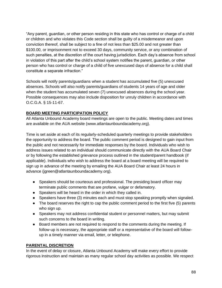"Any parent, guardian, or other person residing in this state who has control or charge of a child or children and who violates this Code section shall be guilty of a misdemeanor and upon conviction thereof, shall be subject to a fine of not less than \$25.00 and not greater than \$100.00, or imprisonment not to exceed 30 days, community service, or any combination of such penalties, at the discretion of the court having jurisdiction. Each day's absence from school in violation of this part after the child's school system notifies the parent, guardian, or other person who has control or charge of a child of five unexcused days of absence for a child shall constitute a separate infraction."

Schools will notify parents/guardians when a student has accumulated five (5) unexcused absences. Schools will also notify parents/guardians of students 14 years of age and older when the student has accumulated seven (7) unexcused absences during the school year. Possible consequences may also include disposition for unruly children in accordance with O.C.G.A. § 15-11-67.

## **BOARD MEETING PARTICIPATION POLICY**

All Atlanta Unbound Academy board meetings are open to the public. Meeting dates and times are available on the AUA website (www.atlantaunboundacademy.org).

Time is set aside at each of its regularly-scheduled quarterly meetings to provide stakeholders the opportunity to address the board. The public comment period is designed to gain input from the public and not necessarily for immediate responses by the board. Individuals who wish to address issues related to an individual should communicate directly with the AUA Board Chair or by following the established grievance process outlined in the student/parent handbook (if applicable). Individuals who wish to address the board at a board meeting will be required to sign up in advance of the meeting by emailing the AUA Board Chair at least 24 hours in advance (jgreen@atlantaunboundacademy.org).

- Speakers should be courteous and professional. The presiding board officer may terminate public comments that are profane, vulgar or defamatory.
- Speakers will be heard in the order in which they called in.
- Speakers have three (3) minutes each and must stop speaking promptly when signaled.
- The board reserves the right to cap the public comment period to the first five (5) parents who sign up.
- Speakers may not address confidential student or personnel matters, but may submit such concerns to the board in writing.
- Board members are not required to respond to the comments during the meeting. If follow-up is necessary, the appropriate staff or a representative of the board will followup in a timely manner via email, letter, or telephone.

## **PARENTAL DISCRETION**

In the event of delay or closure, Atlanta Unbound Academy will make every effort to provide rigorous instruction and maintain as many regular school day activities as possible. We respect